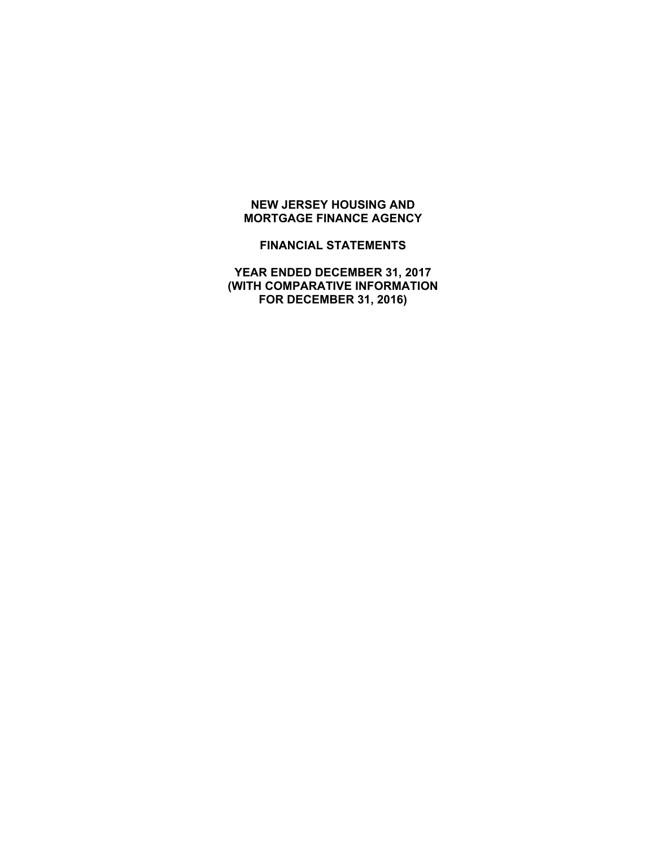## **NEW JERSEY HOUSING AND MORTGAGE FINANCE AGENCY**

**FINANCIAL STATEMENTS** 

**YEAR ENDED DECEMBER 31, 2017 (WITH COMPARATIVE INFORMATION FOR DECEMBER 31, 2016)**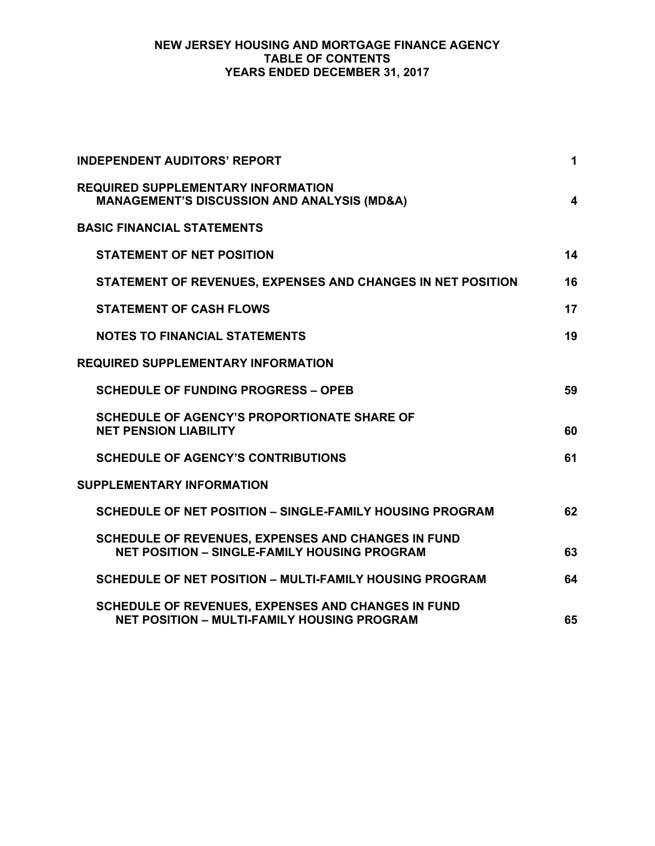## **NEW JERSEY HOUSING AND MORTGAGE FINANCE AGENCY TABLE OF CONTENTS YEARS ENDED DECEMBER 31, 2017**

| <b>INDEPENDENT AUDITORS' REPORT</b>                                                                       | $\mathbf 1$      |
|-----------------------------------------------------------------------------------------------------------|------------------|
| <b>REQUIRED SUPPLEMENTARY INFORMATION</b><br><b>MANAGEMENT'S DISCUSSION AND ANALYSIS (MD&amp;A)</b>       | $\boldsymbol{4}$ |
| <b>BASIC FINANCIAL STATEMENTS</b>                                                                         |                  |
| <b>STATEMENT OF NET POSITION</b>                                                                          | 14               |
| STATEMENT OF REVENUES, EXPENSES AND CHANGES IN NET POSITION                                               | 16               |
| <b>STATEMENT OF CASH FLOWS</b>                                                                            | 17               |
| <b>NOTES TO FINANCIAL STATEMENTS</b>                                                                      | 19               |
| <b>REQUIRED SUPPLEMENTARY INFORMATION</b>                                                                 |                  |
| <b>SCHEDULE OF FUNDING PROGRESS - OPEB</b>                                                                | 59               |
| <b>SCHEDULE OF AGENCY'S PROPORTIONATE SHARE OF</b><br><b>NET PENSION LIABILITY</b>                        | 60               |
| <b>SCHEDULE OF AGENCY'S CONTRIBUTIONS</b>                                                                 | 61               |
| <b>SUPPLEMENTARY INFORMATION</b>                                                                          |                  |
| SCHEDULE OF NET POSITION - SINGLE-FAMILY HOUSING PROGRAM                                                  | 62               |
| SCHEDULE OF REVENUES, EXPENSES AND CHANGES IN FUND<br><b>NET POSITION - SINGLE-FAMILY HOUSING PROGRAM</b> | 63               |
| SCHEDULE OF NET POSITION - MULTI-FAMILY HOUSING PROGRAM                                                   | 64               |
| SCHEDULE OF REVENUES, EXPENSES AND CHANGES IN FUND<br><b>NET POSITION - MULTI-FAMILY HOUSING PROGRAM</b>  | 65               |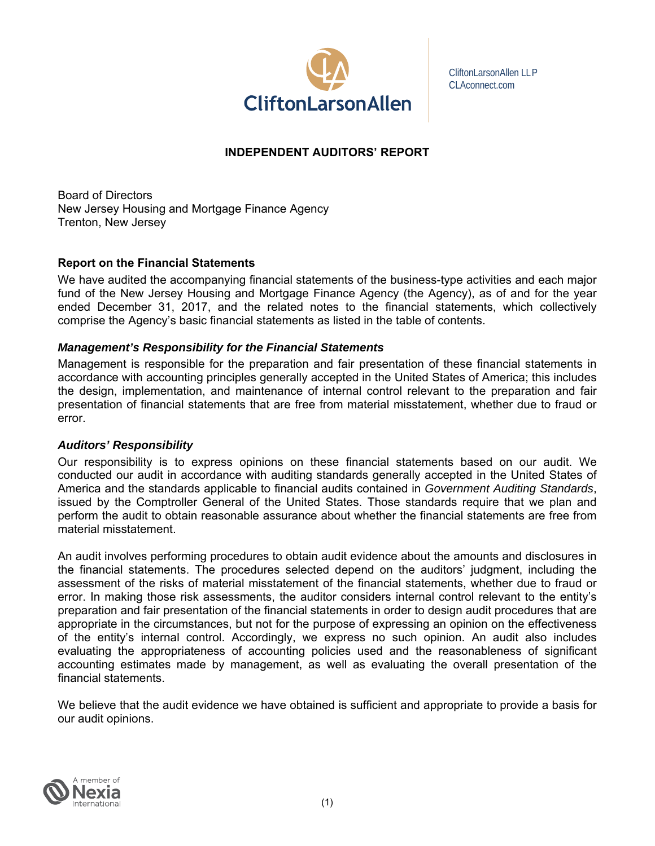

CliftonLarsonAllen LLP CLAconnect.com

# **INDEPENDENT AUDITORS' REPORT**

Board of Directors New Jersey Housing and Mortgage Finance Agency Trenton, New Jersey

# **Report on the Financial Statements**

We have audited the accompanying financial statements of the business-type activities and each major fund of the New Jersey Housing and Mortgage Finance Agency (the Agency), as of and for the year ended December 31, 2017, and the related notes to the financial statements, which collectively comprise the Agency's basic financial statements as listed in the table of contents.

# *Management's Responsibility for the Financial Statements*

Management is responsible for the preparation and fair presentation of these financial statements in accordance with accounting principles generally accepted in the United States of America; this includes the design, implementation, and maintenance of internal control relevant to the preparation and fair presentation of financial statements that are free from material misstatement, whether due to fraud or error.

# *Auditors' Responsibility*

Our responsibility is to express opinions on these financial statements based on our audit. We conducted our audit in accordance with auditing standards generally accepted in the United States of America and the standards applicable to financial audits contained in *Government Auditing Standards*, issued by the Comptroller General of the United States. Those standards require that we plan and perform the audit to obtain reasonable assurance about whether the financial statements are free from material misstatement.

An audit involves performing procedures to obtain audit evidence about the amounts and disclosures in the financial statements. The procedures selected depend on the auditors' judgment, including the assessment of the risks of material misstatement of the financial statements, whether due to fraud or error. In making those risk assessments, the auditor considers internal control relevant to the entity's preparation and fair presentation of the financial statements in order to design audit procedures that are appropriate in the circumstances, but not for the purpose of expressing an opinion on the effectiveness of the entity's internal control. Accordingly, we express no such opinion. An audit also includes evaluating the appropriateness of accounting policies used and the reasonableness of significant accounting estimates made by management, as well as evaluating the overall presentation of the financial statements.

We believe that the audit evidence we have obtained is sufficient and appropriate to provide a basis for our audit opinions.

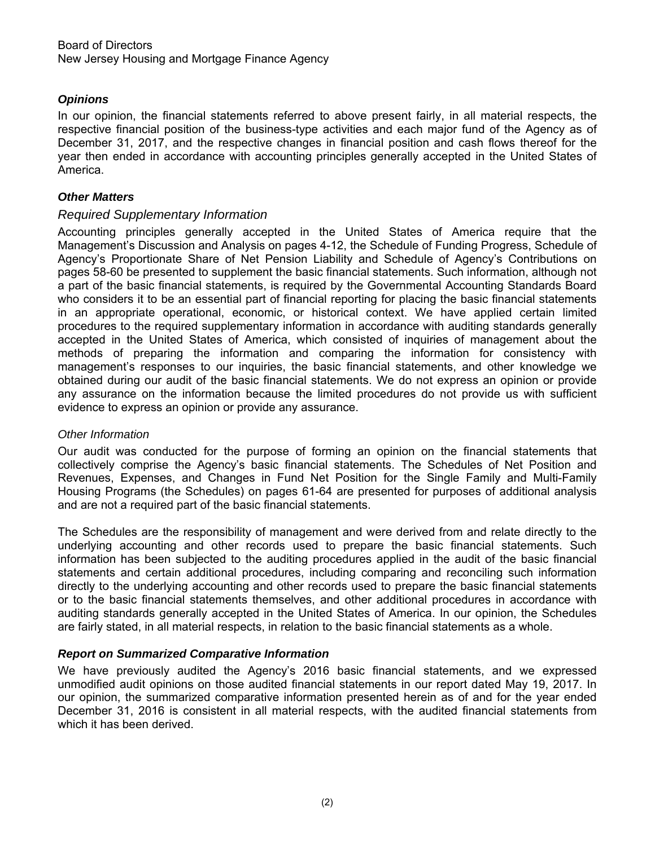# *Opinions*

In our opinion, the financial statements referred to above present fairly, in all material respects, the respective financial position of the business-type activities and each major fund of the Agency as of December 31, 2017, and the respective changes in financial position and cash flows thereof for the year then ended in accordance with accounting principles generally accepted in the United States of America.

# *Other Matters*

# *Required Supplementary Information*

Accounting principles generally accepted in the United States of America require that the Management's Discussion and Analysis on pages 4-12, the Schedule of Funding Progress, Schedule of Agency's Proportionate Share of Net Pension Liability and Schedule of Agency's Contributions on pages 58-60 be presented to supplement the basic financial statements. Such information, although not a part of the basic financial statements, is required by the Governmental Accounting Standards Board who considers it to be an essential part of financial reporting for placing the basic financial statements in an appropriate operational, economic, or historical context. We have applied certain limited procedures to the required supplementary information in accordance with auditing standards generally accepted in the United States of America, which consisted of inquiries of management about the methods of preparing the information and comparing the information for consistency with management's responses to our inquiries, the basic financial statements, and other knowledge we obtained during our audit of the basic financial statements. We do not express an opinion or provide any assurance on the information because the limited procedures do not provide us with sufficient evidence to express an opinion or provide any assurance.

# *Other Information*

Our audit was conducted for the purpose of forming an opinion on the financial statements that collectively comprise the Agency's basic financial statements. The Schedules of Net Position and Revenues, Expenses, and Changes in Fund Net Position for the Single Family and Multi-Family Housing Programs (the Schedules) on pages 61-64 are presented for purposes of additional analysis and are not a required part of the basic financial statements.

The Schedules are the responsibility of management and were derived from and relate directly to the underlying accounting and other records used to prepare the basic financial statements. Such information has been subjected to the auditing procedures applied in the audit of the basic financial statements and certain additional procedures, including comparing and reconciling such information directly to the underlying accounting and other records used to prepare the basic financial statements or to the basic financial statements themselves, and other additional procedures in accordance with auditing standards generally accepted in the United States of America. In our opinion, the Schedules are fairly stated, in all material respects, in relation to the basic financial statements as a whole.

# *Report on Summarized Comparative Information*

We have previously audited the Agency's 2016 basic financial statements, and we expressed unmodified audit opinions on those audited financial statements in our report dated May 19, 2017. In our opinion, the summarized comparative information presented herein as of and for the year ended December 31, 2016 is consistent in all material respects, with the audited financial statements from which it has been derived.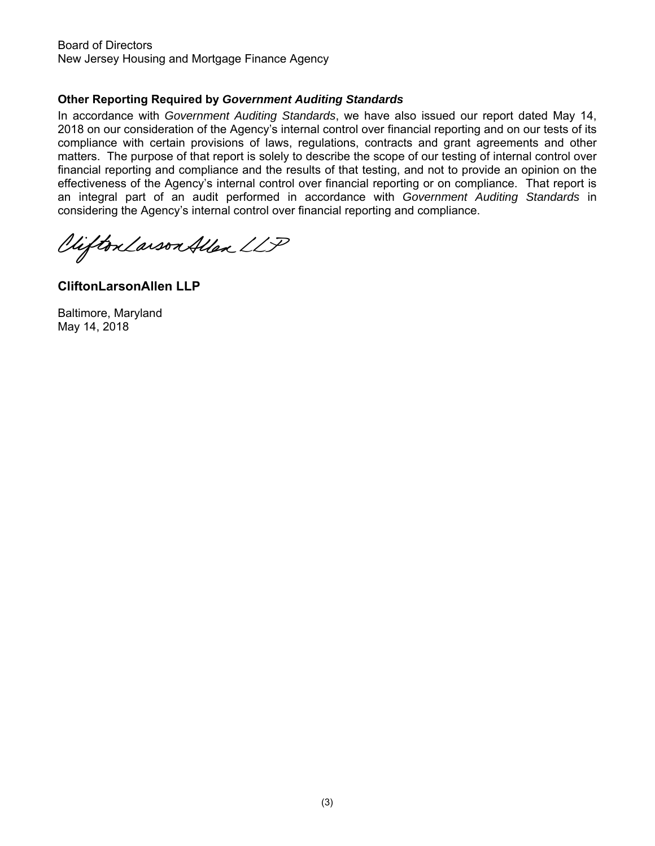Board of Directors New Jersey Housing and Mortgage Finance Agency

# **Other Reporting Required by** *Government Auditing Standards*

In accordance with *Government Auditing Standards*, we have also issued our report dated May 14, 2018 on our consideration of the Agency's internal control over financial reporting and on our tests of its compliance with certain provisions of laws, regulations, contracts and grant agreements and other matters. The purpose of that report is solely to describe the scope of our testing of internal control over financial reporting and compliance and the results of that testing, and not to provide an opinion on the effectiveness of the Agency's internal control over financial reporting or on compliance. That report is an integral part of an audit performed in accordance with *Government Auditing Standards* in considering the Agency's internal control over financial report ing and compliance.

Viifton Larson Allen LLP

**CliftonLarsonAllen LLP** 

Baltimore, Maryland May 14, 2018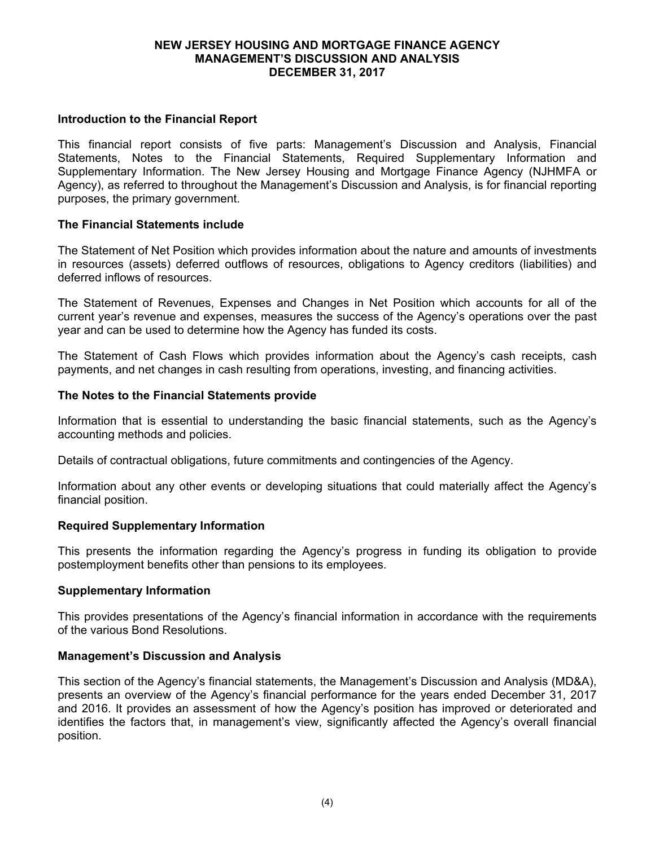## **Introduction to the Financial Report**

This financial report consists of five parts: Management's Discussion and Analysis, Financial Statements, Notes to the Financial Statements, Required Supplementary Information and Supplementary Information. The New Jersey Housing and Mortgage Finance Agency (NJHMFA or Agency), as referred to throughout the Management's Discussion and Analysis, is for financial reporting purposes, the primary government.

## **The Financial Statements include**

The Statement of Net Position which provides information about the nature and amounts of investments in resources (assets) deferred outflows of resources, obligations to Agency creditors (liabilities) and deferred inflows of resources.

The Statement of Revenues, Expenses and Changes in Net Position which accounts for all of the current year's revenue and expenses, measures the success of the Agency's operations over the past year and can be used to determine how the Agency has funded its costs.

The Statement of Cash Flows which provides information about the Agency's cash receipts, cash payments, and net changes in cash resulting from operations, investing, and financing activities.

#### **The Notes to the Financial Statements provide**

Information that is essential to understanding the basic financial statements, such as the Agency's accounting methods and policies.

Details of contractual obligations, future commitments and contingencies of the Agency.

Information about any other events or developing situations that could materially affect the Agency's financial position.

#### **Required Supplementary Information**

This presents the information regarding the Agency's progress in funding its obligation to provide postemployment benefits other than pensions to its employees.

#### **Supplementary Information**

This provides presentations of the Agency's financial information in accordance with the requirements of the various Bond Resolutions.

#### **Management's Discussion and Analysis**

This section of the Agency's financial statements, the Management's Discussion and Analysis (MD&A), presents an overview of the Agency's financial performance for the years ended December 31, 2017 and 2016. It provides an assessment of how the Agency's position has improved or deteriorated and identifies the factors that, in management's view, significantly affected the Agency's overall financial position.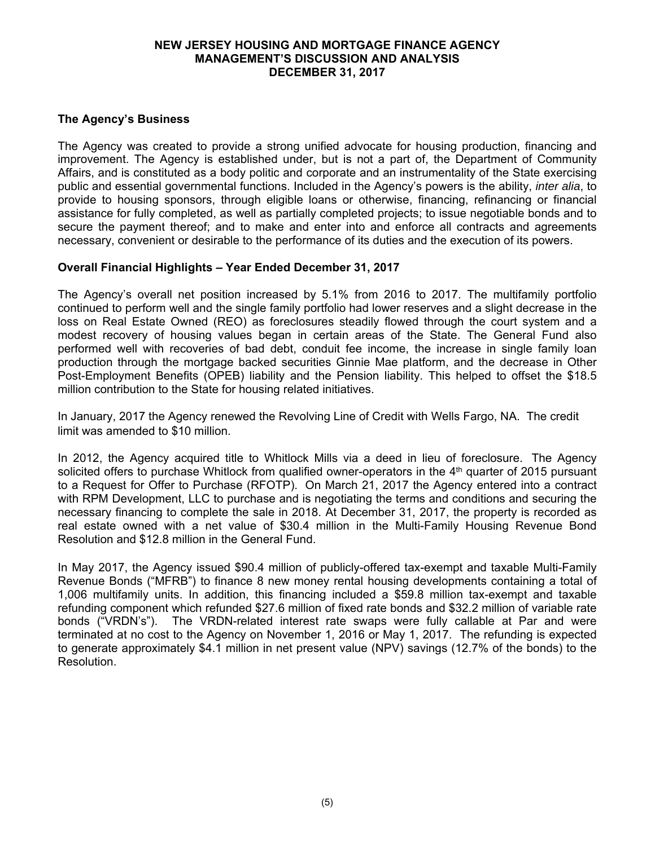# **The Agency's Business**

The Agency was created to provide a strong unified advocate for housing production, financing and improvement. The Agency is established under, but is not a part of, the Department of Community Affairs, and is constituted as a body politic and corporate and an instrumentality of the State exercising public and essential governmental functions. Included in the Agency's powers is the ability, *inter alia*, to provide to housing sponsors, through eligible loans or otherwise, financing, refinancing or financial assistance for fully completed, as well as partially completed projects; to issue negotiable bonds and to secure the payment thereof; and to make and enter into and enforce all contracts and agreements necessary, convenient or desirable to the performance of its duties and the execution of its powers.

# **Overall Financial Highlights – Year Ended December 31, 2017**

The Agency's overall net position increased by 5.1% from 2016 to 2017. The multifamily portfolio continued to perform well and the single family portfolio had lower reserves and a slight decrease in the loss on Real Estate Owned (REO) as foreclosures steadily flowed through the court system and a modest recovery of housing values began in certain areas of the State. The General Fund also performed well with recoveries of bad debt, conduit fee income, the increase in single family loan production through the mortgage backed securities Ginnie Mae platform, and the decrease in Other Post-Employment Benefits (OPEB) liability and the Pension liability. This helped to offset the \$18.5 million contribution to the State for housing related initiatives.

In January, 2017 the Agency renewed the Revolving Line of Credit with Wells Fargo, NA. The credit limit was amended to \$10 million.

In 2012, the Agency acquired title to Whitlock Mills via a deed in lieu of foreclosure. The Agency solicited offers to purchase Whitlock from qualified owner-operators in the 4<sup>th</sup> quarter of 2015 pursuant to a Request for Offer to Purchase (RFOTP). On March 21, 2017 the Agency entered into a contract with RPM Development, LLC to purchase and is negotiating the terms and conditions and securing the necessary financing to complete the sale in 2018. At December 31, 2017, the property is recorded as real estate owned with a net value of \$30.4 million in the Multi-Family Housing Revenue Bond Resolution and \$12.8 million in the General Fund.

In May 2017, the Agency issued \$90.4 million of publicly-offered tax-exempt and taxable Multi-Family Revenue Bonds ("MFRB") to finance 8 new money rental housing developments containing a total of 1,006 multifamily units. In addition, this financing included a \$59.8 million tax-exempt and taxable refunding component which refunded \$27.6 million of fixed rate bonds and \$32.2 million of variable rate bonds ("VRDN's"). The VRDN-related interest rate swaps were fully callable at Par and were terminated at no cost to the Agency on November 1, 2016 or May 1, 2017. The refunding is expected to generate approximately \$4.1 million in net present value (NPV) savings (12.7% of the bonds) to the Resolution.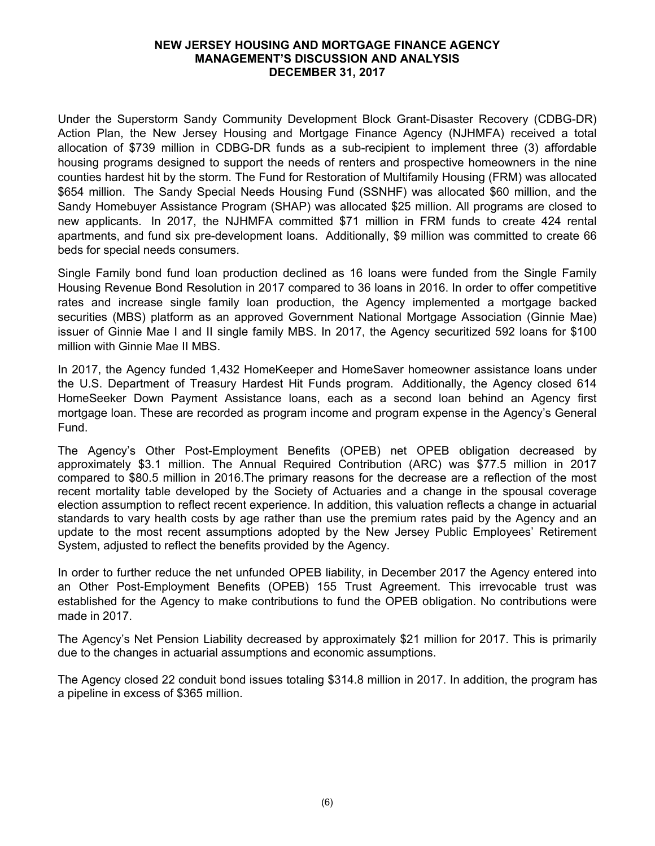Under the Superstorm Sandy Community Development Block Grant-Disaster Recovery (CDBG-DR) Action Plan, the New Jersey Housing and Mortgage Finance Agency (NJHMFA) received a total allocation of \$739 million in CDBG-DR funds as a sub-recipient to implement three (3) affordable housing programs designed to support the needs of renters and prospective homeowners in the nine counties hardest hit by the storm. The Fund for Restoration of Multifamily Housing (FRM) was allocated \$654 million. The Sandy Special Needs Housing Fund (SSNHF) was allocated \$60 million, and the Sandy Homebuyer Assistance Program (SHAP) was allocated \$25 million. All programs are closed to new applicants. In 2017, the NJHMFA committed \$71 million in FRM funds to create 424 rental apartments, and fund six pre-development loans. Additionally, \$9 million was committed to create 66 beds for special needs consumers.

Single Family bond fund loan production declined as 16 loans were funded from the Single Family Housing Revenue Bond Resolution in 2017 compared to 36 loans in 2016. In order to offer competitive rates and increase single family loan production, the Agency implemented a mortgage backed securities (MBS) platform as an approved Government National Mortgage Association (Ginnie Mae) issuer of Ginnie Mae I and II single family MBS. In 2017, the Agency securitized 592 loans for \$100 million with Ginnie Mae II MBS.

In 2017, the Agency funded 1,432 HomeKeeper and HomeSaver homeowner assistance loans under the U.S. Department of Treasury Hardest Hit Funds program. Additionally, the Agency closed 614 HomeSeeker Down Payment Assistance loans, each as a second loan behind an Agency first mortgage loan. These are recorded as program income and program expense in the Agency's General Fund.

The Agency's Other Post-Employment Benefits (OPEB) net OPEB obligation decreased by approximately \$3.1 million. The Annual Required Contribution (ARC) was \$77.5 million in 2017 compared to \$80.5 million in 2016.The primary reasons for the decrease are a reflection of the most recent mortality table developed by the Society of Actuaries and a change in the spousal coverage election assumption to reflect recent experience. In addition, this valuation reflects a change in actuarial standards to vary health costs by age rather than use the premium rates paid by the Agency and an update to the most recent assumptions adopted by the New Jersey Public Employees' Retirement System, adjusted to reflect the benefits provided by the Agency.

In order to further reduce the net unfunded OPEB liability, in December 2017 the Agency entered into an Other Post-Employment Benefits (OPEB) 155 Trust Agreement. This irrevocable trust was established for the Agency to make contributions to fund the OPEB obligation. No contributions were made in 2017.

The Agency's Net Pension Liability decreased by approximately \$21 million for 2017. This is primarily due to the changes in actuarial assumptions and economic assumptions.

The Agency closed 22 conduit bond issues totaling \$314.8 million in 2017. In addition, the program has a pipeline in excess of \$365 million.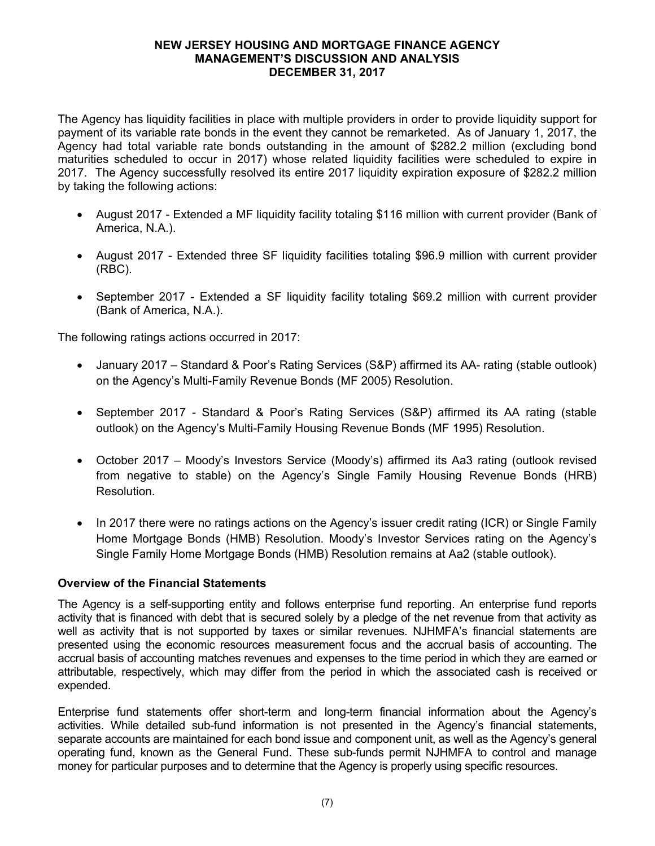The Agency has liquidity facilities in place with multiple providers in order to provide liquidity support for payment of its variable rate bonds in the event they cannot be remarketed. As of January 1, 2017, the Agency had total variable rate bonds outstanding in the amount of \$282.2 million (excluding bond maturities scheduled to occur in 2017) whose related liquidity facilities were scheduled to expire in 2017. The Agency successfully resolved its entire 2017 liquidity expiration exposure of \$282.2 million by taking the following actions:

- August 2017 Extended a MF liquidity facility totaling \$116 million with current provider (Bank of America, N.A.).
- August 2017 Extended three SF liquidity facilities totaling \$96.9 million with current provider (RBC).
- September 2017 Extended a SF liquidity facility totaling \$69.2 million with current provider (Bank of America, N.A.).

The following ratings actions occurred in 2017:

- January 2017 Standard & Poor's Rating Services (S&P) affirmed its AA- rating (stable outlook) on the Agency's Multi-Family Revenue Bonds (MF 2005) Resolution.
- September 2017 Standard & Poor's Rating Services (S&P) affirmed its AA rating (stable outlook) on the Agency's Multi-Family Housing Revenue Bonds (MF 1995) Resolution.
- October 2017 Moody's Investors Service (Moody's) affirmed its Aa3 rating (outlook revised from negative to stable) on the Agency's Single Family Housing Revenue Bonds (HRB) Resolution.
- In 2017 there were no ratings actions on the Agency's issuer credit rating (ICR) or Single Family Home Mortgage Bonds (HMB) Resolution. Moody's Investor Services rating on the Agency's Single Family Home Mortgage Bonds (HMB) Resolution remains at Aa2 (stable outlook).

# **Overview of the Financial Statements**

The Agency is a self-supporting entity and follows enterprise fund reporting. An enterprise fund reports activity that is financed with debt that is secured solely by a pledge of the net revenue from that activity as well as activity that is not supported by taxes or similar revenues. NJHMFA's financial statements are presented using the economic resources measurement focus and the accrual basis of accounting. The accrual basis of accounting matches revenues and expenses to the time period in which they are earned or attributable, respectively, which may differ from the period in which the associated cash is received or expended.

Enterprise fund statements offer short-term and long-term financial information about the Agency's activities. While detailed sub-fund information is not presented in the Agency's financial statements, separate accounts are maintained for each bond issue and component unit, as well as the Agency's general operating fund, known as the General Fund. These sub-funds permit NJHMFA to control and manage money for particular purposes and to determine that the Agency is properly using specific resources.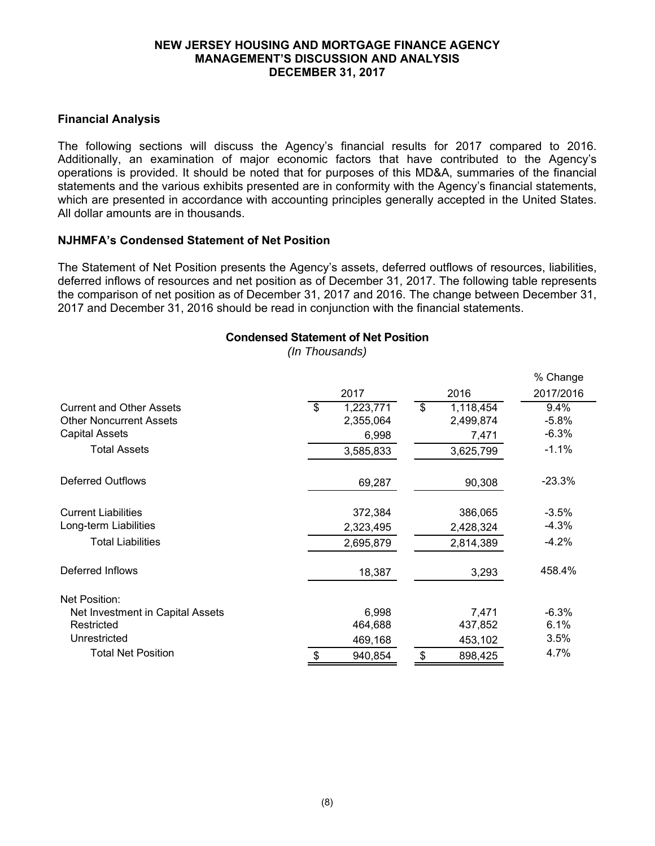# **Financial Analysis**

The following sections will discuss the Agency's financial results for 2017 compared to 2016. Additionally, an examination of major economic factors that have contributed to the Agency's operations is provided. It should be noted that for purposes of this MD&A, summaries of the financial statements and the various exhibits presented are in conformity with the Agency's financial statements, which are presented in accordance with accounting principles generally accepted in the United States. All dollar amounts are in thousands.

# **NJHMFA's Condensed Statement of Net Position**

The Statement of Net Position presents the Agency's assets, deferred outflows of resources, liabilities, deferred inflows of resources and net position as of December 31, 2017. The following table represents the comparison of net position as of December 31, 2017 and 2016. The change between December 31, 2017 and December 31, 2016 should be read in conjunction with the financial statements.

# **Condensed Statement of Net Position**

*(In Thousands)* 

|                                  |                 |                 | % Change  |
|----------------------------------|-----------------|-----------------|-----------|
|                                  | 2017            | 2016            | 2017/2016 |
| <b>Current and Other Assets</b>  | \$<br>1,223,771 | \$<br>1,118,454 | 9.4%      |
| <b>Other Noncurrent Assets</b>   | 2,355,064       | 2,499,874       | $-5.8\%$  |
| <b>Capital Assets</b>            | 6,998           | 7,471           | $-6.3%$   |
| <b>Total Assets</b>              | 3,585,833       | 3,625,799       | $-1.1%$   |
| Deferred Outflows                | 69,287          | 90,308          | $-23.3%$  |
| <b>Current Liabilities</b>       | 372,384         | 386,065         | $-3.5%$   |
| Long-term Liabilities            | 2,323,495       | 2,428,324       | $-4.3%$   |
| <b>Total Liabilities</b>         | 2,695,879       | 2,814,389       | $-4.2%$   |
| Deferred Inflows                 | 18,387          | 3,293           | 458.4%    |
| Net Position:                    |                 |                 |           |
| Net Investment in Capital Assets | 6,998           | 7,471           | $-6.3%$   |
| Restricted                       | 464,688         | 437,852         | 6.1%      |
| Unrestricted                     | 469,168         | 453,102         | 3.5%      |
| <b>Total Net Position</b>        | 940,854<br>\$   | \$<br>898,425   | 4.7%      |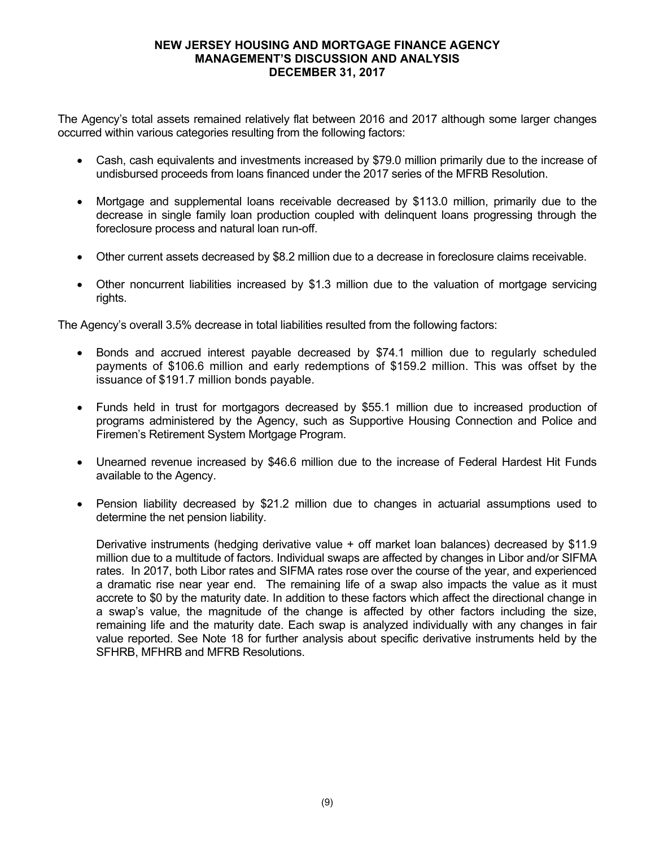The Agency's total assets remained relatively flat between 2016 and 2017 although some larger changes occurred within various categories resulting from the following factors:

- Cash, cash equivalents and investments increased by \$79.0 million primarily due to the increase of undisbursed proceeds from loans financed under the 2017 series of the MFRB Resolution.
- Mortgage and supplemental loans receivable decreased by \$113.0 million, primarily due to the decrease in single family loan production coupled with delinquent loans progressing through the foreclosure process and natural loan run-off.
- Other current assets decreased by \$8.2 million due to a decrease in foreclosure claims receivable.
- Other noncurrent liabilities increased by \$1.3 million due to the valuation of mortgage servicing rights.

The Agency's overall 3.5% decrease in total liabilities resulted from the following factors:

- Bonds and accrued interest payable decreased by \$74.1 million due to regularly scheduled payments of \$106.6 million and early redemptions of \$159.2 million. This was offset by the issuance of \$191.7 million bonds payable.
- Funds held in trust for mortgagors decreased by \$55.1 million due to increased production of programs administered by the Agency, such as Supportive Housing Connection and Police and Firemen's Retirement System Mortgage Program.
- Unearned revenue increased by \$46.6 million due to the increase of Federal Hardest Hit Funds available to the Agency.
- Pension liability decreased by \$21.2 million due to changes in actuarial assumptions used to determine the net pension liability.

Derivative instruments (hedging derivative value + off market loan balances) decreased by \$11.9 million due to a multitude of factors. Individual swaps are affected by changes in Libor and/or SIFMA rates. In 2017, both Libor rates and SIFMA rates rose over the course of the year, and experienced a dramatic rise near year end. The remaining life of a swap also impacts the value as it must accrete to \$0 by the maturity date. In addition to these factors which affect the directional change in a swap's value, the magnitude of the change is affected by other factors including the size, remaining life and the maturity date. Each swap is analyzed individually with any changes in fair value reported. See Note 18 for further analysis about specific derivative instruments held by the SFHRB, MFHRB and MFRB Resolutions.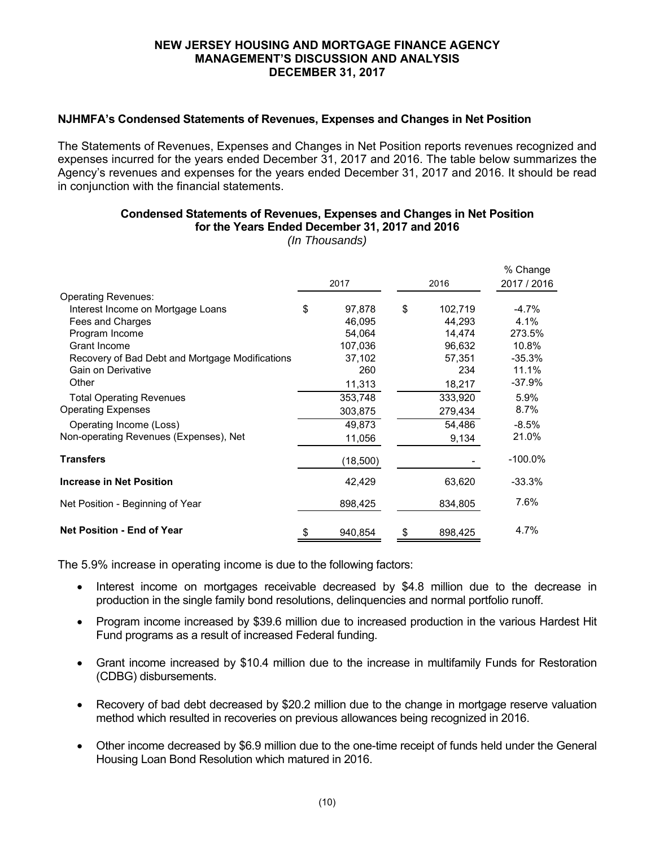## **NJHMFA's Condensed Statements of Revenues, Expenses and Changes in Net Position**

The Statements of Revenues, Expenses and Changes in Net Position reports revenues recognized and expenses incurred for the years ended December 31, 2017 and 2016. The table below summarizes the Agency's revenues and expenses for the years ended December 31, 2017 and 2016. It should be read in conjunction with the financial statements.

# **Condensed Statements of Revenues, Expenses and Changes in Net Position for the Years Ended December 31, 2017 and 2016**

*(In Thousands)* 

|                                                 |               |               | % Change    |
|-------------------------------------------------|---------------|---------------|-------------|
|                                                 | 2017          | 2016          | 2017 / 2016 |
| <b>Operating Revenues:</b>                      |               |               |             |
| Interest Income on Mortgage Loans               | \$<br>97,878  | \$<br>102,719 | $-4.7\%$    |
| Fees and Charges                                | 46,095        | 44,293        | 4.1%        |
| Program Income                                  | 54,064        | 14,474        | 273.5%      |
| Grant Income                                    | 107,036       | 96,632        | 10.8%       |
| Recovery of Bad Debt and Mortgage Modifications | 37,102        | 57,351        | $-35.3%$    |
| Gain on Derivative                              | 260           | 234           | 11.1%       |
| Other                                           | 11,313        | 18,217        | $-37.9%$    |
| <b>Total Operating Revenues</b>                 | 353,748       | 333,920       | 5.9%        |
| <b>Operating Expenses</b>                       | 303,875       | 279,434       | 8.7%        |
| Operating Income (Loss)                         | 49,873        | 54,486        | $-8.5\%$    |
| Non-operating Revenues (Expenses), Net          | 11,056        | 9,134         | 21.0%       |
| <b>Transfers</b>                                | (18,500)      |               | $-100.0\%$  |
| <b>Increase in Net Position</b>                 | 42,429        | 63,620        | $-33.3%$    |
| Net Position - Beginning of Year                | 898,425       | 834,805       | 7.6%        |
| <b>Net Position - End of Year</b>               | \$<br>940,854 | \$<br>898,425 | 4.7%        |

The 5.9% increase in operating income is due to the following factors:

- Interest income on mortgages receivable decreased by \$4.8 million due to the decrease in production in the single family bond resolutions, delinquencies and normal portfolio runoff.
- Program income increased by \$39.6 million due to increased production in the various Hardest Hit Fund programs as a result of increased Federal funding.
- Grant income increased by \$10.4 million due to the increase in multifamily Funds for Restoration (CDBG) disbursements.
- Recovery of bad debt decreased by \$20.2 million due to the change in mortgage reserve valuation method which resulted in recoveries on previous allowances being recognized in 2016.
- Other income decreased by \$6.9 million due to the one-time receipt of funds held under the General Housing Loan Bond Resolution which matured in 2016.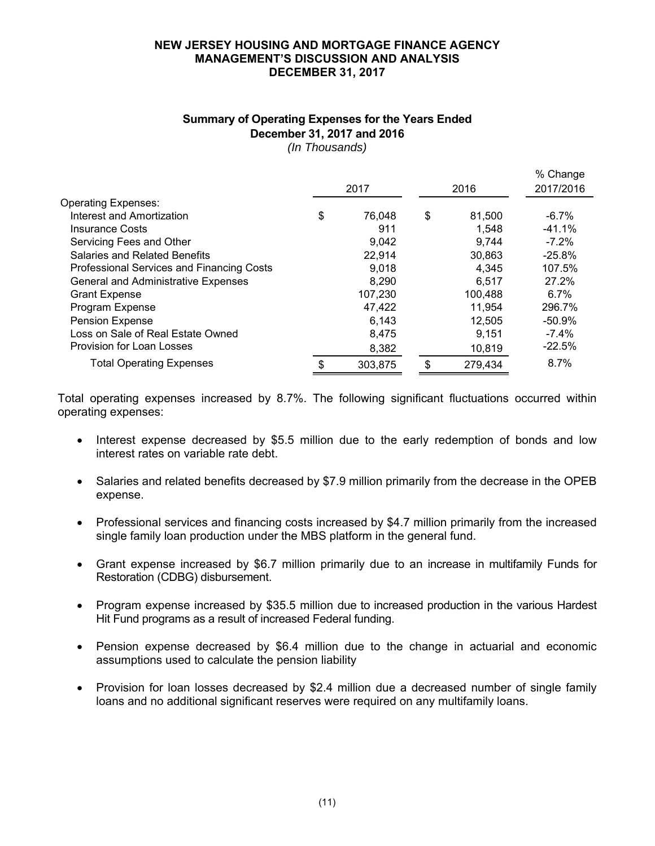# **Summary of Operating Expenses for the Years Ended December 31, 2017 and 2016**

*(In Thousands)* 

 $\frac{1}{2}$  Change

|                                            |      |         |     |         | % onange  |
|--------------------------------------------|------|---------|-----|---------|-----------|
|                                            | 2017 |         |     | 2016    | 2017/2016 |
| <b>Operating Expenses:</b>                 |      |         |     |         |           |
| Interest and Amortization                  | \$   | 76.048  | \$  | 81,500  | $-6.7\%$  |
| Insurance Costs                            |      | 911     |     | 1.548   | $-41.1%$  |
| Servicing Fees and Other                   |      | 9,042   |     | 9,744   | $-7.2\%$  |
| Salaries and Related Benefits              |      | 22,914  |     | 30,863  | $-25.8%$  |
| Professional Services and Financing Costs  |      | 9.018   |     | 4.345   | 107.5%    |
| <b>General and Administrative Expenses</b> |      | 8,290   |     | 6,517   | 27.2%     |
| <b>Grant Expense</b>                       |      | 107,230 |     | 100.488 | $6.7\%$   |
| Program Expense                            |      | 47,422  |     | 11,954  | 296.7%    |
| Pension Expense                            |      | 6,143   |     | 12.505  | $-50.9%$  |
| Loss on Sale of Real Estate Owned          |      | 8,475   |     | 9,151   | $-7.4\%$  |
| Provision for Loan Losses                  |      | 8,382   |     | 10,819  | $-22.5%$  |
| <b>Total Operating Expenses</b>            | \$   | 303,875 | \$. | 279,434 | 8.7%      |
|                                            |      |         |     |         |           |

Total operating expenses increased by 8.7%. The following significant fluctuations occurred within operating expenses:

- Interest expense decreased by \$5.5 million due to the early redemption of bonds and low interest rates on variable rate debt.
- Salaries and related benefits decreased by \$7.9 million primarily from the decrease in the OPEB expense.
- Professional services and financing costs increased by \$4.7 million primarily from the increased single family loan production under the MBS platform in the general fund.
- Grant expense increased by \$6.7 million primarily due to an increase in multifamily Funds for Restoration (CDBG) disbursement.
- Program expense increased by \$35.5 million due to increased production in the various Hardest Hit Fund programs as a result of increased Federal funding.
- Pension expense decreased by \$6.4 million due to the change in actuarial and economic assumptions used to calculate the pension liability
- Provision for loan losses decreased by \$2.4 million due a decreased number of single family loans and no additional significant reserves were required on any multifamily loans.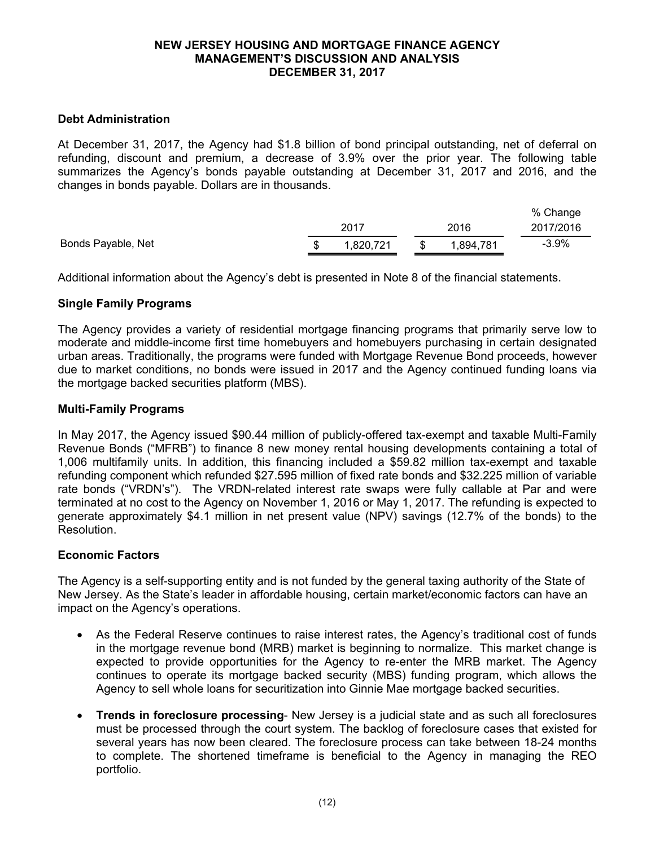# **Debt Administration**

At December 31, 2017, the Agency had \$1.8 billion of bond principal outstanding, net of deferral on refunding, discount and premium, a decrease of 3.9% over the prior year. The following table summarizes the Agency's bonds payable outstanding at December 31, 2017 and 2016, and the changes in bonds payable. Dollars are in thousands.

|                    |           |           | % Change  |
|--------------------|-----------|-----------|-----------|
|                    | 2017      | 2016      | 2017/2016 |
| Bonds Payable, Net | 1,820,721 | 1,894,781 | $-3.9%$   |

Additional information about the Agency's debt is presented in Note 8 of the financial statements.

## **Single Family Programs**

The Agency provides a variety of residential mortgage financing programs that primarily serve low to moderate and middle-income first time homebuyers and homebuyers purchasing in certain designated urban areas. Traditionally, the programs were funded with Mortgage Revenue Bond proceeds, however due to market conditions, no bonds were issued in 2017 and the Agency continued funding loans via the mortgage backed securities platform (MBS).

## **Multi-Family Programs**

In May 2017, the Agency issued \$90.44 million of publicly-offered tax-exempt and taxable Multi-Family Revenue Bonds ("MFRB") to finance 8 new money rental housing developments containing a total of 1,006 multifamily units. In addition, this financing included a \$59.82 million tax-exempt and taxable refunding component which refunded \$27.595 million of fixed rate bonds and \$32.225 million of variable rate bonds ("VRDN's"). The VRDN-related interest rate swaps were fully callable at Par and were terminated at no cost to the Agency on November 1, 2016 or May 1, 2017. The refunding is expected to generate approximately \$4.1 million in net present value (NPV) savings (12.7% of the bonds) to the Resolution.

#### **Economic Factors**

The Agency is a self-supporting entity and is not funded by the general taxing authority of the State of New Jersey. As the State's leader in affordable housing, certain market/economic factors can have an impact on the Agency's operations.

- As the Federal Reserve continues to raise interest rates, the Agency's traditional cost of funds in the mortgage revenue bond (MRB) market is beginning to normalize. This market change is expected to provide opportunities for the Agency to re-enter the MRB market. The Agency continues to operate its mortgage backed security (MBS) funding program, which allows the Agency to sell whole loans for securitization into Ginnie Mae mortgage backed securities.
- **Trends in foreclosure processing** New Jersey is a judicial state and as such all foreclosures must be processed through the court system. The backlog of foreclosure cases that existed for several years has now been cleared. The foreclosure process can take between 18-24 months to complete. The shortened timeframe is beneficial to the Agency in managing the REO portfolio.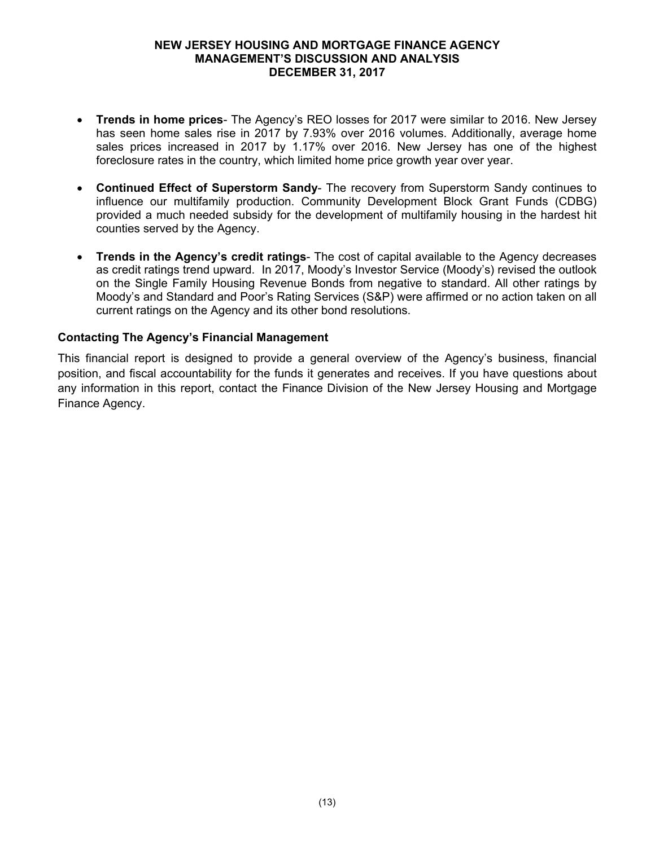- **Trends in home prices** The Agency's REO losses for 2017 were similar to 2016. New Jersey has seen home sales rise in 2017 by 7.93% over 2016 volumes. Additionally, average home sales prices increased in 2017 by 1.17% over 2016. New Jersey has one of the highest foreclosure rates in the country, which limited home price growth year over year.
- **Continued Effect of Superstorm Sandy** The recovery from Superstorm Sandy continues to influence our multifamily production. Community Development Block Grant Funds (CDBG) provided a much needed subsidy for the development of multifamily housing in the hardest hit counties served by the Agency.
- **Trends in the Agency's credit ratings** The cost of capital available to the Agency decreases as credit ratings trend upward. In 2017, Moody's Investor Service (Moody's) revised the outlook on the Single Family Housing Revenue Bonds from negative to standard. All other ratings by Moody's and Standard and Poor's Rating Services (S&P) were affirmed or no action taken on all current ratings on the Agency and its other bond resolutions.

# **Contacting The Agency's Financial Management**

This financial report is designed to provide a general overview of the Agency's business, financial position, and fiscal accountability for the funds it generates and receives. If you have questions about any information in this report, contact the Finance Division of the New Jersey Housing and Mortgage Finance Agency.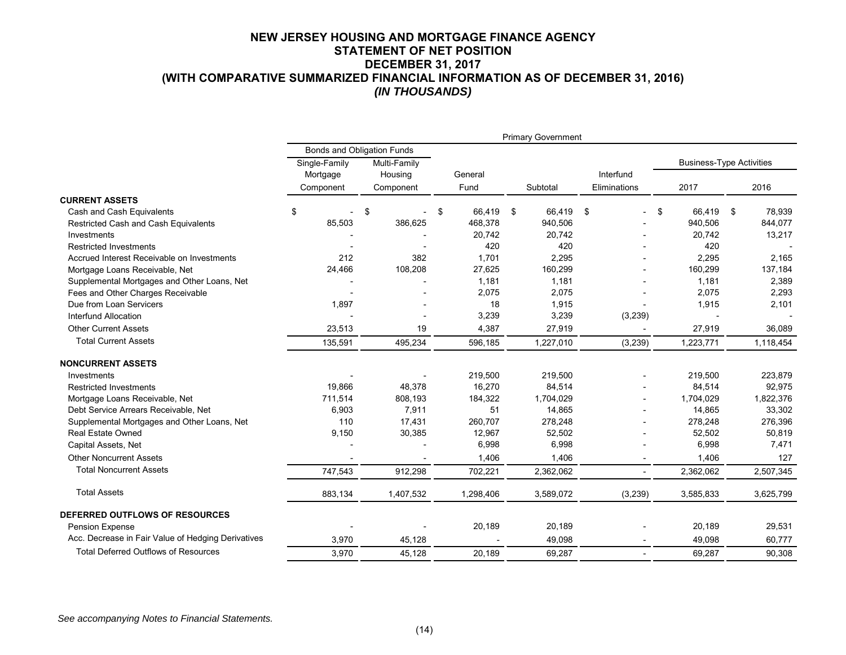## **NEW JERSEY HOUSING AND MORTGAGE FINANCE AGENCY STATEMENT OF NET POSITION DECEMBER 31, 2017 (WITH COMPARATIVE SUMMARIZED FINANCIAL INFORMATION AS OF DECEMBER 31, 2016)**  *(IN THOUSANDS)*

|                                                    |                            |                      |               | <b>Primary Government</b> |                                  |              |                                 |  |
|----------------------------------------------------|----------------------------|----------------------|---------------|---------------------------|----------------------------------|--------------|---------------------------------|--|
|                                                    | Bonds and Obligation Funds |                      |               |                           |                                  |              |                                 |  |
|                                                    | Single-Family              | Multi-Family         |               |                           |                                  |              | <b>Business-Type Activities</b> |  |
|                                                    | Mortgage                   | Housing              | General       |                           | Interfund                        |              |                                 |  |
|                                                    | Component                  | Component            | Fund          | Subtotal                  | Eliminations                     | 2017         | 2016                            |  |
| <b>CURRENT ASSETS</b>                              |                            |                      |               |                           |                                  |              |                                 |  |
| Cash and Cash Equivalents                          | \$                         | \$<br>$\blacksquare$ | -\$<br>66,419 | \$<br>66,419              | - \$<br>$\overline{\phantom{a}}$ | \$<br>66,419 | \$<br>78,939                    |  |
| Restricted Cash and Cash Equivalents               | 85,503                     | 386,625              | 468,378       | 940,506                   |                                  | 940,506      | 844,077                         |  |
| Investments                                        |                            |                      | 20,742        | 20,742                    |                                  | 20,742       | 13,217                          |  |
| <b>Restricted Investments</b>                      |                            |                      | 420           | 420                       |                                  | 420          |                                 |  |
| Accrued Interest Receivable on Investments         | 212                        | 382                  | 1,701         | 2,295                     |                                  | 2,295        | 2,165                           |  |
| Mortgage Loans Receivable, Net                     | 24,466                     | 108,208              | 27,625        | 160,299                   |                                  | 160,299      | 137,184                         |  |
| Supplemental Mortgages and Other Loans, Net        |                            |                      | 1,181         | 1,181                     |                                  | 1,181        | 2,389                           |  |
| Fees and Other Charges Receivable                  |                            |                      | 2,075         | 2,075                     |                                  | 2,075        | 2,293                           |  |
| Due from Loan Servicers                            | 1,897                      |                      | 18            | 1,915                     |                                  | 1,915        | 2,101                           |  |
| Interfund Allocation                               |                            |                      | 3,239         | 3,239                     | (3,239)                          |              |                                 |  |
| <b>Other Current Assets</b>                        | 23,513                     | 19                   | 4,387         | 27,919                    |                                  | 27,919       | 36,089                          |  |
| <b>Total Current Assets</b>                        | 135,591                    | 495,234              | 596,185       | 1,227,010                 | (3, 239)                         | 1,223,771    | 1,118,454                       |  |
| <b>NONCURRENT ASSETS</b>                           |                            |                      |               |                           |                                  |              |                                 |  |
| Investments                                        |                            |                      | 219,500       | 219,500                   |                                  | 219,500      | 223,879                         |  |
| <b>Restricted Investments</b>                      | 19,866                     | 48,378               | 16,270        | 84,514                    |                                  | 84,514       | 92,975                          |  |
| Mortgage Loans Receivable, Net                     | 711,514                    | 808,193              | 184,322       | 1,704,029                 | $\overline{a}$                   | 1,704,029    | 1,822,376                       |  |
| Debt Service Arrears Receivable, Net               | 6,903                      | 7,911                | 51            | 14,865                    | $\overline{a}$                   | 14,865       | 33,302                          |  |
| Supplemental Mortgages and Other Loans, Net        | 110                        | 17,431               | 260,707       | 278,248                   |                                  | 278,248      | 276,396                         |  |
| <b>Real Estate Owned</b>                           | 9,150                      | 30,385               | 12,967        | 52.502                    |                                  | 52,502       | 50,819                          |  |
| Capital Assets, Net                                |                            |                      | 6,998         | 6,998                     |                                  | 6,998        | 7,471                           |  |
| <b>Other Noncurrent Assets</b>                     |                            |                      | 1,406         | 1,406                     |                                  | 1,406        | 127                             |  |
| <b>Total Noncurrent Assets</b>                     | 747,543                    | 912,298              | 702,221       | 2,362,062                 | $\overline{a}$                   | 2,362,062    | 2,507,345                       |  |
| <b>Total Assets</b>                                | 883,134                    | 1,407,532            | 1,298,406     | 3,589,072                 | (3,239)                          | 3,585,833    | 3,625,799                       |  |
| DEFERRED OUTFLOWS OF RESOURCES                     |                            |                      |               |                           |                                  |              |                                 |  |
| Pension Expense                                    |                            |                      | 20,189        | 20,189                    |                                  | 20,189       | 29,531                          |  |
| Acc. Decrease in Fair Value of Hedging Derivatives | 3,970                      | 45,128               |               | 49,098                    |                                  | 49,098       | 60,777                          |  |
| <b>Total Deferred Outflows of Resources</b>        | 3,970                      | 45,128               | 20,189        | 69,287                    | $\overline{a}$                   | 69,287       | 90,308                          |  |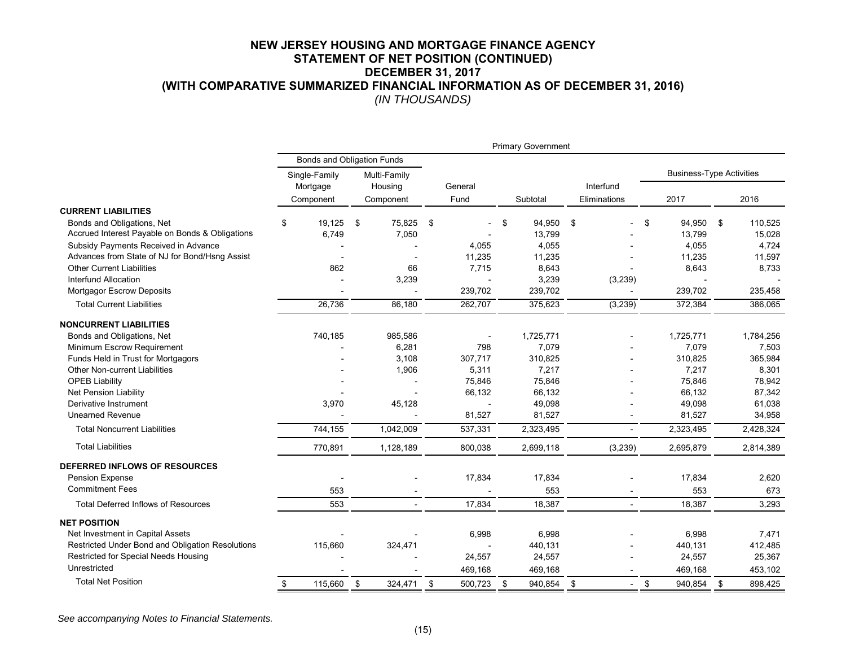#### **NEW JERSEY HOUSING AND MORTGAGE FINANCE AGENCY STATEMENT OF NET POSITION (CONTINUED) DECEMBER 31, 2017 (WITH COMPARATIVE SUMMARIZED FINANCIAL INFORMATION AS OF DECEMBER 31, 2016)**  *(IN THOUSANDS)*

|                                                  |               |                            |                      | <b>Primary Government</b> |                |               |                                 |
|--------------------------------------------------|---------------|----------------------------|----------------------|---------------------------|----------------|---------------|---------------------------------|
|                                                  |               | Bonds and Obligation Funds |                      |                           |                |               |                                 |
|                                                  | Single-Family | Multi-Family               |                      |                           |                |               | <b>Business-Type Activities</b> |
|                                                  | Mortgage      | Housing                    | General              |                           | Interfund      |               |                                 |
|                                                  | Component     | Component                  | Fund                 | Subtotal                  | Eliminations   | 2017          | 2016                            |
| <b>CURRENT LIABILITIES</b>                       |               |                            |                      |                           |                |               |                                 |
| Bonds and Obligations, Net                       | \$<br>19,125  | \$<br>75,825               | \$<br>$\blacksquare$ | 94,950<br>\$              | -\$            | \$<br>94,950  | \$<br>110,525                   |
| Accrued Interest Payable on Bonds & Obligations  | 6,749         | 7,050                      |                      | 13,799                    |                | 13,799        | 15,028                          |
| Subsidy Payments Received in Advance             |               |                            | 4,055                | 4,055                     |                | 4,055         | 4.724                           |
| Advances from State of NJ for Bond/Hsng Assist   |               |                            | 11,235               | 11,235                    |                | 11,235        | 11,597                          |
| <b>Other Current Liabilities</b>                 | 862           | 66                         | 7,715                | 8,643                     |                | 8,643         | 8,733                           |
| <b>Interfund Allocation</b>                      |               | 3,239                      |                      | 3,239                     | (3,239)        |               |                                 |
| Mortgagor Escrow Deposits                        |               |                            | 239,702              | 239,702                   |                | 239,702       | 235,458                         |
| <b>Total Current Liabilities</b>                 | 26.736        | 86.180                     | 262.707              | 375,623                   | (3,239)        | 372,384       | 386.065                         |
| <b>NONCURRENT LIABILITIES</b>                    |               |                            |                      |                           |                |               |                                 |
| Bonds and Obligations, Net                       | 740,185       | 985,586                    |                      | 1,725,771                 |                | 1,725,771     | 1,784,256                       |
| Minimum Escrow Requirement                       |               | 6,281                      | 798                  | 7,079                     |                | 7,079         | 7,503                           |
| Funds Held in Trust for Mortgagors               |               | 3.108                      | 307,717              | 310,825                   |                | 310,825       | 365,984                         |
| <b>Other Non-current Liabilities</b>             |               | 1,906                      | 5,311                | 7,217                     |                | 7,217         | 8,301                           |
| <b>OPEB Liability</b>                            |               |                            | 75,846               | 75,846                    |                | 75,846        | 78,942                          |
| Net Pension Liability                            |               |                            | 66,132               | 66,132                    |                | 66,132        | 87,342                          |
| Derivative Instrument                            | 3,970         | 45,128                     |                      | 49,098                    |                | 49,098        | 61,038                          |
| <b>Unearned Revenue</b>                          |               |                            | 81,527               | 81,527                    |                | 81,527        | 34,958                          |
| <b>Total Noncurrent Liabilities</b>              | 744.155       | 1,042,009                  | 537.331              | 2,323,495                 |                | 2,323,495     | 2,428,324                       |
| <b>Total Liabilities</b>                         | 770,891       | 1,128,189                  | 800,038              | 2,699,118                 | (3, 239)       | 2,695,879     | 2,814,389                       |
| <b>DEFERRED INFLOWS OF RESOURCES</b>             |               |                            |                      |                           |                |               |                                 |
| Pension Expense                                  |               |                            | 17,834               | 17,834                    |                | 17,834        | 2,620                           |
| <b>Commitment Fees</b>                           | 553           |                            |                      | 553                       |                | 553           | 673                             |
| <b>Total Deferred Inflows of Resources</b>       | 553           | $\overline{\phantom{a}}$   | 17,834               | 18,387                    |                | 18,387        | 3,293                           |
| <b>NET POSITION</b>                              |               |                            |                      |                           |                |               |                                 |
| Net Investment in Capital Assets                 |               |                            | 6,998                | 6,998                     |                | 6,998         | 7,471                           |
| Restricted Under Bond and Obligation Resolutions | 115,660       | 324,471                    |                      | 440,131                   |                | 440,131       | 412,485                         |
| Restricted for Special Needs Housing             |               |                            | 24,557               | 24,557                    |                | 24,557        | 25,367                          |
| Unrestricted                                     |               |                            | 469,168              | 469,168                   |                | 469,168       | 453,102                         |
| <b>Total Net Position</b>                        | 115,660<br>\$ | \$<br>324,471              | \$<br>500,723        | 940,854<br>- \$           | - \$<br>$\sim$ | \$<br>940,854 | \$<br>898,425                   |

*See accompanying Notes to Financial Statements.*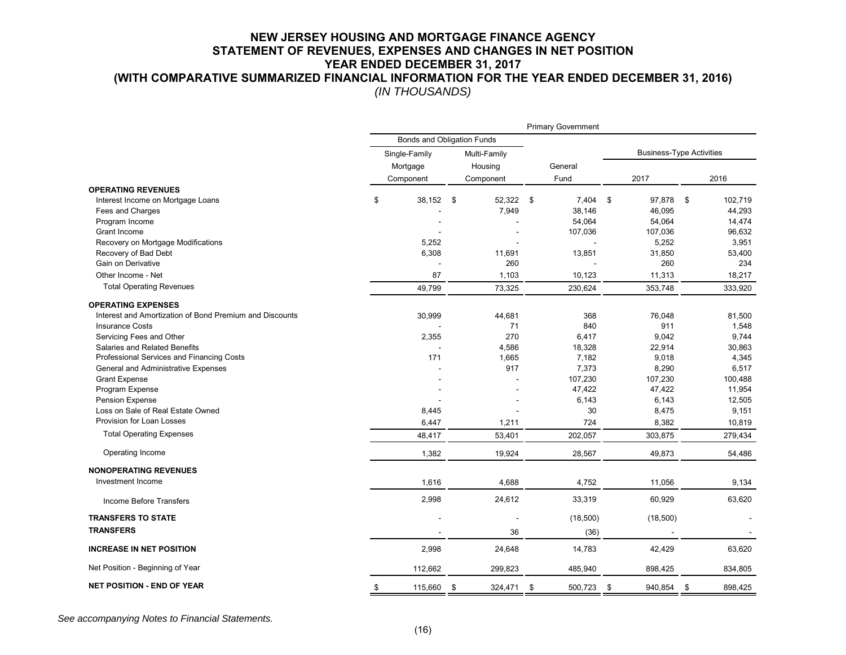#### **NEW JERSEY HOUSING AND MORTGAGE FINANCE AGENCY STATEMENT OF REVENUES, EXPENSES AND CHANGES IN NET POSITION YEAR ENDED DECEMBER 31, 2017 (WITH COMPARATIVE SUMMARIZED FINANCIAL INFORMATION FOR THE YEAR ENDED DECEMBER 31, 2016)**  *(IN THOUSANDS)*

|                                                         |                            |                      | <b>Primary Government</b>   |               |                                 |  |
|---------------------------------------------------------|----------------------------|----------------------|-----------------------------|---------------|---------------------------------|--|
|                                                         | Bonds and Obligation Funds |                      |                             |               |                                 |  |
|                                                         | Single-Family              | Multi-Family         |                             |               | <b>Business-Type Activities</b> |  |
|                                                         | Mortgage<br>Component      | Housing<br>Component | General<br>Fund             | 2017          | 2016                            |  |
| <b>OPERATING REVENUES</b>                               |                            |                      |                             |               |                                 |  |
| Interest Income on Mortgage Loans                       | \$<br>38,152               | \$<br>52,322         | $\mathbf{\hat{s}}$<br>7,404 | 97,878<br>\$  | \$<br>102,719                   |  |
| Fees and Charges                                        |                            | 7,949                | 38,146                      | 46,095        | 44,293                          |  |
| Program Income                                          |                            |                      | 54,064                      | 54,064        | 14,474                          |  |
| Grant Income                                            |                            |                      | 107,036                     | 107,036       | 96,632                          |  |
| Recovery on Mortgage Modifications                      | 5,252                      |                      |                             | 5,252         | 3,951                           |  |
| Recovery of Bad Debt                                    | 6,308                      | 11,691               | 13,851                      | 31,850        | 53,400                          |  |
| Gain on Derivative                                      |                            | 260                  |                             | 260           | 234                             |  |
| Other Income - Net                                      | 87                         | 1,103                | 10,123                      | 11,313        | 18,217                          |  |
| <b>Total Operating Revenues</b>                         | 49,799                     | 73,325               | 230,624                     | 353,748       | 333,920                         |  |
| <b>OPERATING EXPENSES</b>                               |                            |                      |                             |               |                                 |  |
| Interest and Amortization of Bond Premium and Discounts | 30,999                     | 44,681               | 368                         | 76,048        | 81,500                          |  |
| <b>Insurance Costs</b>                                  |                            | 71                   | 840                         | 911           | 1,548                           |  |
| Servicing Fees and Other                                | 2,355                      | 270                  | 6,417                       | 9,042         | 9,744                           |  |
| Salaries and Related Benefits                           |                            | 4,586                | 18,328                      | 22,914        | 30,863                          |  |
| Professional Services and Financing Costs               | 171                        | 1,665                | 7,182                       | 9,018         | 4,345                           |  |
| General and Administrative Expenses                     |                            | 917                  | 7,373                       | 8,290         | 6,517                           |  |
| <b>Grant Expense</b>                                    |                            |                      | 107,230                     | 107,230       | 100,488                         |  |
| Program Expense                                         |                            |                      | 47,422                      | 47,422        | 11,954                          |  |
| Pension Expense                                         |                            |                      | 6,143                       | 6,143         | 12,505                          |  |
| Loss on Sale of Real Estate Owned                       | 8,445                      |                      | 30                          | 8,475         | 9,151                           |  |
| Provision for Loan Losses                               | 6,447                      | 1,211                | 724                         | 8,382         | 10,819                          |  |
| <b>Total Operating Expenses</b>                         | 48,417                     | 53.401               | 202,057                     | 303,875       | 279,434                         |  |
| Operating Income                                        | 1,382                      | 19,924               | 28,567                      | 49,873        | 54,486                          |  |
| <b>NONOPERATING REVENUES</b>                            |                            |                      |                             |               |                                 |  |
| Investment Income                                       | 1,616                      | 4,688                | 4,752                       | 11,056        | 9,134                           |  |
| Income Before Transfers                                 | 2,998                      | 24,612               | 33,319                      | 60,929        | 63,620                          |  |
| <b>TRANSFERS TO STATE</b>                               |                            |                      | (18,500)                    | (18,500)      |                                 |  |
| <b>TRANSFERS</b>                                        |                            | 36                   | (36)                        |               |                                 |  |
| <b>INCREASE IN NET POSITION</b>                         | 2,998                      | 24,648               | 14,783                      | 42,429        | 63,620                          |  |
| Net Position - Beginning of Year                        | 112,662                    | 299,823              | 485,940                     | 898,425       | 834,805                         |  |
| <b>NET POSITION - END OF YEAR</b>                       | 115,660<br>\$              | -\$<br>324,471       | \$<br>500,723               | 940,854<br>\$ | 898,425<br>- \$                 |  |

*See accompanying Notes to Financial Statements.*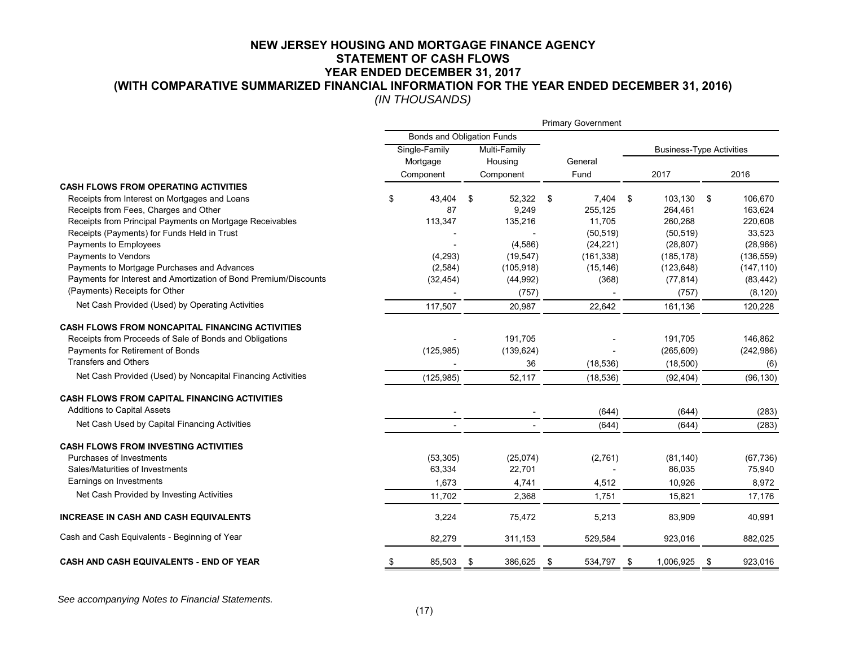#### **NEW JERSEY HOUSING AND MORTGAGE FINANCE AGENCY STATEMENT OF CASH FLOWS YEAR ENDED DECEMBER 31, 2017 (WITH COMPARATIVE SUMMARIZED FINANCIAL INFORMATION FOR THE YEAR ENDED DECEMBER 31, 2016)**  *(IN THOUSANDS)*

|                                                                  | <b>Primary Government</b> |                                   |    |            |    |            |                                 |            |    |            |
|------------------------------------------------------------------|---------------------------|-----------------------------------|----|------------|----|------------|---------------------------------|------------|----|------------|
|                                                                  |                           | <b>Bonds and Obligation Funds</b> |    |            |    |            |                                 |            |    |            |
|                                                                  |                           | Single-Family<br>Multi-Family     |    |            |    |            | <b>Business-Type Activities</b> |            |    |            |
|                                                                  |                           | Mortgage                          |    | Housing    |    | General    |                                 |            |    |            |
|                                                                  |                           | Component                         |    | Component  |    | Fund       |                                 | 2017       |    | 2016       |
| <b>CASH FLOWS FROM OPERATING ACTIVITIES</b>                      |                           |                                   |    |            |    |            |                                 |            |    |            |
| Receipts from Interest on Mortgages and Loans                    | \$                        | 43.404 \$                         |    | 52,322 \$  |    | 7,404      | \$                              | 103.130 \$ |    | 106.670    |
| Receipts from Fees, Charges and Other                            |                           | 87                                |    | 9,249      |    | 255,125    |                                 | 264,461    |    | 163,624    |
| Receipts from Principal Payments on Mortgage Receivables         |                           | 113,347                           |    | 135,216    |    | 11.705     |                                 | 260.268    |    | 220.608    |
| Receipts (Payments) for Funds Held in Trust                      |                           |                                   |    |            |    | (50, 519)  |                                 | (50, 519)  |    | 33,523     |
| Payments to Employees                                            |                           |                                   |    | (4,586)    |    | (24, 221)  |                                 | (28, 807)  |    | (28,966)   |
| Payments to Vendors                                              |                           | (4, 293)                          |    | (19, 547)  |    | (161, 338) |                                 | (185, 178) |    | (136, 559) |
| Payments to Mortgage Purchases and Advances                      |                           | (2,584)                           |    | (105, 918) |    | (15, 146)  |                                 | (123, 648) |    | (147, 110) |
| Payments for Interest and Amortization of Bond Premium/Discounts |                           | (32, 454)                         |    | (44, 992)  |    | (368)      |                                 | (77, 814)  |    | (83, 442)  |
| (Payments) Receipts for Other                                    |                           |                                   |    | (757)      |    |            |                                 | (757)      |    | (8, 120)   |
| Net Cash Provided (Used) by Operating Activities                 |                           | 117,507                           |    | 20,987     |    | 22,642     |                                 | 161,136    |    | 120.228    |
| <b>CASH FLOWS FROM NONCAPITAL FINANCING ACTIVITIES</b>           |                           |                                   |    |            |    |            |                                 |            |    |            |
| Receipts from Proceeds of Sale of Bonds and Obligations          |                           |                                   |    | 191,705    |    |            |                                 | 191,705    |    | 146,862    |
| Payments for Retirement of Bonds                                 |                           | (125, 985)                        |    | (139, 624) |    |            |                                 | (265, 609) |    | (242, 986) |
| <b>Transfers and Others</b>                                      |                           |                                   |    | 36         |    | (18, 536)  |                                 | (18,500)   |    | (6)        |
| Net Cash Provided (Used) by Noncapital Financing Activities      |                           | (125, 985)                        |    | 52,117     |    | (18, 536)  |                                 | (92, 404)  |    | (96, 130)  |
| <b>CASH FLOWS FROM CAPITAL FINANCING ACTIVITIES</b>              |                           |                                   |    |            |    |            |                                 |            |    |            |
| <b>Additions to Capital Assets</b>                               |                           |                                   |    |            |    | (644)      |                                 | (644)      |    | (283)      |
| Net Cash Used by Capital Financing Activities                    |                           |                                   |    |            |    | (644)      |                                 | (644)      |    | (283)      |
| <b>CASH FLOWS FROM INVESTING ACTIVITIES</b>                      |                           |                                   |    |            |    |            |                                 |            |    |            |
| Purchases of Investments                                         |                           | (53, 305)                         |    | (25, 074)  |    | (2,761)    |                                 | (81, 140)  |    | (67, 736)  |
| Sales/Maturities of Investments                                  |                           | 63,334                            |    | 22,701     |    |            |                                 | 86,035     |    | 75,940     |
| Earnings on Investments                                          |                           | 1,673                             |    | 4,741      |    | 4,512      |                                 | 10,926     |    | 8,972      |
| Net Cash Provided by Investing Activities                        |                           | 11,702                            |    | 2,368      |    | 1,751      |                                 | 15,821     |    | 17,176     |
| <b>INCREASE IN CASH AND CASH EQUIVALENTS</b>                     |                           | 3,224                             |    | 75,472     |    | 5,213      |                                 | 83,909     |    | 40,991     |
| Cash and Cash Equivalents - Beginning of Year                    |                           | 82,279                            |    | 311,153    |    | 529,584    |                                 | 923,016    |    | 882,025    |
| CASH AND CASH EQUIVALENTS - END OF YEAR                          | \$                        | 85,503                            | \$ | 386,625    | \$ | 534,797    | \$                              | 1,006,925  | \$ | 923,016    |
|                                                                  |                           |                                   |    |            |    |            |                                 |            |    |            |

*See accompanying Notes to Financial Statements.*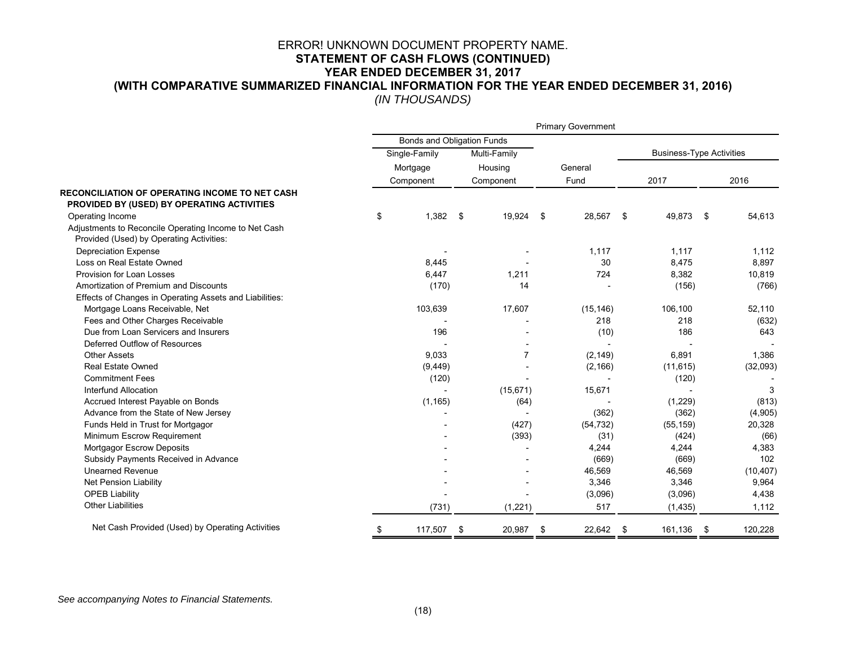#### ERROR! UNKNOWN DOCUMENT PROPERTY NAME. **STATEMENT OF CASH FLOWS (CONTINUED) YEAR ENDED DECEMBER 31, 2017 (WITH COMPARATIVE SUMMARIZED FINANCIAL INFORMATION FOR THE YEAR ENDED DECEMBER 31, 2016)**  *(IN THOUSANDS)*

|                                                                                                     | <b>Primary Government</b> |                                   |                  |               |                                 |  |  |
|-----------------------------------------------------------------------------------------------------|---------------------------|-----------------------------------|------------------|---------------|---------------------------------|--|--|
|                                                                                                     |                           | <b>Bonds and Obligation Funds</b> |                  |               |                                 |  |  |
|                                                                                                     | Single-Family             | Multi-Family                      |                  |               | <b>Business-Type Activities</b> |  |  |
|                                                                                                     | Mortgage                  | Housing                           | General          |               |                                 |  |  |
|                                                                                                     | Component                 | Component                         | Fund             | 2017          | 2016                            |  |  |
| <b>RECONCILIATION OF OPERATING INCOME TO NET CASH</b><br>PROVIDED BY (USED) BY OPERATING ACTIVITIES |                           |                                   |                  |               |                                 |  |  |
| Operating Income                                                                                    | \$<br>1,382               | $^{\circ}$<br>19,924              | -\$<br>28,567 \$ | 49,873        | \$<br>54,613                    |  |  |
| Adjustments to Reconcile Operating Income to Net Cash                                               |                           |                                   |                  |               |                                 |  |  |
| Provided (Used) by Operating Activities:                                                            |                           |                                   |                  |               |                                 |  |  |
| <b>Depreciation Expense</b>                                                                         |                           |                                   | 1.117            | 1,117         | 1,112                           |  |  |
| Loss on Real Estate Owned                                                                           | 8,445                     |                                   | 30               | 8,475         | 8,897                           |  |  |
| Provision for Loan Losses                                                                           | 6,447                     | 1,211                             | 724              | 8,382         | 10,819                          |  |  |
| Amortization of Premium and Discounts                                                               | (170)                     | 14                                |                  | (156)         | (766)                           |  |  |
| Effects of Changes in Operating Assets and Liabilities:                                             |                           |                                   |                  |               |                                 |  |  |
| Mortgage Loans Receivable, Net                                                                      | 103,639                   | 17,607                            | (15, 146)        | 106,100       | 52,110                          |  |  |
| Fees and Other Charges Receivable                                                                   |                           |                                   | 218              | 218           | (632)                           |  |  |
| Due from Loan Servicers and Insurers                                                                | 196                       |                                   | (10)             | 186           | 643                             |  |  |
| Deferred Outflow of Resources                                                                       |                           |                                   |                  |               |                                 |  |  |
| <b>Other Assets</b>                                                                                 | 9,033                     | $\overline{7}$                    | (2, 149)         | 6,891         | 1,386                           |  |  |
| <b>Real Estate Owned</b>                                                                            | (9, 449)                  |                                   | (2, 166)         | (11, 615)     | (32,093)                        |  |  |
| <b>Commitment Fees</b>                                                                              | (120)                     |                                   |                  | (120)         |                                 |  |  |
| <b>Interfund Allocation</b>                                                                         |                           | (15, 671)                         | 15,671           |               | 3                               |  |  |
| Accrued Interest Payable on Bonds                                                                   | (1, 165)                  | (64)                              |                  | (1,229)       | (813)                           |  |  |
| Advance from the State of New Jersey                                                                | $\blacksquare$            |                                   | (362)            | (362)         | (4,905)                         |  |  |
| Funds Held in Trust for Mortgagor                                                                   |                           | (427)                             | (54, 732)        | (55, 159)     | 20,328                          |  |  |
| Minimum Escrow Requirement                                                                          |                           | (393)                             | (31)             | (424)         | (66)                            |  |  |
| Mortgagor Escrow Deposits                                                                           |                           |                                   | 4,244            | 4,244         | 4,383                           |  |  |
| Subsidy Payments Received in Advance                                                                |                           |                                   | (669)            | (669)         | 102                             |  |  |
| <b>Unearned Revenue</b>                                                                             |                           |                                   | 46,569           | 46,569        | (10, 407)                       |  |  |
| Net Pension Liability                                                                               |                           |                                   | 3,346            | 3,346         | 9,964                           |  |  |
| <b>OPEB Liability</b>                                                                               |                           |                                   | (3,096)          | (3,096)       | 4,438                           |  |  |
| <b>Other Liabilities</b>                                                                            | (731)                     | (1,221)                           | 517              | (1, 435)      | 1,112                           |  |  |
| Net Cash Provided (Used) by Operating Activities                                                    | 117,507<br>\$             | 20,987<br>\$                      | 22,642<br>\$     | 161,136<br>\$ | 120,228<br>\$                   |  |  |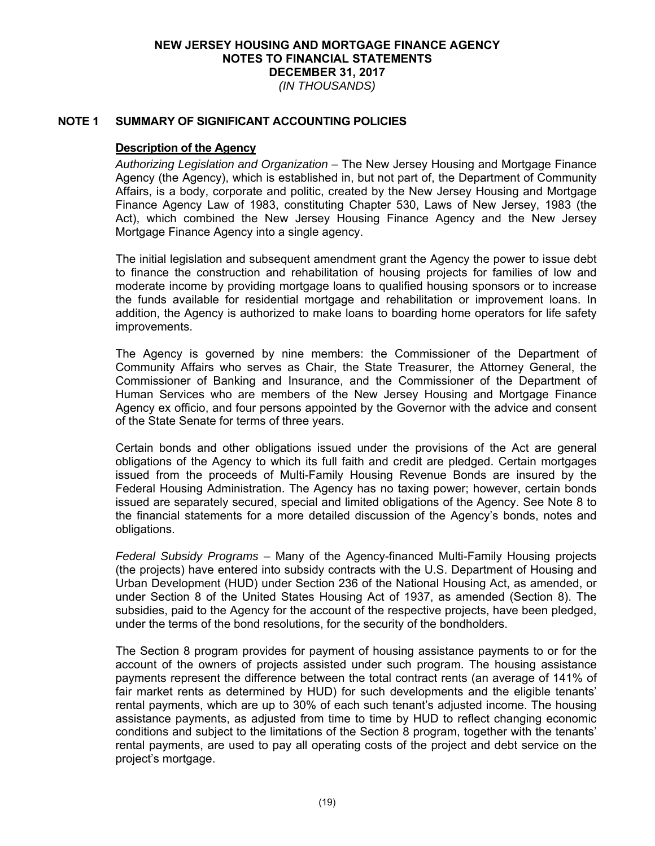*(IN THOUSANDS)*

#### **NOTE 1 SUMMARY OF SIGNIFICANT ACCOUNTING POLICIES**

#### **Description of the Agency**

*Authorizing Legislation and Organization* – The New Jersey Housing and Mortgage Finance Agency (the Agency), which is established in, but not part of, the Department of Community Affairs, is a body, corporate and politic, created by the New Jersey Housing and Mortgage Finance Agency Law of 1983, constituting Chapter 530, Laws of New Jersey, 1983 (the Act), which combined the New Jersey Housing Finance Agency and the New Jersey Mortgage Finance Agency into a single agency.

The initial legislation and subsequent amendment grant the Agency the power to issue debt to finance the construction and rehabilitation of housing projects for families of low and moderate income by providing mortgage loans to qualified housing sponsors or to increase the funds available for residential mortgage and rehabilitation or improvement loans. In addition, the Agency is authorized to make loans to boarding home operators for life safety improvements.

The Agency is governed by nine members: the Commissioner of the Department of Community Affairs who serves as Chair, the State Treasurer, the Attorney General, the Commissioner of Banking and Insurance, and the Commissioner of the Department of Human Services who are members of the New Jersey Housing and Mortgage Finance Agency ex officio, and four persons appointed by the Governor with the advice and consent of the State Senate for terms of three years.

Certain bonds and other obligations issued under the provisions of the Act are general obligations of the Agency to which its full faith and credit are pledged. Certain mortgages issued from the proceeds of Multi-Family Housing Revenue Bonds are insured by the Federal Housing Administration. The Agency has no taxing power; however, certain bonds issued are separately secured, special and limited obligations of the Agency. See Note 8 to the financial statements for a more detailed discussion of the Agency's bonds, notes and obligations.

*Federal Subsidy Programs* – Many of the Agency-financed Multi-Family Housing projects (the projects) have entered into subsidy contracts with the U.S. Department of Housing and Urban Development (HUD) under Section 236 of the National Housing Act, as amended, or under Section 8 of the United States Housing Act of 1937, as amended (Section 8). The subsidies, paid to the Agency for the account of the respective projects, have been pledged, under the terms of the bond resolutions, for the security of the bondholders.

The Section 8 program provides for payment of housing assistance payments to or for the account of the owners of projects assisted under such program. The housing assistance payments represent the difference between the total contract rents (an average of 141% of fair market rents as determined by HUD) for such developments and the eligible tenants' rental payments, which are up to 30% of each such tenant's adjusted income. The housing assistance payments, as adjusted from time to time by HUD to reflect changing economic conditions and subject to the limitations of the Section 8 program, together with the tenants' rental payments, are used to pay all operating costs of the project and debt service on the project's mortgage.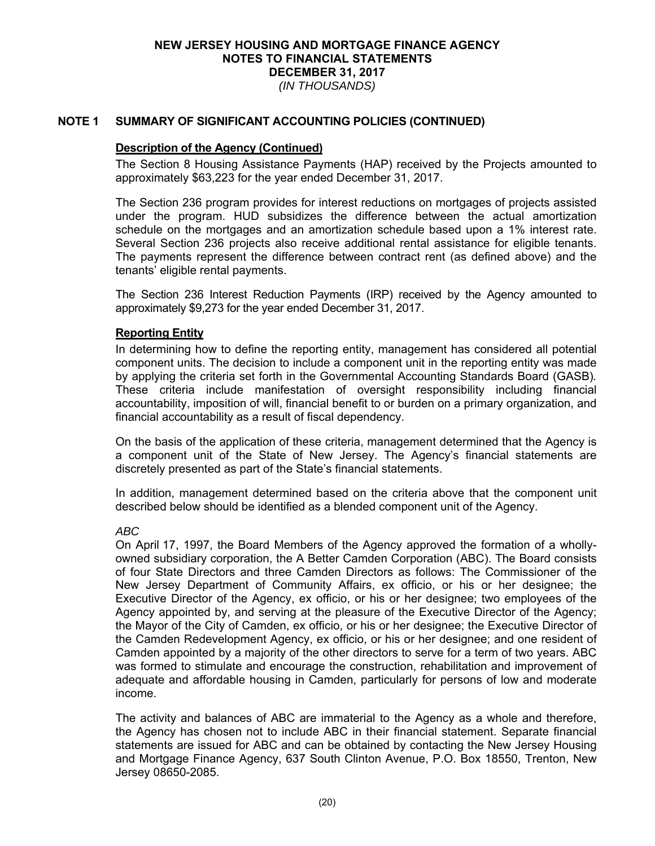# *(IN THOUSANDS)*

#### **NOTE 1 SUMMARY OF SIGNIFICANT ACCOUNTING POLICIES (CONTINUED)**

#### **Description of the Agency (Continued)**

The Section 8 Housing Assistance Payments (HAP) received by the Projects amounted to approximately \$63,223 for the year ended December 31, 2017.

The Section 236 program provides for interest reductions on mortgages of projects assisted under the program. HUD subsidizes the difference between the actual amortization schedule on the mortgages and an amortization schedule based upon a 1% interest rate. Several Section 236 projects also receive additional rental assistance for eligible tenants. The payments represent the difference between contract rent (as defined above) and the tenants' eligible rental payments.

The Section 236 Interest Reduction Payments (IRP) received by the Agency amounted to approximately \$9,273 for the year ended December 31, 2017.

# **Reporting Entity**

In determining how to define the reporting entity, management has considered all potential component units. The decision to include a component unit in the reporting entity was made by applying the criteria set forth in the Governmental Accounting Standards Board (GASB)*.*  These criteria include manifestation of oversight responsibility including financial accountability, imposition of will, financial benefit to or burden on a primary organization, and financial accountability as a result of fiscal dependency.

On the basis of the application of these criteria, management determined that the Agency is a component unit of the State of New Jersey. The Agency's financial statements are discretely presented as part of the State's financial statements.

In addition, management determined based on the criteria above that the component unit described below should be identified as a blended component unit of the Agency.

#### *ABC*

On April 17, 1997, the Board Members of the Agency approved the formation of a whollyowned subsidiary corporation, the A Better Camden Corporation (ABC). The Board consists of four State Directors and three Camden Directors as follows: The Commissioner of the New Jersey Department of Community Affairs, ex officio, or his or her designee; the Executive Director of the Agency, ex officio, or his or her designee; two employees of the Agency appointed by, and serving at the pleasure of the Executive Director of the Agency; the Mayor of the City of Camden, ex officio, or his or her designee; the Executive Director of the Camden Redevelopment Agency, ex officio, or his or her designee; and one resident of Camden appointed by a majority of the other directors to serve for a term of two years. ABC was formed to stimulate and encourage the construction, rehabilitation and improvement of adequate and affordable housing in Camden, particularly for persons of low and moderate income.

The activity and balances of ABC are immaterial to the Agency as a whole and therefore, the Agency has chosen not to include ABC in their financial statement. Separate financial statements are issued for ABC and can be obtained by contacting the New Jersey Housing and Mortgage Finance Agency, 637 South Clinton Avenue, P.O. Box 18550, Trenton, New Jersey 08650-2085.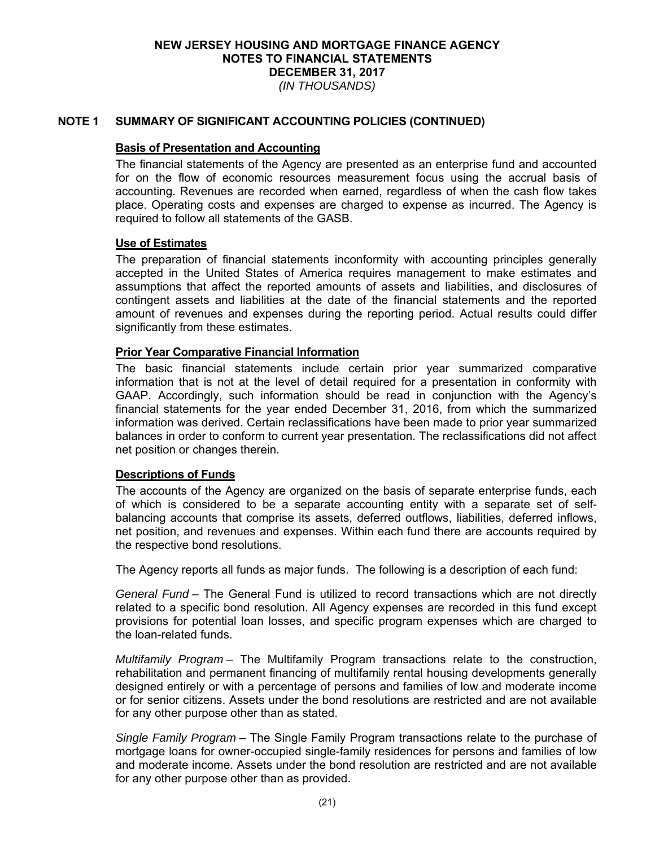*(IN THOUSANDS)*

#### **NOTE 1 SUMMARY OF SIGNIFICANT ACCOUNTING POLICIES (CONTINUED)**

#### **Basis of Presentation and Accounting**

The financial statements of the Agency are presented as an enterprise fund and accounted for on the flow of economic resources measurement focus using the accrual basis of accounting. Revenues are recorded when earned, regardless of when the cash flow takes place. Operating costs and expenses are charged to expense as incurred. The Agency is required to follow all statements of the GASB.

#### **Use of Estimates**

The preparation of financial statements inconformity with accounting principles generally accepted in the United States of America requires management to make estimates and assumptions that affect the reported amounts of assets and liabilities, and disclosures of contingent assets and liabilities at the date of the financial statements and the reported amount of revenues and expenses during the reporting period. Actual results could differ significantly from these estimates.

#### **Prior Year Comparative Financial Information**

The basic financial statements include certain prior year summarized comparative information that is not at the level of detail required for a presentation in conformity with GAAP. Accordingly, such information should be read in conjunction with the Agency's financial statements for the year ended December 31, 2016, from which the summarized information was derived. Certain reclassifications have been made to prior year summarized balances in order to conform to current year presentation. The reclassifications did not affect net position or changes therein.

#### **Descriptions of Funds**

The accounts of the Agency are organized on the basis of separate enterprise funds, each of which is considered to be a separate accounting entity with a separate set of selfbalancing accounts that comprise its assets, deferred outflows, liabilities, deferred inflows, net position, and revenues and expenses. Within each fund there are accounts required by the respective bond resolutions.

The Agency reports all funds as major funds. The following is a description of each fund:

*General Fund* – The General Fund is utilized to record transactions which are not directly related to a specific bond resolution. All Agency expenses are recorded in this fund except provisions for potential loan losses, and specific program expenses which are charged to the loan-related funds.

*Multifamily Program* – The Multifamily Program transactions relate to the construction, rehabilitation and permanent financing of multifamily rental housing developments generally designed entirely or with a percentage of persons and families of low and moderate income or for senior citizens. Assets under the bond resolutions are restricted and are not available for any other purpose other than as stated.

*Single Family Program* – The Single Family Program transactions relate to the purchase of mortgage loans for owner-occupied single-family residences for persons and families of low and moderate income. Assets under the bond resolution are restricted and are not available for any other purpose other than as provided.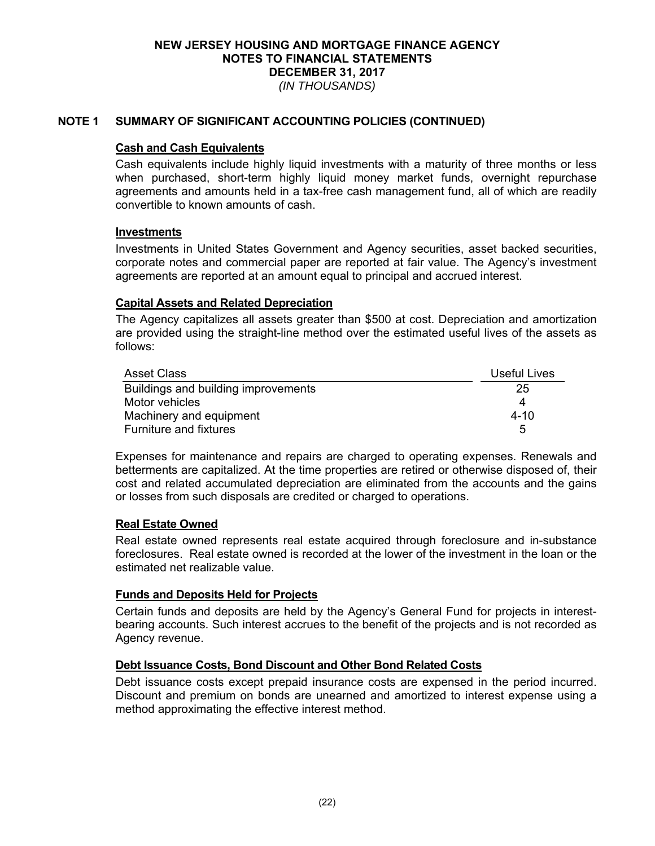## *(IN THOUSANDS)*

#### **NOTE 1 SUMMARY OF SIGNIFICANT ACCOUNTING POLICIES (CONTINUED)**

#### **Cash and Cash Equivalents**

Cash equivalents include highly liquid investments with a maturity of three months or less when purchased, short-term highly liquid money market funds, overnight repurchase agreements and amounts held in a tax-free cash management fund, all of which are readily convertible to known amounts of cash.

## **Investments**

Investments in United States Government and Agency securities, asset backed securities, corporate notes and commercial paper are reported at fair value. The Agency's investment agreements are reported at an amount equal to principal and accrued interest.

# **Capital Assets and Related Depreciation**

The Agency capitalizes all assets greater than \$500 at cost. Depreciation and amortization are provided using the straight-line method over the estimated useful lives of the assets as follows:

| <b>Asset Class</b>                  | Useful Lives |
|-------------------------------------|--------------|
| Buildings and building improvements | 25           |
| Motor vehicles                      | 4            |
| Machinery and equipment             | $4 - 10$     |
| Furniture and fixtures              | 5            |

Expenses for maintenance and repairs are charged to operating expenses. Renewals and betterments are capitalized. At the time properties are retired or otherwise disposed of, their cost and related accumulated depreciation are eliminated from the accounts and the gains or losses from such disposals are credited or charged to operations.

# **Real Estate Owned**

Real estate owned represents real estate acquired through foreclosure and in-substance foreclosures. Real estate owned is recorded at the lower of the investment in the loan or the estimated net realizable value.

# **Funds and Deposits Held for Projects**

Certain funds and deposits are held by the Agency's General Fund for projects in interestbearing accounts. Such interest accrues to the benefit of the projects and is not recorded as Agency revenue.

# **Debt Issuance Costs, Bond Discount and Other Bond Related Costs**

Debt issuance costs except prepaid insurance costs are expensed in the period incurred. Discount and premium on bonds are unearned and amortized to interest expense using a method approximating the effective interest method.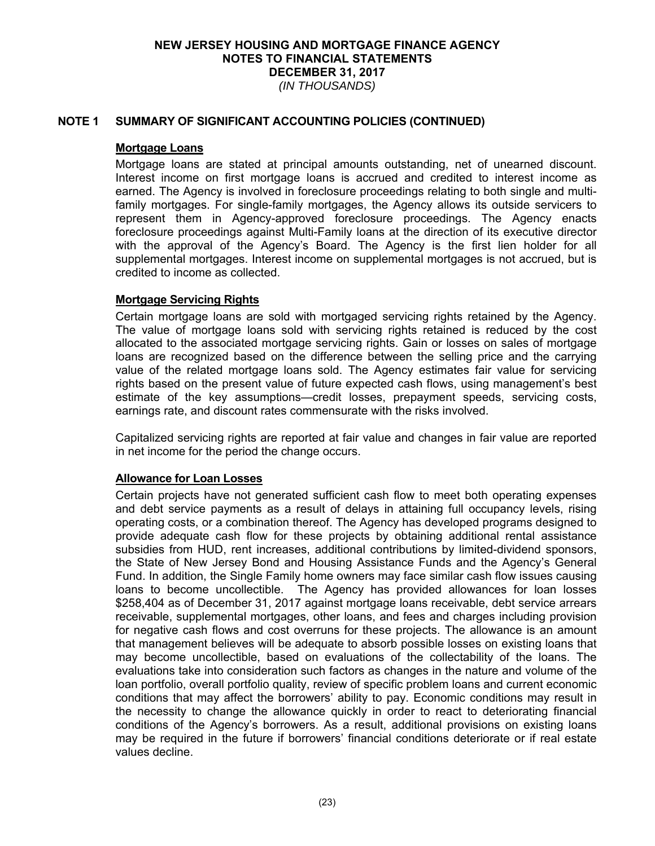## *(IN THOUSANDS)*

#### **NOTE 1 SUMMARY OF SIGNIFICANT ACCOUNTING POLICIES (CONTINUED)**

#### **Mortgage Loans**

Mortgage loans are stated at principal amounts outstanding, net of unearned discount. Interest income on first mortgage loans is accrued and credited to interest income as earned. The Agency is involved in foreclosure proceedings relating to both single and multifamily mortgages. For single-family mortgages, the Agency allows its outside servicers to represent them in Agency-approved foreclosure proceedings. The Agency enacts foreclosure proceedings against Multi-Family loans at the direction of its executive director with the approval of the Agency's Board. The Agency is the first lien holder for all supplemental mortgages. Interest income on supplemental mortgages is not accrued, but is credited to income as collected.

## **Mortgage Servicing Rights**

Certain mortgage loans are sold with mortgaged servicing rights retained by the Agency. The value of mortgage loans sold with servicing rights retained is reduced by the cost allocated to the associated mortgage servicing rights. Gain or losses on sales of mortgage loans are recognized based on the difference between the selling price and the carrying value of the related mortgage loans sold. The Agency estimates fair value for servicing rights based on the present value of future expected cash flows, using management's best estimate of the key assumptions—credit losses, prepayment speeds, servicing costs, earnings rate, and discount rates commensurate with the risks involved.

Capitalized servicing rights are reported at fair value and changes in fair value are reported in net income for the period the change occurs.

# **Allowance for Loan Losses**

Certain projects have not generated sufficient cash flow to meet both operating expenses and debt service payments as a result of delays in attaining full occupancy levels, rising operating costs, or a combination thereof. The Agency has developed programs designed to provide adequate cash flow for these projects by obtaining additional rental assistance subsidies from HUD, rent increases, additional contributions by limited-dividend sponsors, the State of New Jersey Bond and Housing Assistance Funds and the Agency's General Fund. In addition, the Single Family home owners may face similar cash flow issues causing loans to become uncollectible. The Agency has provided allowances for loan losses \$258,404 as of December 31, 2017 against mortgage loans receivable, debt service arrears receivable, supplemental mortgages, other loans, and fees and charges including provision for negative cash flows and cost overruns for these projects. The allowance is an amount that management believes will be adequate to absorb possible losses on existing loans that may become uncollectible, based on evaluations of the collectability of the loans. The evaluations take into consideration such factors as changes in the nature and volume of the loan portfolio, overall portfolio quality, review of specific problem loans and current economic conditions that may affect the borrowers' ability to pay. Economic conditions may result in the necessity to change the allowance quickly in order to react to deteriorating financial conditions of the Agency's borrowers. As a result, additional provisions on existing loans may be required in the future if borrowers' financial conditions deteriorate or if real estate values decline.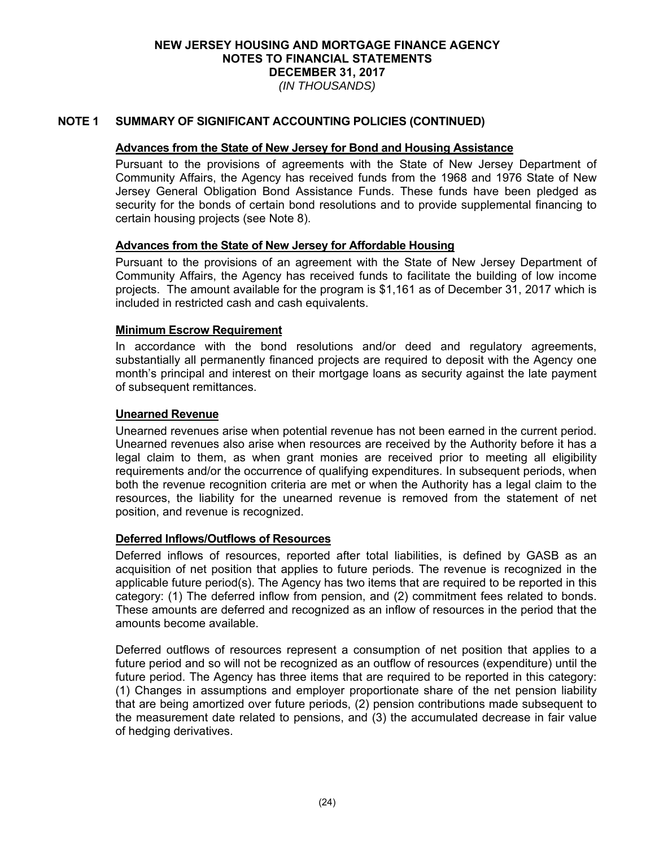*(IN THOUSANDS)*

#### **NOTE 1 SUMMARY OF SIGNIFICANT ACCOUNTING POLICIES (CONTINUED)**

#### **Advances from the State of New Jersey for Bond and Housing Assistance**

Pursuant to the provisions of agreements with the State of New Jersey Department of Community Affairs, the Agency has received funds from the 1968 and 1976 State of New Jersey General Obligation Bond Assistance Funds. These funds have been pledged as security for the bonds of certain bond resolutions and to provide supplemental financing to certain housing projects (see Note 8).

#### **Advances from the State of New Jersey for Affordable Housing**

Pursuant to the provisions of an agreement with the State of New Jersey Department of Community Affairs, the Agency has received funds to facilitate the building of low income projects. The amount available for the program is \$1,161 as of December 31, 2017 which is included in restricted cash and cash equivalents.

#### **Minimum Escrow Requirement**

In accordance with the bond resolutions and/or deed and regulatory agreements, substantially all permanently financed projects are required to deposit with the Agency one month's principal and interest on their mortgage loans as security against the late payment of subsequent remittances.

#### **Unearned Revenue**

Unearned revenues arise when potential revenue has not been earned in the current period. Unearned revenues also arise when resources are received by the Authority before it has a legal claim to them, as when grant monies are received prior to meeting all eligibility requirements and/or the occurrence of qualifying expenditures. In subsequent periods, when both the revenue recognition criteria are met or when the Authority has a legal claim to the resources, the liability for the unearned revenue is removed from the statement of net position, and revenue is recognized.

#### **Deferred Inflows/Outflows of Resources**

Deferred inflows of resources, reported after total liabilities, is defined by GASB as an acquisition of net position that applies to future periods. The revenue is recognized in the applicable future period(s). The Agency has two items that are required to be reported in this category: (1) The deferred inflow from pension, and (2) commitment fees related to bonds. These amounts are deferred and recognized as an inflow of resources in the period that the amounts become available.

Deferred outflows of resources represent a consumption of net position that applies to a future period and so will not be recognized as an outflow of resources (expenditure) until the future period. The Agency has three items that are required to be reported in this category: (1) Changes in assumptions and employer proportionate share of the net pension liability that are being amortized over future periods, (2) pension contributions made subsequent to the measurement date related to pensions, and (3) the accumulated decrease in fair value of hedging derivatives.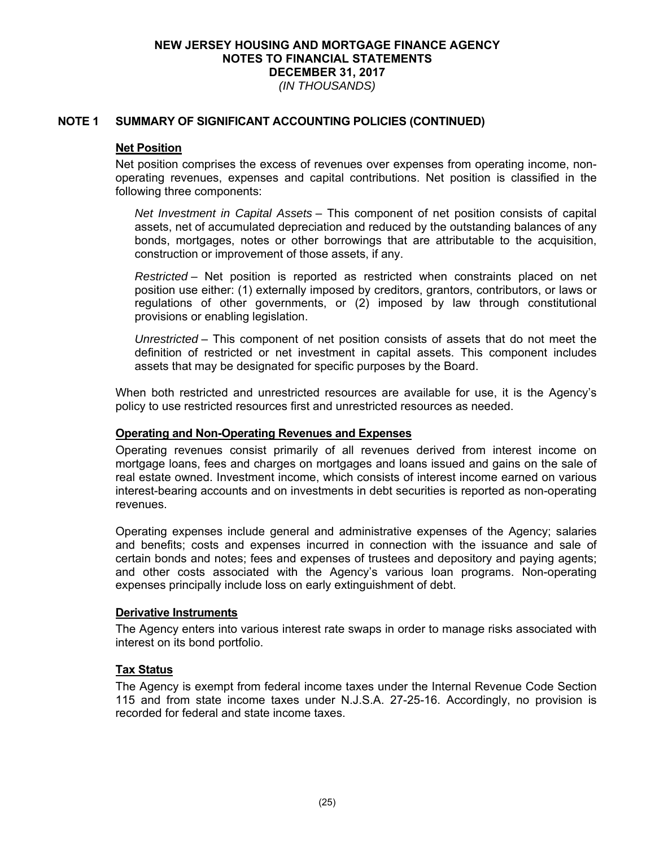# *(IN THOUSANDS)*

#### **NOTE 1 SUMMARY OF SIGNIFICANT ACCOUNTING POLICIES (CONTINUED)**

#### **Net Position**

Net position comprises the excess of revenues over expenses from operating income, nonoperating revenues, expenses and capital contributions. Net position is classified in the following three components:

*Net Investment in Capital Assets* – This component of net position consists of capital assets, net of accumulated depreciation and reduced by the outstanding balances of any bonds, mortgages, notes or other borrowings that are attributable to the acquisition, construction or improvement of those assets, if any.

*Restricted* – Net position is reported as restricted when constraints placed on net position use either: (1) externally imposed by creditors, grantors, contributors, or laws or regulations of other governments, or (2) imposed by law through constitutional provisions or enabling legislation.

*Unrestricted* – This component of net position consists of assets that do not meet the definition of restricted or net investment in capital assets. This component includes assets that may be designated for specific purposes by the Board.

When both restricted and unrestricted resources are available for use, it is the Agency's policy to use restricted resources first and unrestricted resources as needed.

#### **Operating and Non-Operating Revenues and Expenses**

Operating revenues consist primarily of all revenues derived from interest income on mortgage loans, fees and charges on mortgages and loans issued and gains on the sale of real estate owned. Investment income, which consists of interest income earned on various interest-bearing accounts and on investments in debt securities is reported as non-operating revenues.

Operating expenses include general and administrative expenses of the Agency; salaries and benefits; costs and expenses incurred in connection with the issuance and sale of certain bonds and notes; fees and expenses of trustees and depository and paying agents; and other costs associated with the Agency's various loan programs. Non-operating expenses principally include loss on early extinguishment of debt.

#### **Derivative Instruments**

The Agency enters into various interest rate swaps in order to manage risks associated with interest on its bond portfolio.

## **Tax Status**

The Agency is exempt from federal income taxes under the Internal Revenue Code Section 115 and from state income taxes under N.J.S.A. 27-25-16. Accordingly, no provision is recorded for federal and state income taxes.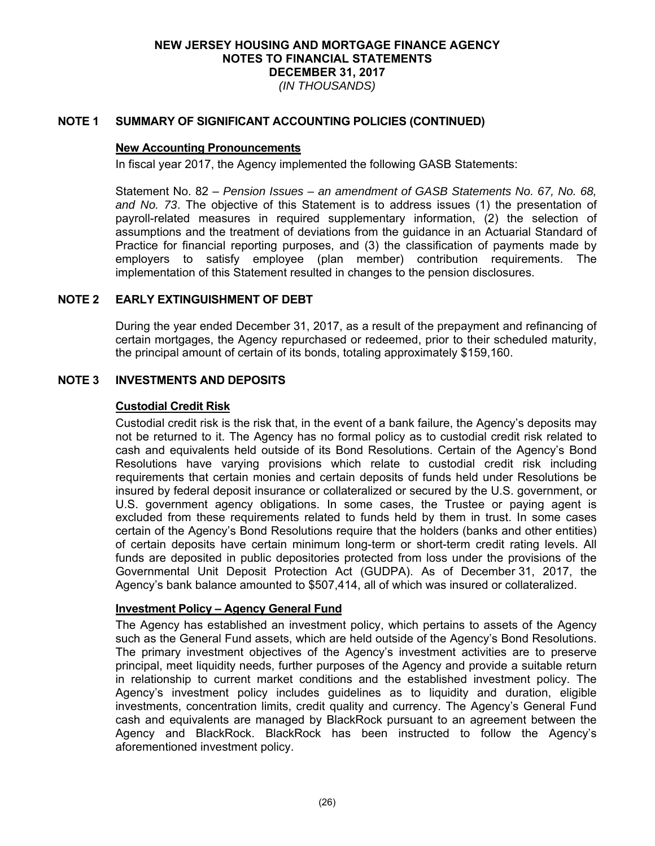# *(IN THOUSANDS)*

#### **NOTE 1 SUMMARY OF SIGNIFICANT ACCOUNTING POLICIES (CONTINUED)**

#### **New Accounting Pronouncements**

In fiscal year 2017, the Agency implemented the following GASB Statements:

Statement No. 82 – *Pension Issues – an amendment of GASB Statements No. 67, No. 68, and No. 73*. The objective of this Statement is to address issues (1) the presentation of payroll-related measures in required supplementary information, (2) the selection of assumptions and the treatment of deviations from the guidance in an Actuarial Standard of Practice for financial reporting purposes, and (3) the classification of payments made by employers to satisfy employee (plan member) contribution requirements. The implementation of this Statement resulted in changes to the pension disclosures.

#### **NOTE 2 EARLY EXTINGUISHMENT OF DEBT**

During the year ended December 31, 2017, as a result of the prepayment and refinancing of certain mortgages, the Agency repurchased or redeemed, prior to their scheduled maturity, the principal amount of certain of its bonds, totaling approximately \$159,160.

#### **NOTE 3 INVESTMENTS AND DEPOSITS**

#### **Custodial Credit Risk**

Custodial credit risk is the risk that, in the event of a bank failure, the Agency's deposits may not be returned to it. The Agency has no formal policy as to custodial credit risk related to cash and equivalents held outside of its Bond Resolutions. Certain of the Agency's Bond Resolutions have varying provisions which relate to custodial credit risk including requirements that certain monies and certain deposits of funds held under Resolutions be insured by federal deposit insurance or collateralized or secured by the U.S. government, or U.S. government agency obligations. In some cases, the Trustee or paying agent is excluded from these requirements related to funds held by them in trust. In some cases certain of the Agency's Bond Resolutions require that the holders (banks and other entities) of certain deposits have certain minimum long-term or short-term credit rating levels. All funds are deposited in public depositories protected from loss under the provisions of the Governmental Unit Deposit Protection Act (GUDPA). As of December 31, 2017, the Agency's bank balance amounted to \$507,414, all of which was insured or collateralized.

#### **Investment Policy – Agency General Fund**

The Agency has established an investment policy, which pertains to assets of the Agency such as the General Fund assets, which are held outside of the Agency's Bond Resolutions. The primary investment objectives of the Agency's investment activities are to preserve principal, meet liquidity needs, further purposes of the Agency and provide a suitable return in relationship to current market conditions and the established investment policy. The Agency's investment policy includes guidelines as to liquidity and duration, eligible investments, concentration limits, credit quality and currency. The Agency's General Fund cash and equivalents are managed by BlackRock pursuant to an agreement between the Agency and BlackRock. BlackRock has been instructed to follow the Agency's aforementioned investment policy.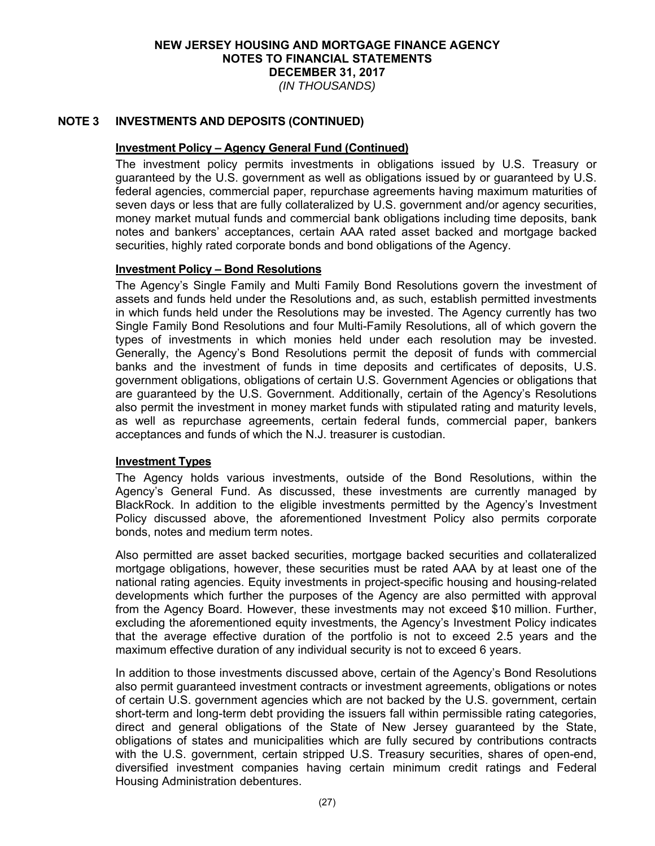*(IN THOUSANDS)*

## **NOTE 3 INVESTMENTS AND DEPOSITS (CONTINUED)**

#### **Investment Policy – Agency General Fund (Continued)**

The investment policy permits investments in obligations issued by U.S. Treasury or guaranteed by the U.S. government as well as obligations issued by or guaranteed by U.S. federal agencies, commercial paper, repurchase agreements having maximum maturities of seven days or less that are fully collateralized by U.S. government and/or agency securities, money market mutual funds and commercial bank obligations including time deposits, bank notes and bankers' acceptances, certain AAA rated asset backed and mortgage backed securities, highly rated corporate bonds and bond obligations of the Agency.

#### **Investment Policy – Bond Resolutions**

The Agency's Single Family and Multi Family Bond Resolutions govern the investment of assets and funds held under the Resolutions and, as such, establish permitted investments in which funds held under the Resolutions may be invested. The Agency currently has two Single Family Bond Resolutions and four Multi-Family Resolutions, all of which govern the types of investments in which monies held under each resolution may be invested. Generally, the Agency's Bond Resolutions permit the deposit of funds with commercial banks and the investment of funds in time deposits and certificates of deposits, U.S. government obligations, obligations of certain U.S. Government Agencies or obligations that are guaranteed by the U.S. Government. Additionally, certain of the Agency's Resolutions also permit the investment in money market funds with stipulated rating and maturity levels, as well as repurchase agreements, certain federal funds, commercial paper, bankers acceptances and funds of which the N.J. treasurer is custodian.

#### **Investment Types**

The Agency holds various investments, outside of the Bond Resolutions, within the Agency's General Fund. As discussed, these investments are currently managed by BlackRock. In addition to the eligible investments permitted by the Agency's Investment Policy discussed above, the aforementioned Investment Policy also permits corporate bonds, notes and medium term notes.

Also permitted are asset backed securities, mortgage backed securities and collateralized mortgage obligations, however, these securities must be rated AAA by at least one of the national rating agencies. Equity investments in project-specific housing and housing-related developments which further the purposes of the Agency are also permitted with approval from the Agency Board. However, these investments may not exceed \$10 million. Further, excluding the aforementioned equity investments, the Agency's Investment Policy indicates that the average effective duration of the portfolio is not to exceed 2.5 years and the maximum effective duration of any individual security is not to exceed 6 years.

In addition to those investments discussed above, certain of the Agency's Bond Resolutions also permit guaranteed investment contracts or investment agreements, obligations or notes of certain U.S. government agencies which are not backed by the U.S. government, certain short-term and long-term debt providing the issuers fall within permissible rating categories, direct and general obligations of the State of New Jersey guaranteed by the State, obligations of states and municipalities which are fully secured by contributions contracts with the U.S. government, certain stripped U.S. Treasury securities, shares of open-end, diversified investment companies having certain minimum credit ratings and Federal Housing Administration debentures.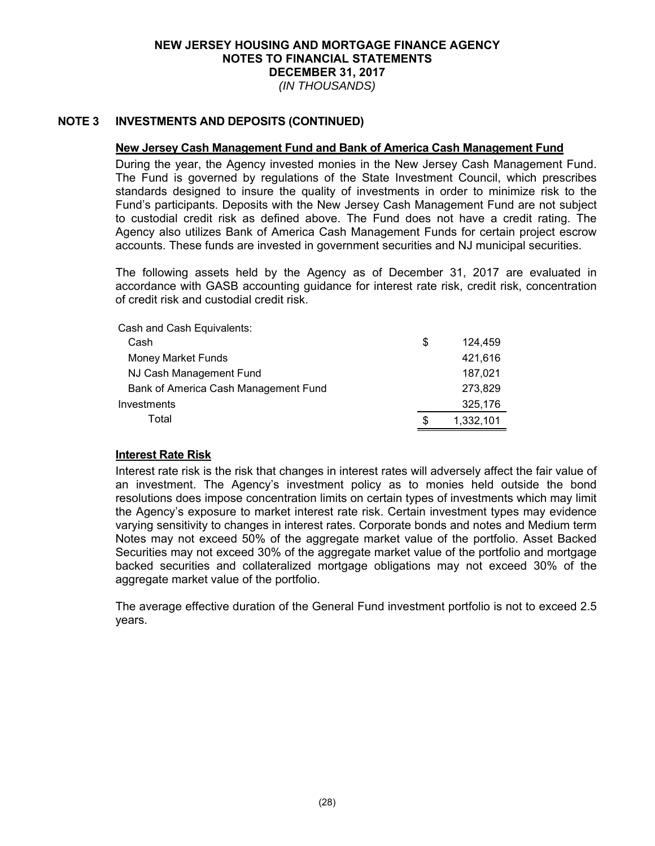# *(IN THOUSANDS)*

## **NOTE 3 INVESTMENTS AND DEPOSITS (CONTINUED)**

#### **New Jersey Cash Management Fund and Bank of America Cash Management Fund**

During the year, the Agency invested monies in the New Jersey Cash Management Fund. The Fund is governed by regulations of the State Investment Council, which prescribes standards designed to insure the quality of investments in order to minimize risk to the Fund's participants. Deposits with the New Jersey Cash Management Fund are not subject to custodial credit risk as defined above. The Fund does not have a credit rating. The Agency also utilizes Bank of America Cash Management Funds for certain project escrow accounts. These funds are invested in government securities and NJ municipal securities.

The following assets held by the Agency as of December 31, 2017 are evaluated in accordance with GASB accounting guidance for interest rate risk, credit risk, concentration of credit risk and custodial credit risk.

| Cash and Cash Equivalents:           |   |           |
|--------------------------------------|---|-----------|
| Cash                                 | S | 124.459   |
| <b>Money Market Funds</b>            |   | 421,616   |
| NJ Cash Management Fund              |   | 187,021   |
| Bank of America Cash Management Fund |   | 273,829   |
| Investments                          |   | 325,176   |
| Total                                | S | 1,332,101 |

#### **Interest Rate Risk**

Interest rate risk is the risk that changes in interest rates will adversely affect the fair value of an investment. The Agency's investment policy as to monies held outside the bond resolutions does impose concentration limits on certain types of investments which may limit the Agency's exposure to market interest rate risk. Certain investment types may evidence varying sensitivity to changes in interest rates. Corporate bonds and notes and Medium term Notes may not exceed 50% of the aggregate market value of the portfolio. Asset Backed Securities may not exceed 30% of the aggregate market value of the portfolio and mortgage backed securities and collateralized mortgage obligations may not exceed 30% of the aggregate market value of the portfolio.

The average effective duration of the General Fund investment portfolio is not to exceed 2.5 years.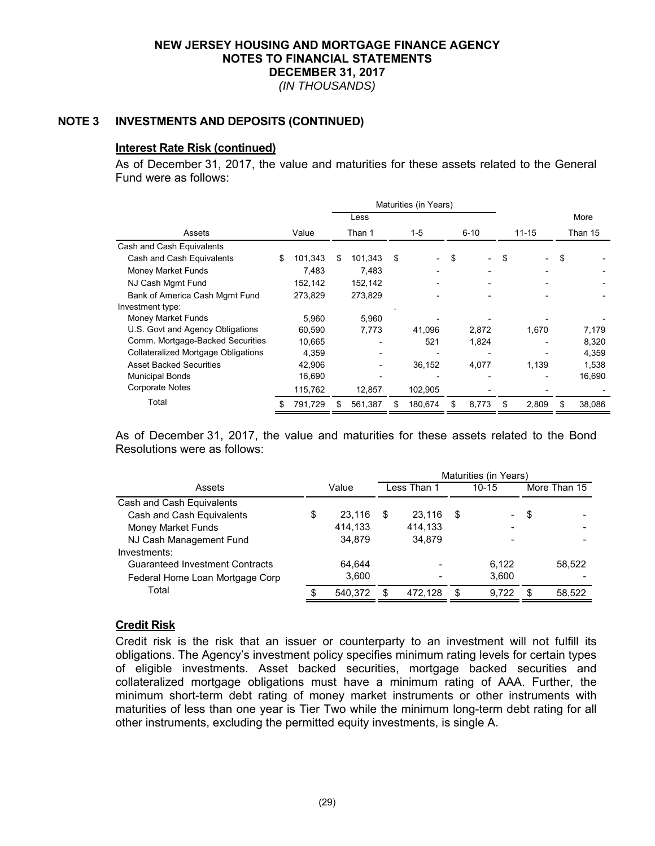# *(IN THOUSANDS)*

## **NOTE 3 INVESTMENTS AND DEPOSITS (CONTINUED)**

#### **Interest Rate Risk (continued)**

As of December 31, 2017, the value and maturities for these assets related to the General Fund were as follows:

|                                            |    |         |   |         | Maturities (in Years) |    |          |             |              |
|--------------------------------------------|----|---------|---|---------|-----------------------|----|----------|-------------|--------------|
|                                            |    |         |   | Less    |                       |    |          |             | More         |
| Assets                                     |    | Value   |   | Than 1  | $1-5$                 |    | $6 - 10$ | $11 - 15$   | Than 15      |
| Cash and Cash Equivalents                  |    |         |   |         |                       |    |          |             |              |
| Cash and Cash Equivalents                  | S  | 101,343 | S | 101,343 | \$                    | \$ |          | \$          | \$           |
| Money Market Funds                         |    | 7,483   |   | 7,483   |                       |    |          |             |              |
| NJ Cash Mgmt Fund                          |    | 152,142 |   | 152,142 |                       |    |          |             |              |
| Bank of America Cash Mgmt Fund             |    | 273.829 |   | 273.829 |                       |    |          |             |              |
| Investment type:                           |    |         |   |         |                       |    |          |             |              |
| Money Market Funds                         |    | 5.960   |   | 5,960   |                       |    |          |             |              |
| U.S. Govt and Agency Obligations           |    | 60.590  |   | 7,773   | 41,096                |    | 2,872    | 1.670       | 7,179        |
| Comm. Mortgage-Backed Securities           |    | 10.665  |   |         | 521                   |    | 1,824    |             | 8,320        |
| <b>Collateralized Mortgage Obligations</b> |    | 4.359   |   |         |                       |    |          |             | 4,359        |
| <b>Asset Backed Securities</b>             |    | 42,906  |   |         | 36,152                |    | 4,077    | 1.139       | 1,538        |
| <b>Municipal Bonds</b>                     |    | 16,690  |   |         |                       |    |          |             | 16,690       |
| <b>Corporate Notes</b>                     |    | 115,762 |   | 12,857  | 102,905               |    |          |             |              |
| Total                                      | \$ | 791,729 |   | 561,387 | \$<br>180,674         | S  | 8,773    | \$<br>2,809 | \$<br>38,086 |

As of December 31, 2017, the value and maturities for these assets related to the Bond Resolutions were as follows:

|                                        |       |         | Maturities (in Years) |             |    |           |    |              |  |
|----------------------------------------|-------|---------|-----------------------|-------------|----|-----------|----|--------------|--|
| Assets                                 | Value |         |                       | Less Than 1 |    | $10 - 15$ |    | More Than 15 |  |
| Cash and Cash Equivalents              |       |         |                       |             |    |           |    |              |  |
| Cash and Cash Equivalents              | S     | 23.116  | \$                    | 23.116      | \$ | $\sim$    | \$ |              |  |
| Money Market Funds                     |       | 414.133 |                       | 414.133     |    |           |    |              |  |
| NJ Cash Management Fund                |       | 34.879  |                       | 34.879      |    |           |    |              |  |
| Investments:                           |       |         |                       |             |    |           |    |              |  |
| <b>Guaranteed Investment Contracts</b> |       | 64.644  |                       |             |    | 6.122     |    | 58.522       |  |
| Federal Home Loan Mortgage Corp        |       | 3,600   |                       |             |    | 3.600     |    |              |  |
| Total                                  | S.    | 540.372 | \$                    | 472.128     | S  | 9.722     |    | 58.522       |  |

# **Credit Risk**

Credit risk is the risk that an issuer or counterparty to an investment will not fulfill its obligations. The Agency's investment policy specifies minimum rating levels for certain types of eligible investments. Asset backed securities, mortgage backed securities and collateralized mortgage obligations must have a minimum rating of AAA. Further, the minimum short-term debt rating of money market instruments or other instruments with maturities of less than one year is Tier Two while the minimum long-term debt rating for all other instruments, excluding the permitted equity investments, is single A.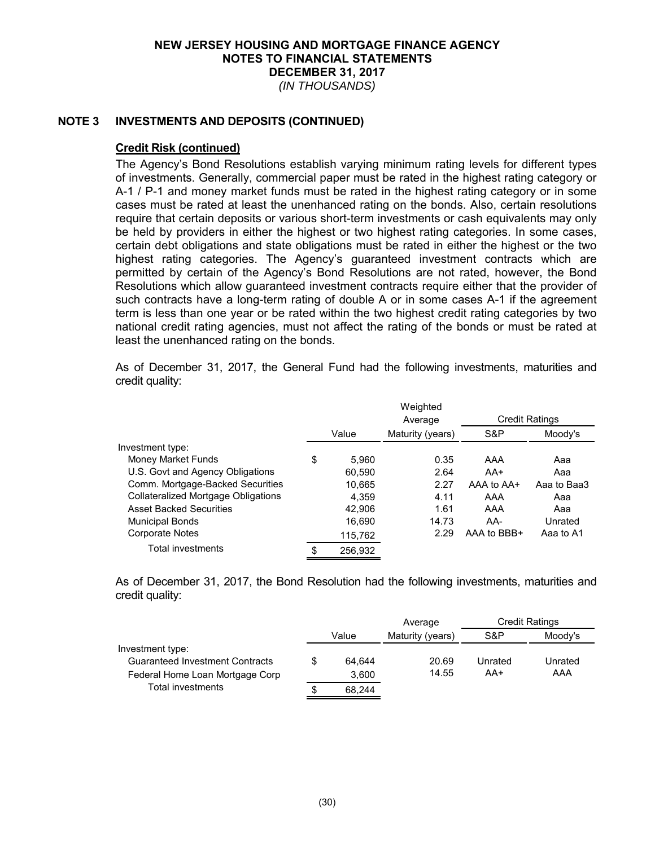*(IN THOUSANDS)*

## **NOTE 3 INVESTMENTS AND DEPOSITS (CONTINUED)**

#### **Credit Risk (continued)**

The Agency's Bond Resolutions establish varying minimum rating levels for different types of investments. Generally, commercial paper must be rated in the highest rating category or A-1 / P-1 and money market funds must be rated in the highest rating category or in some cases must be rated at least the unenhanced rating on the bonds. Also, certain resolutions require that certain deposits or various short-term investments or cash equivalents may only be held by providers in either the highest or two highest rating categories. In some cases, certain debt obligations and state obligations must be rated in either the highest or the two highest rating categories. The Agency's guaranteed investment contracts which are permitted by certain of the Agency's Bond Resolutions are not rated, however, the Bond Resolutions which allow guaranteed investment contracts require either that the provider of such contracts have a long-term rating of double A or in some cases A-1 if the agreement term is less than one year or be rated within the two highest credit rating categories by two national credit rating agencies, must not affect the rating of the bonds or must be rated at least the unenhanced rating on the bonds.

As of December 31, 2017, the General Fund had the following investments, maturities and credit quality:

|                                            |             | Weighted<br>Average |             | <b>Credit Ratings</b> |
|--------------------------------------------|-------------|---------------------|-------------|-----------------------|
|                                            | Value       | Maturity (years)    | S&P         | Moody's               |
| Investment type:                           |             |                     |             |                       |
| Money Market Funds                         | \$<br>5.960 | 0.35                | AAA         | Aaa                   |
| U.S. Govt and Agency Obligations           | 60.590      | 2.64                | AA+         | Aaa                   |
| Comm. Mortgage-Backed Securities           | 10.665      | 2.27                | AAA to AA+  | Aaa to Baa3           |
| <b>Collateralized Mortgage Obligations</b> | 4.359       | 4.11                | AAA         | Aaa                   |
| <b>Asset Backed Securities</b>             | 42.906      | 1.61                | AAA         | Aaa                   |
| <b>Municipal Bonds</b>                     | 16,690      | 14.73               | AA-         | Unrated               |
| Corporate Notes                            | 115,762     | 2.29                | AAA to BBB+ | Aaa to A1             |
| Total investments                          | 256,932     |                     |             |                       |

As of December 31, 2017, the Bond Resolution had the following investments, maturities and credit quality:

|                                        |   |        | Average          | <b>Credit Ratings</b> |         |
|----------------------------------------|---|--------|------------------|-----------------------|---------|
|                                        |   | Value  | Maturity (years) | S&P                   | Moody's |
| Investment type:                       |   |        |                  |                       |         |
| <b>Guaranteed Investment Contracts</b> |   | 64.644 | 20.69            | Unrated               | Unrated |
| Federal Home Loan Mortgage Corp        |   | 3.600  | 14.55            | AA+                   | AAA     |
| Total investments                      | S | 68.244 |                  |                       |         |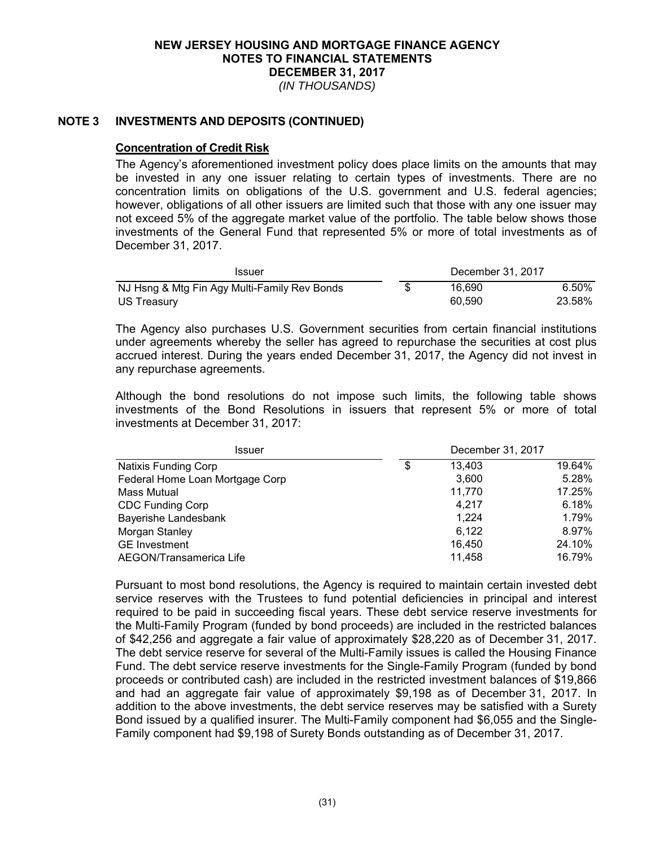*(IN THOUSANDS)*

#### **NOTE 3 INVESTMENTS AND DEPOSITS (CONTINUED)**

#### **Concentration of Credit Risk**

The Agency's aforementioned investment policy does place limits on the amounts that may be invested in any one issuer relating to certain types of investments. There are no concentration limits on obligations of the U.S. government and U.S. federal agencies; however, obligations of all other issuers are limited such that those with any one issuer may not exceed 5% of the aggregate market value of the portfolio. The table below shows those investments of the General Fund that represented 5% or more of total investments as of December 31, 2017.

| Issuer                                       |  | December 31, 2017 |          |
|----------------------------------------------|--|-------------------|----------|
| NJ Hsng & Mtg Fin Agy Multi-Family Rev Bonds |  | 16.690            | $6.50\%$ |
| US Treasury                                  |  | 60.590            | 23.58%   |

The Agency also purchases U.S. Government securities from certain financial institutions under agreements whereby the seller has agreed to repurchase the securities at cost plus accrued interest. During the years ended December 31, 2017, the Agency did not invest in any repurchase agreements.

Although the bond resolutions do not impose such limits, the following table shows investments of the Bond Resolutions in issuers that represent 5% or more of total investments at December 31, 2017:

| Issuer                          |    | December 31, 2017 |        |
|---------------------------------|----|-------------------|--------|
| <b>Natixis Funding Corp</b>     | \$ | 13.403            | 19.64% |
| Federal Home Loan Mortgage Corp |    | 3,600             | 5.28%  |
| Mass Mutual                     |    | 11,770            | 17.25% |
| <b>CDC Funding Corp</b>         |    | 4,217             | 6.18%  |
| Bayerishe Landesbank            |    | 1,224             | 1.79%  |
| Morgan Stanley                  |    | 6,122             | 8.97%  |
| <b>GE</b> Investment            |    | 16,450            | 24.10% |
| AEGON/Transamerica Life         |    | 11,458            | 16.79% |

Pursuant to most bond resolutions, the Agency is required to maintain certain invested debt service reserves with the Trustees to fund potential deficiencies in principal and interest required to be paid in succeeding fiscal years. These debt service reserve investments for the Multi-Family Program (funded by bond proceeds) are included in the restricted balances of \$42,256 and aggregate a fair value of approximately \$28,220 as of December 31, 2017. The debt service reserve for several of the Multi-Family issues is called the Housing Finance Fund. The debt service reserve investments for the Single-Family Program (funded by bond proceeds or contributed cash) are included in the restricted investment balances of \$19,866 and had an aggregate fair value of approximately \$9,198 as of December 31, 2017. In addition to the above investments, the debt service reserves may be satisfied with a Surety Bond issued by a qualified insurer. The Multi-Family component had \$6,055 and the Single-Family component had \$9,198 of Surety Bonds outstanding as of December 31, 2017.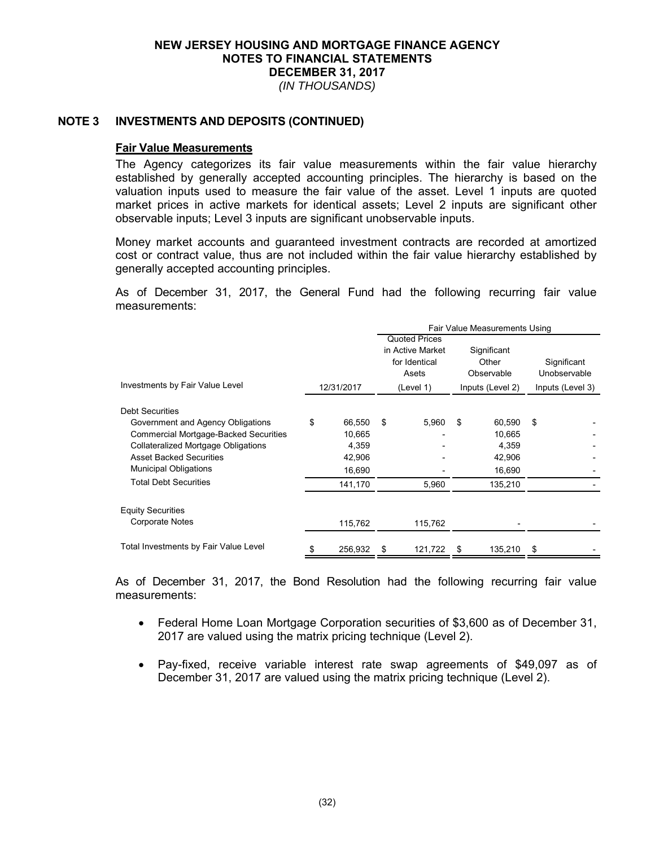*(IN THOUSANDS)*

#### **NOTE 3 INVESTMENTS AND DEPOSITS (CONTINUED)**

#### **Fair Value Measurements**

The Agency categorizes its fair value measurements within the fair value hierarchy established by generally accepted accounting principles. The hierarchy is based on the valuation inputs used to measure the fair value of the asset. Level 1 inputs are quoted market prices in active markets for identical assets; Level 2 inputs are significant other observable inputs; Level 3 inputs are significant unobservable inputs.

Money market accounts and guaranteed investment contracts are recorded at amortized cost or contract value, thus are not included within the fair value hierarchy established by generally accepted accounting principles.

As of December 31, 2017, the General Fund had the following recurring fair value measurements:

|                                              |               | Fair Value Measurements Using |                                                                                 |     |                                                        |                                                 |  |
|----------------------------------------------|---------------|-------------------------------|---------------------------------------------------------------------------------|-----|--------------------------------------------------------|-------------------------------------------------|--|
| Investments by Fair Value Level              | 12/31/2017    |                               | <b>Quoted Prices</b><br>in Active Market<br>for Identical<br>Asets<br>(Level 1) |     | Significant<br>Other<br>Observable<br>Inputs (Level 2) | Significant<br>Unobservable<br>Inputs (Level 3) |  |
| <b>Debt Securities</b>                       |               |                               |                                                                                 |     |                                                        |                                                 |  |
| Government and Agency Obligations            | \$<br>66,550  | \$                            | 5,960                                                                           | -\$ | 60,590                                                 | \$                                              |  |
| <b>Commercial Mortgage-Backed Securities</b> | 10,665        |                               |                                                                                 |     | 10,665                                                 |                                                 |  |
| <b>Collateralized Mortgage Obligations</b>   | 4,359         |                               |                                                                                 |     | 4,359                                                  |                                                 |  |
| <b>Asset Backed Securities</b>               | 42,906        |                               |                                                                                 |     | 42,906                                                 |                                                 |  |
| <b>Municipal Obligations</b>                 | 16,690        |                               |                                                                                 |     | 16,690                                                 |                                                 |  |
| <b>Total Debt Securities</b>                 | 141,170       |                               | 5,960                                                                           |     | 135,210                                                |                                                 |  |
| <b>Equity Securities</b>                     |               |                               |                                                                                 |     |                                                        |                                                 |  |
| <b>Corporate Notes</b>                       | 115,762       |                               | 115,762                                                                         |     |                                                        |                                                 |  |
| Total Investments by Fair Value Level        | \$<br>256,932 | S                             | 121,722                                                                         | \$  | 135,210                                                | \$                                              |  |

As of December 31, 2017, the Bond Resolution had the following recurring fair value measurements:

- Federal Home Loan Mortgage Corporation securities of \$3,600 as of December 31, 2017 are valued using the matrix pricing technique (Level 2).
- Pay-fixed, receive variable interest rate swap agreements of \$49,097 as of December 31, 2017 are valued using the matrix pricing technique (Level 2).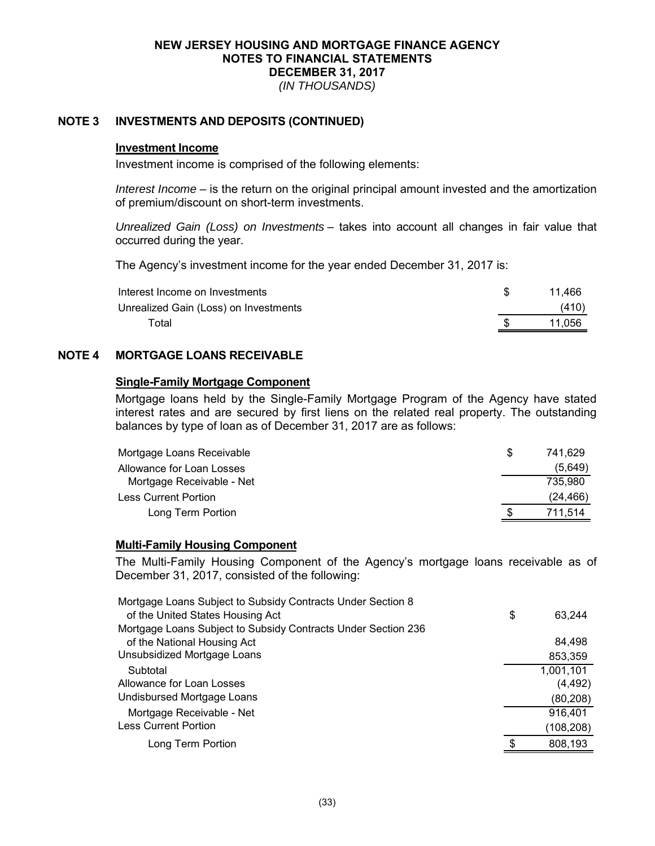#### **NEW JERSEY HOUSING AND MORTGAGE FINANCE AGENCY NOTES TO FINANCIAL STATEMENTS DECEMBER 31, 2017**  *(IN THOUSANDS)*

# **NOTE 3 INVESTMENTS AND DEPOSITS (CONTINUED)**

#### **Investment Income**

Investment income is comprised of the following elements:

*Interest Income* – is the return on the original principal amount invested and the amortization of premium/discount on short-term investments.

*Unrealized Gain (Loss) on Investments* – takes into account all changes in fair value that occurred during the year.

The Agency's investment income for the year ended December 31, 2017 is:

| Interest Income on Investments        | 11.466 |
|---------------------------------------|--------|
| Unrealized Gain (Loss) on Investments | (410)  |
| Total                                 | 11.056 |

#### **NOTE 4 MORTGAGE LOANS RECEIVABLE**

#### **Single-Family Mortgage Component**

Mortgage loans held by the Single-Family Mortgage Program of the Agency have stated interest rates and are secured by first liens on the related real property. The outstanding balances by type of loan as of December 31, 2017 are as follows:

| Mortgage Loans Receivable   | \$. | 741.629   |
|-----------------------------|-----|-----------|
| Allowance for Loan Losses   |     | (5,649)   |
| Mortgage Receivable - Net   |     | 735.980   |
| <b>Less Current Portion</b> |     | (24, 466) |
| Long Term Portion           | \$  | 711.514   |

#### **Multi-Family Housing Component**

The Multi-Family Housing Component of the Agency's mortgage loans receivable as of December 31, 2017, consisted of the following:

| Mortgage Loans Subject to Subsidy Contracts Under Section 8<br>of the United States Housing Act | \$<br>63,244 |
|-------------------------------------------------------------------------------------------------|--------------|
| Mortgage Loans Subject to Subsidy Contracts Under Section 236                                   |              |
| of the National Housing Act                                                                     | 84.498       |
| Unsubsidized Mortgage Loans                                                                     | 853,359      |
| Subtotal                                                                                        | 1,001,101    |
| Allowance for Loan Losses                                                                       | (4, 492)     |
| Undisbursed Mortgage Loans                                                                      | (80, 208)    |
| Mortgage Receivable - Net                                                                       | 916,401      |
| <b>Less Current Portion</b>                                                                     | (108, 208)   |
| Long Term Portion                                                                               | 808,193      |
|                                                                                                 |              |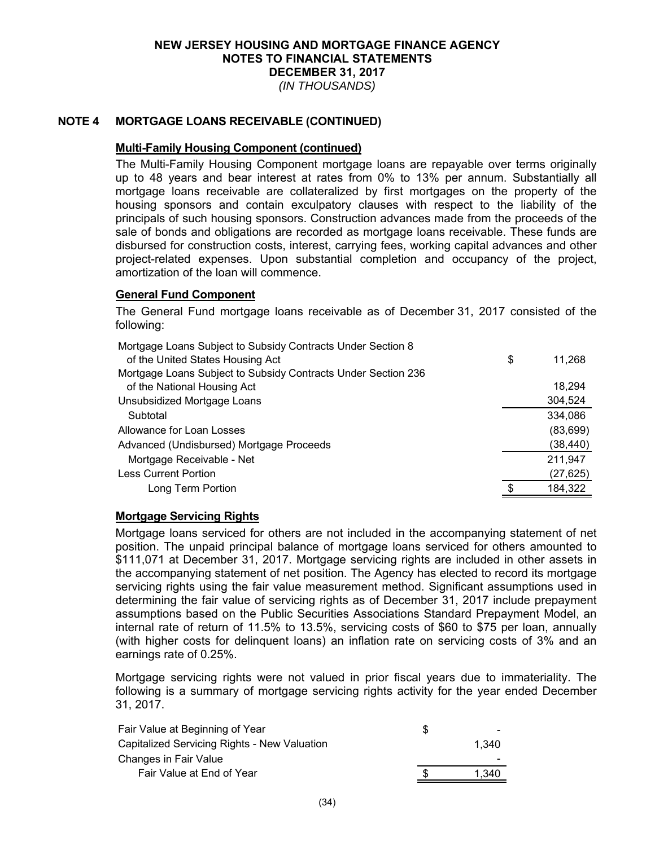*(IN THOUSANDS)*

## **NOTE 4 MORTGAGE LOANS RECEIVABLE (CONTINUED)**

#### **Multi-Family Housing Component (continued)**

The Multi-Family Housing Component mortgage loans are repayable over terms originally up to 48 years and bear interest at rates from 0% to 13% per annum. Substantially all mortgage loans receivable are collateralized by first mortgages on the property of the housing sponsors and contain exculpatory clauses with respect to the liability of the principals of such housing sponsors. Construction advances made from the proceeds of the sale of bonds and obligations are recorded as mortgage loans receivable. These funds are disbursed for construction costs, interest, carrying fees, working capital advances and other project-related expenses. Upon substantial completion and occupancy of the project, amortization of the loan will commence.

#### **General Fund Component**

The General Fund mortgage loans receivable as of December 31, 2017 consisted of the following:

| Mortgage Loans Subject to Subsidy Contracts Under Section 8   |    |           |
|---------------------------------------------------------------|----|-----------|
| of the United States Housing Act                              | \$ | 11,268    |
| Mortgage Loans Subject to Subsidy Contracts Under Section 236 |    |           |
| of the National Housing Act                                   |    | 18.294    |
| Unsubsidized Mortgage Loans                                   |    | 304,524   |
| Subtotal                                                      |    | 334,086   |
| Allowance for Loan Losses                                     |    | (83, 699) |
| Advanced (Undisbursed) Mortgage Proceeds                      |    | (38, 440) |
| Mortgage Receivable - Net                                     |    | 211,947   |
| <b>Less Current Portion</b>                                   |    | (27, 625) |
| Long Term Portion                                             | £. | 184,322   |
|                                                               |    |           |

#### **Mortgage Servicing Rights**

Mortgage loans serviced for others are not included in the accompanying statement of net position. The unpaid principal balance of mortgage loans serviced for others amounted to \$111,071 at December 31, 2017. Mortgage servicing rights are included in other assets in the accompanying statement of net position. The Agency has elected to record its mortgage servicing rights using the fair value measurement method. Significant assumptions used in determining the fair value of servicing rights as of December 31, 2017 include prepayment assumptions based on the Public Securities Associations Standard Prepayment Model, an internal rate of return of 11.5% to 13.5%, servicing costs of \$60 to \$75 per loan, annually (with higher costs for delinquent loans) an inflation rate on servicing costs of 3% and an earnings rate of 0.25%.

Mortgage servicing rights were not valued in prior fiscal years due to immateriality. The following is a summary of mortgage servicing rights activity for the year ended December 31, 2017.

| Fair Value at Beginning of Year              | £. |       |
|----------------------------------------------|----|-------|
| Capitalized Servicing Rights - New Valuation |    | 1.340 |
| Changes in Fair Value                        |    |       |
| Fair Value at End of Year                    |    | 1.340 |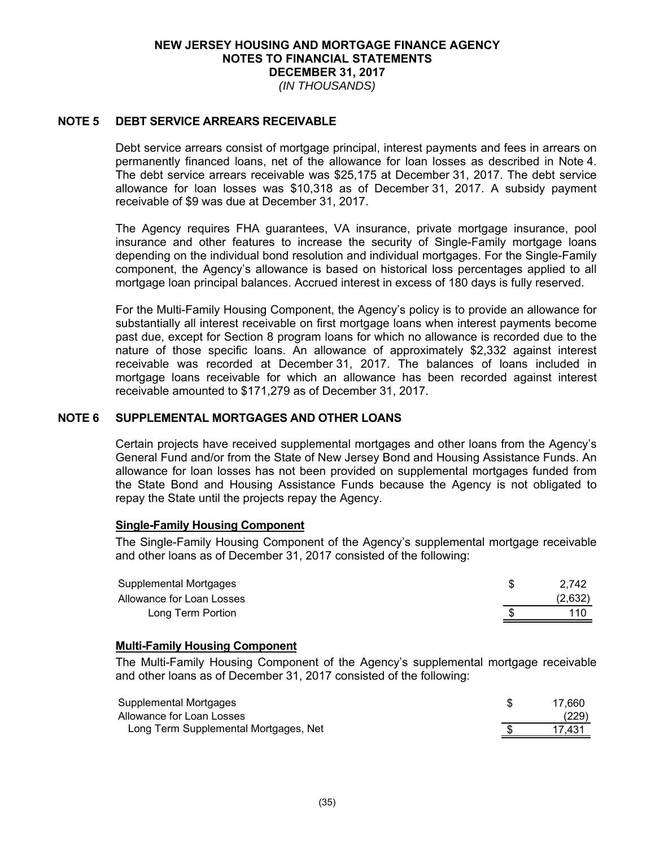*(IN THOUSANDS)*

#### **NOTE 5 DEBT SERVICE ARREARS RECEIVABLE**

Debt service arrears consist of mortgage principal, interest payments and fees in arrears on permanently financed loans, net of the allowance for loan losses as described in Note 4. The debt service arrears receivable was \$25,175 at December 31, 2017. The debt service allowance for loan losses was \$10,318 as of December 31, 2017. A subsidy payment receivable of \$9 was due at December 31, 2017.

The Agency requires FHA guarantees, VA insurance, private mortgage insurance, pool insurance and other features to increase the security of Single-Family mortgage loans depending on the individual bond resolution and individual mortgages. For the Single-Family component, the Agency's allowance is based on historical loss percentages applied to all mortgage loan principal balances. Accrued interest in excess of 180 days is fully reserved.

For the Multi-Family Housing Component, the Agency's policy is to provide an allowance for substantially all interest receivable on first mortgage loans when interest payments become past due, except for Section 8 program loans for which no allowance is recorded due to the nature of those specific loans. An allowance of approximately \$2,332 against interest receivable was recorded at December 31, 2017. The balances of loans included in mortgage loans receivable for which an allowance has been recorded against interest receivable amounted to \$171,279 as of December 31, 2017.

#### **NOTE 6 SUPPLEMENTAL MORTGAGES AND OTHER LOANS**

Certain projects have received supplemental mortgages and other loans from the Agency's General Fund and/or from the State of New Jersey Bond and Housing Assistance Funds. An allowance for loan losses has not been provided on supplemental mortgages funded from the State Bond and Housing Assistance Funds because the Agency is not obligated to repay the State until the projects repay the Agency.

#### **Single-Family Housing Component**

The Single-Family Housing Component of the Agency's supplemental mortgage receivable and other loans as of December 31, 2017 consisted of the following:

| Supplemental Mortgages    | 2.742   |
|---------------------------|---------|
| Allowance for Loan Losses | (2,632) |
| Long Term Portion         | 110     |

#### **Multi-Family Housing Component**

The Multi-Family Housing Component of the Agency's supplemental mortgage receivable and other loans as of December 31, 2017 consisted of the following:

| Supplemental Mortgages                | 17.660 |
|---------------------------------------|--------|
| Allowance for Loan Losses             | (229)  |
| Long Term Supplemental Mortgages, Net | 17.431 |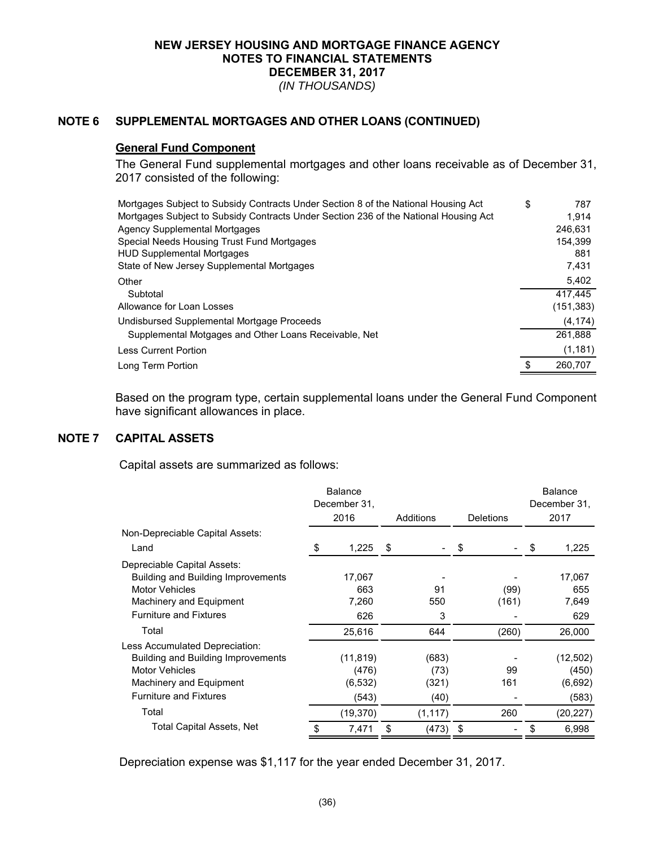#### **NEW JERSEY HOUSING AND MORTGAGE FINANCE AGENCY NOTES TO FINANCIAL STATEMENTS DECEMBER 31, 2017**  *(IN THOUSANDS)*

#### **NOTE 6 SUPPLEMENTAL MORTGAGES AND OTHER LOANS (CONTINUED)**

#### **General Fund Component**

The General Fund supplemental mortgages and other loans receivable as of December 31, 2017 consisted of the following:

| Mortgages Subject to Subsidy Contracts Under Section 8 of the National Housing Act   | \$<br>787     |
|--------------------------------------------------------------------------------------|---------------|
| Mortgages Subject to Subsidy Contracts Under Section 236 of the National Housing Act | 1.914         |
| <b>Agency Supplemental Mortgages</b>                                                 | 246.631       |
| Special Needs Housing Trust Fund Mortgages                                           | 154,399       |
| <b>HUD Supplemental Mortgages</b>                                                    | 881           |
| State of New Jersey Supplemental Mortgages                                           | 7,431         |
| Other                                                                                | 5,402         |
| Subtotal                                                                             | 417.445       |
| Allowance for Loan Losses                                                            | (151, 383)    |
| Undisbursed Supplemental Mortgage Proceeds                                           | (4, 174)      |
| Supplemental Motgages and Other Loans Receivable, Net                                | 261.888       |
| Less Current Portion                                                                 | (1, 181)      |
| Long Term Portion                                                                    | \$<br>260.707 |
|                                                                                      |               |

Based on the program type, certain supplemental loans under the General Fund Component have significant allowances in place.

# **NOTE 7 CAPITAL ASSETS**

Capital assets are summarized as follows:

|                                           |    | <b>Balance</b><br>December 31, |     |           |     |                  |      | <b>Balance</b><br>December 31, |
|-------------------------------------------|----|--------------------------------|-----|-----------|-----|------------------|------|--------------------------------|
|                                           |    | 2016                           |     | Additions |     | <b>Deletions</b> | 2017 |                                |
| Non-Depreciable Capital Assets:           |    |                                |     |           |     |                  |      |                                |
| Land                                      | \$ | 1,225                          | -\$ |           | \$  |                  | \$   | 1,225                          |
| Depreciable Capital Assets:               |    |                                |     |           |     |                  |      |                                |
| Building and Building Improvements        |    | 17,067                         |     |           |     |                  |      | 17,067                         |
| <b>Motor Vehicles</b>                     |    | 663                            |     | 91        |     | (99)             |      | 655                            |
| Machinery and Equipment                   |    | 7,260                          |     | 550       |     | (161)            |      | 7,649                          |
| <b>Furniture and Fixtures</b>             |    | 626                            |     | 3         |     |                  |      | 629                            |
| Total                                     |    | 25,616                         |     | 644       |     | (260)            |      | 26,000                         |
| Less Accumulated Depreciation:            |    |                                |     |           |     |                  |      |                                |
| <b>Building and Building Improvements</b> |    | (11, 819)                      |     | (683)     |     |                  |      | (12, 502)                      |
| <b>Motor Vehicles</b>                     |    | (476)                          |     | (73)      |     | 99               |      | (450)                          |
| Machinery and Equipment                   |    | (6, 532)                       |     | (321)     |     | 161              |      | (6,692)                        |
| <b>Furniture and Fixtures</b>             |    | (543)                          |     | (40)      |     |                  |      | (583)                          |
| Total                                     |    | (19, 370)                      |     | (1, 117)  |     | 260              |      | (20,227)                       |
| Total Capital Assets, Net                 | \$ | 7,471                          | \$  | (473)     | -\$ |                  |      | 6,998                          |

Depreciation expense was \$1,117 for the year ended December 31, 2017.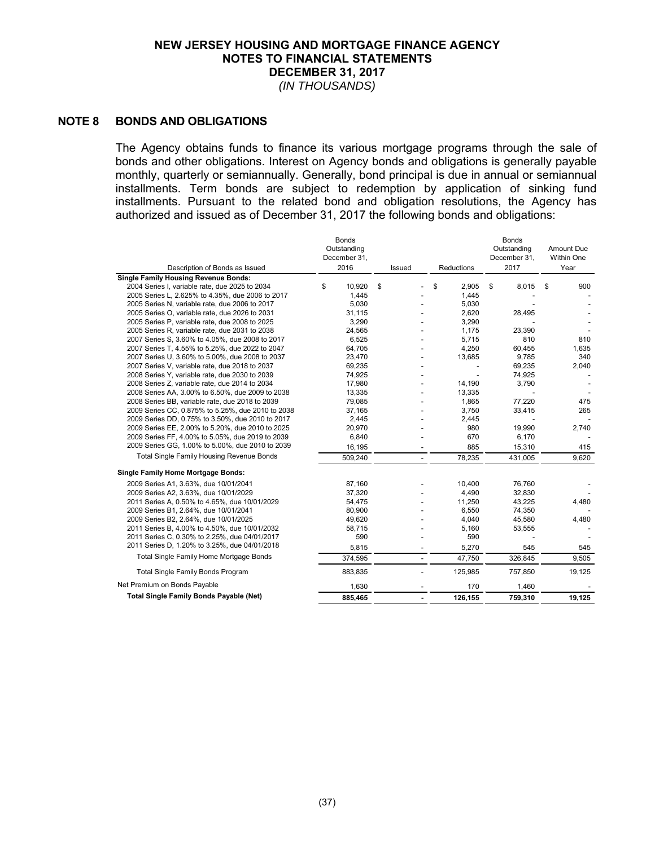*(IN THOUSANDS)*

#### **NOTE 8 BONDS AND OBLIGATIONS**

The Agency obtains funds to finance its various mortgage programs through the sale of bonds and other obligations. Interest on Agency bonds and obligations is generally payable monthly, quarterly or semiannually. Generally, bond principal is due in annual or semiannual installments. Term bonds are subject to redemption by application of sinking fund installments. Pursuant to the related bond and obligation resolutions, the Agency has authorized and issued as of December 31, 2017 the following bonds and obligations:

| Description of Bonds as Issued                    | <b>Bonds</b><br>Outstanding<br>December 31,<br>2016 | Issued |                          | Reductions  | <b>Bonds</b><br>Outstanding<br>December 31,<br>2017 | Amount Due<br>Within One<br>Year |
|---------------------------------------------------|-----------------------------------------------------|--------|--------------------------|-------------|-----------------------------------------------------|----------------------------------|
| <b>Single Family Housing Revenue Bonds:</b>       |                                                     |        |                          |             |                                                     |                                  |
| 2004 Series I, variable rate, due 2025 to 2034    | \$<br>10,920                                        | \$     |                          | \$<br>2,905 | \$<br>8,015                                         | \$<br>900                        |
| 2005 Series L, 2.625% to 4.35%, due 2006 to 2017  | 1,445                                               |        |                          | 1,445       |                                                     |                                  |
| 2005 Series N, variable rate, due 2006 to 2017    | 5,030                                               |        |                          | 5,030       |                                                     |                                  |
| 2005 Series O, variable rate, due 2026 to 2031    | 31,115                                              |        |                          | 2,620       | 28,495                                              |                                  |
| 2005 Series P, variable rate, due 2008 to 2025    | 3,290                                               |        |                          | 3,290       |                                                     |                                  |
| 2005 Series R, variable rate, due 2031 to 2038    | 24,565                                              |        |                          | 1,175       | 23,390                                              |                                  |
| 2007 Series S, 3.60% to 4.05%, due 2008 to 2017   | 6,525                                               |        |                          | 5,715       | 810                                                 | 810                              |
| 2007 Series T, 4.55% to 5.25%, due 2022 to 2047   | 64,705                                              |        |                          | 4,250       | 60,455                                              | 1,635                            |
| 2007 Series U, 3.60% to 5.00%, due 2008 to 2037   | 23,470                                              |        |                          | 13,685      | 9,785                                               | 340                              |
| 2007 Series V, variable rate, due 2018 to 2037    | 69,235                                              |        |                          |             | 69,235                                              | 2,040                            |
| 2008 Series Y, variable rate, due 2030 to 2039    | 74,925                                              |        |                          |             | 74,925                                              |                                  |
| 2008 Series Z, variable rate, due 2014 to 2034    | 17,980                                              |        |                          | 14,190      | 3,790                                               |                                  |
| 2008 Series AA, 3.00% to 6.50%, due 2009 to 2038  | 13,335                                              |        |                          | 13,335      |                                                     |                                  |
| 2008 Series BB, variable rate, due 2018 to 2039   | 79,085                                              |        |                          | 1,865       | 77,220                                              | 475                              |
| 2009 Series CC, 0.875% to 5.25%, due 2010 to 2038 | 37,165                                              |        |                          | 3,750       | 33,415                                              | 265                              |
| 2009 Series DD, 0.75% to 3.50%, due 2010 to 2017  | 2,445                                               |        |                          | 2,445       |                                                     |                                  |
| 2009 Series EE, 2.00% to 5.20%, due 2010 to 2025  | 20,970                                              |        |                          | 980         | 19,990                                              | 2,740                            |
| 2009 Series FF, 4.00% to 5.05%, due 2019 to 2039  | 6,840                                               |        |                          | 670         | 6,170                                               |                                  |
| 2009 Series GG, 1.00% to 5.00%, due 2010 to 2039  | 16,195                                              |        |                          | 885         | 15,310                                              | 415                              |
| <b>Total Single Family Housing Revenue Bonds</b>  | 509.240                                             |        | $\overline{\phantom{a}}$ | 78,235      | 431,005                                             | 9,620                            |
| <b>Single Family Home Mortgage Bonds:</b>         |                                                     |        |                          |             |                                                     |                                  |
| 2009 Series A1, 3.63%, due 10/01/2041             | 87,160                                              |        |                          | 10,400      | 76,760                                              |                                  |
| 2009 Series A2, 3.63%, due 10/01/2029             | 37,320                                              |        |                          | 4,490       | 32,830                                              |                                  |
| 2011 Series A, 0.50% to 4.65%, due 10/01/2029     | 54,475                                              |        |                          | 11,250      | 43,225                                              | 4,480                            |
| 2009 Series B1, 2.64%, due 10/01/2041             | 80,900                                              |        |                          | 6,550       | 74,350                                              |                                  |
| 2009 Series B2, 2.64%, due 10/01/2025             | 49,620                                              |        |                          | 4,040       | 45,580                                              | 4,480                            |
| 2011 Series B, 4.00% to 4.50%, due 10/01/2032     | 58,715                                              |        |                          | 5,160       | 53,555                                              |                                  |
| 2011 Series C, 0.30% to 2.25%, due 04/01/2017     | 590                                                 |        |                          | 590         |                                                     |                                  |
| 2011 Series D, 1.20% to 3.25%, due 04/01/2018     | 5,815                                               |        |                          | 5,270       | 545                                                 | 545                              |
| Total Single Family Home Mortgage Bonds           | 374,595                                             |        |                          | 47,750      | 326,845                                             | 9,505                            |
| <b>Total Single Family Bonds Program</b>          | 883,835                                             |        |                          | 125,985     | 757,850                                             | 19,125                           |
| Net Premium on Bonds Payable                      | 1,630                                               |        |                          | 170         | 1,460                                               |                                  |
| <b>Total Single Family Bonds Payable (Net)</b>    | 885,465                                             |        |                          | 126,155     | 759,310                                             | 19,125                           |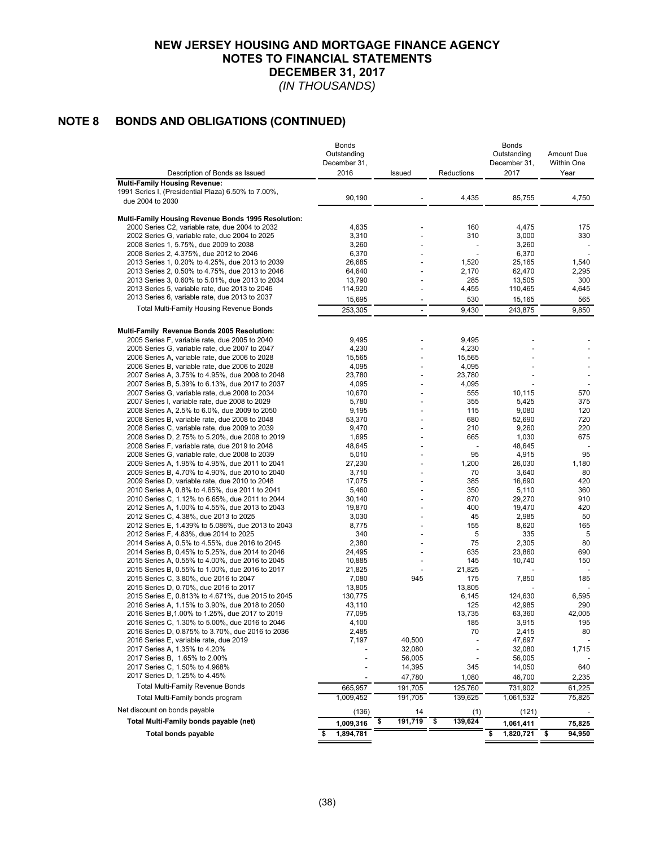*(IN THOUSANDS)*

# **NOTE 8 BONDS AND OBLIGATIONS (CONTINUED)**

|                                                                                                    | <b>Bonds</b><br>Outstanding |                  |                 | <b>Bonds</b><br>Outstanding | Amount Due         |
|----------------------------------------------------------------------------------------------------|-----------------------------|------------------|-----------------|-----------------------------|--------------------|
| Description of Bonds as Issued                                                                     | December 31,<br>2016        | Issued           | Reductions      | December 31,<br>2017        | Within One<br>Year |
| <b>Multi-Family Housing Revenue:</b>                                                               |                             |                  |                 |                             |                    |
| 1991 Series I, (Presidential Plaza) 6.50% to 7.00%,                                                |                             |                  |                 |                             |                    |
| due 2004 to 2030                                                                                   | 90,190                      |                  | 4,435           | 85,755                      | 4,750              |
| Multi-Family Housing Revenue Bonds 1995 Resolution:                                                |                             |                  |                 |                             |                    |
| 2000 Series C2, variable rate, due 2004 to 2032                                                    | 4,635                       |                  | 160             | 4,475                       | 175                |
| 2002 Series G, variable rate, due 2004 to 2025                                                     | 3,310                       |                  | 310             | 3,000                       | 330                |
| 2008 Series 1, 5.75%, due 2009 to 2038<br>2008 Series 2, 4.375%, due 2012 to 2046                  | 3,260                       |                  |                 | 3,260                       |                    |
| 2013 Series 1, 0.20% to 4.25%, due 2013 to 2039                                                    | 6,370<br>26,685             |                  | 1,520           | 6,370<br>25,165             | 1,540              |
| 2013 Series 2, 0.50% to 4.75%, due 2013 to 2046                                                    | 64,640                      |                  | 2,170           | 62,470                      | 2,295              |
| 2013 Series 3, 0.60% to 5.01%, due 2013 to 2034                                                    | 13,790                      |                  | 285             | 13,505                      | 300                |
| 2013 Series 5, variable rate, due 2013 to 2046                                                     | 114,920                     |                  | 4,455           | 110,465                     | 4,645              |
| 2013 Series 6, variable rate, due 2013 to 2037                                                     | 15,695                      |                  | 530             | 15,165                      | 565                |
| <b>Total Multi-Family Housing Revenue Bonds</b>                                                    | 253,305                     | $\frac{1}{2}$    | 9,430           | 243,875                     | 9,850              |
| Multi-Family Revenue Bonds 2005 Resolution:                                                        |                             |                  |                 |                             |                    |
| 2005 Series F, variable rate, due 2005 to 2040                                                     | 9,495                       |                  | 9,495           |                             |                    |
| 2005 Series G, variable rate, due 2007 to 2047                                                     | 4,230                       |                  | 4,230           |                             |                    |
| 2006 Series A, variable rate, due 2006 to 2028                                                     | 15,565                      |                  | 15,565          |                             |                    |
| 2006 Series B, variable rate, due 2006 to 2028                                                     | 4,095                       |                  | 4,095           |                             |                    |
| 2007 Series A, 3.75% to 4.95%, due 2008 to 2048<br>2007 Series B, 5.39% to 6.13%, due 2017 to 2037 | 23,780<br>4,095             |                  | 23,780<br>4,095 |                             |                    |
| 2007 Series G, variable rate, due 2008 to 2034                                                     | 10,670                      |                  | 555             | 10,115                      | 570                |
| 2007 Series I, variable rate, due 2008 to 2029                                                     | 5,780                       |                  | 355             | 5,425                       | 375                |
| 2008 Series A, 2.5% to 6.0%, due 2009 to 2050                                                      | 9,195                       | $\overline{a}$   | 115             | 9,080                       | 120                |
| 2008 Series B, variable rate, due 2008 to 2048                                                     | 53,370                      |                  | 680             | 52,690                      | 720                |
| 2008 Series C, variable rate, due 2009 to 2039<br>2008 Series D, 2.75% to 5.20%, due 2008 to 2019  | 9,470<br>1,695              |                  | 210<br>665      | 9,260<br>1,030              | 220<br>675         |
| 2008 Series F, variable rate, due 2019 to 2048                                                     | 48,645                      |                  |                 | 48,645                      |                    |
| 2008 Series G, variable rate, due 2008 to 2039                                                     | 5,010                       |                  | 95              | 4,915                       | 95                 |
| 2009 Series A, 1.95% to 4.95%, due 2011 to 2041                                                    | 27,230                      |                  | 1,200           | 26,030                      | 1,180              |
| 2009 Series B, 4.70% to 4.90%, due 2010 to 2040                                                    | 3,710                       |                  | 70              | 3,640                       | 80                 |
| 2009 Series D, variable rate, due 2010 to 2048<br>2010 Series A, 0.8% to 4.65%, due 2011 to 2041   | 17,075<br>5,460             |                  | 385<br>350      | 16,690<br>5,110             | 420<br>360         |
| 2010 Series C, 1.12% to 6.65%, due 2011 to 2044                                                    | 30,140                      |                  | 870             | 29,270                      | 910                |
| 2012 Series A, 1.00% to 4.55%, due 2013 to 2043                                                    | 19,870                      |                  | 400             | 19,470                      | 420                |
| 2012 Series C, 4.38%, due 2013 to 2025                                                             | 3,030                       |                  | 45              | 2,985                       | 50                 |
| 2012 Series E, 1.439% to 5.086%, due 2013 to 2043                                                  | 8,775                       |                  | 155             | 8,620                       | 165                |
| 2012 Series F, 4.83%, due 2014 to 2025<br>2014 Series A, 0.5% to 4.55%, due 2016 to 2045           | 340<br>2,380                |                  | 5<br>75         | 335<br>2,305                | 5<br>80            |
| 2014 Series B, 0.45% to 5.25%, due 2014 to 2046                                                    | 24,495                      |                  | 635             | 23,860                      | 690                |
| 2015 Series A, 0.55% to 4.00%, due 2016 to 2045                                                    | 10,885                      |                  | 145             | 10,740                      | 150                |
| 2015 Series B, 0.55% to 1.00%, due 2016 to 2017                                                    | 21,825                      |                  | 21,825          |                             |                    |
| 2015 Series C, 3.80%, due 2016 to 2047                                                             | 7,080                       | 945              | 175             | 7,850                       | 185                |
| 2015 Series D, 0.70%, due 2016 to 2017<br>2015 Series E, 0.813% to 4.671%, due 2015 to 2045        | 13,805<br>130,775           |                  | 13,805<br>6,145 | 124,630                     | 6,595              |
| 2016 Series A, 1.15% to 3.90%, due 2018 to 2050                                                    | 43,110                      |                  | 125             | 42,985                      | 290                |
| 2016 Series B, 1.00% to 1.25%, due 2017 to 2019                                                    | 77,095                      |                  | 13,735          | 63,360                      | 42,005             |
| 2016 Series C, 1.30% to 5.00%, due 2016 to 2046                                                    | 4,100                       |                  | 185             | 3,915                       | 195                |
| 2016 Series D, 0.875% to 3.70%, due 2016 to 2036                                                   | 2,485                       |                  | 70              | 2,415                       | 80                 |
| 2016 Series E, variable rate, due 2019<br>2017 Series A, 1.35% to 4.20%                            | 7,197                       | 40,500<br>32,080 | $\overline{a}$  | 47,697<br>32,080            | 1,715              |
| 2017 Series B, 1.65% to 2.00%                                                                      |                             | 56,005           |                 | 56,005                      |                    |
| 2017 Series C, 1.50% to 4.968%                                                                     |                             | 14,395           | 345             | 14,050                      | 640                |
| 2017 Series D, 1.25% to 4.45%                                                                      |                             | 47,780           | 1,080           | 46,700                      | 2,235              |
| <b>Total Multi-Family Revenue Bonds</b>                                                            | 665,957                     | 191,705          | 125,760         | 731,902                     | 61,225             |
| Total Multi-Family bonds program                                                                   | 1,009,452                   | 191,705          | 139,625         | 1,061,532                   | 75,825             |
| Net discount on bonds payable                                                                      | (136)                       | 14               | (1)             | (121)                       |                    |
| Total Multi-Family bonds payable (net)                                                             | 1,009,316                   | \$<br>191,719    | ٦\$<br>139,624  | 1,061,411                   | 75,825             |
| <b>Total bonds payable</b>                                                                         | 1,894,781                   |                  |                 | \$<br>1,820,721             | \$<br>94,950       |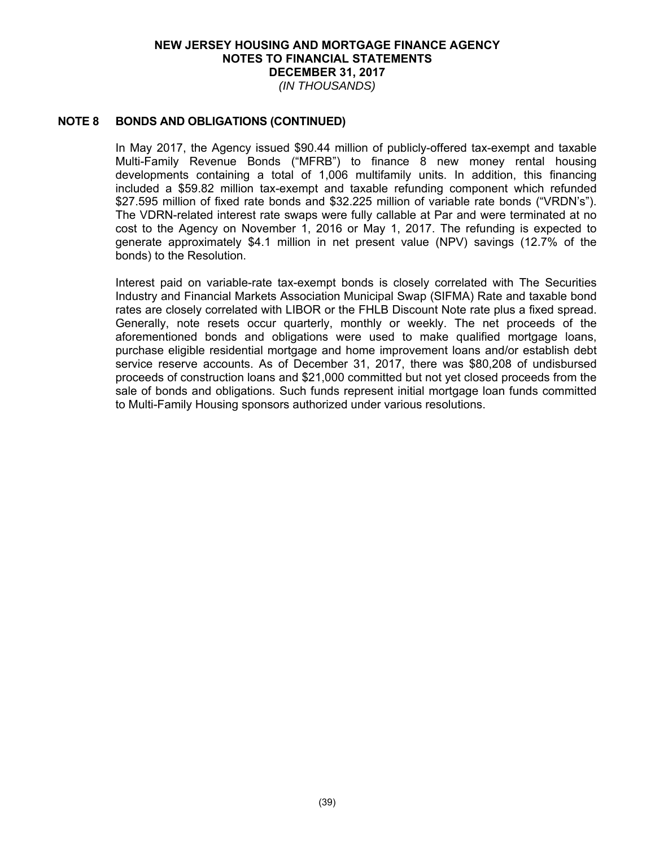*(IN THOUSANDS)*

#### **NOTE 8 BONDS AND OBLIGATIONS (CONTINUED)**

In May 2017, the Agency issued \$90.44 million of publicly-offered tax-exempt and taxable Multi-Family Revenue Bonds ("MFRB") to finance 8 new money rental housing developments containing a total of 1,006 multifamily units. In addition, this financing included a \$59.82 million tax-exempt and taxable refunding component which refunded \$27.595 million of fixed rate bonds and \$32.225 million of variable rate bonds ("VRDN's"). The VDRN-related interest rate swaps were fully callable at Par and were terminated at no cost to the Agency on November 1, 2016 or May 1, 2017. The refunding is expected to generate approximately \$4.1 million in net present value (NPV) savings (12.7% of the bonds) to the Resolution.

Interest paid on variable-rate tax-exempt bonds is closely correlated with The Securities Industry and Financial Markets Association Municipal Swap (SIFMA) Rate and taxable bond rates are closely correlated with LIBOR or the FHLB Discount Note rate plus a fixed spread. Generally, note resets occur quarterly, monthly or weekly. The net proceeds of the aforementioned bonds and obligations were used to make qualified mortgage loans, purchase eligible residential mortgage and home improvement loans and/or establish debt service reserve accounts. As of December 31, 2017, there was \$80,208 of undisbursed proceeds of construction loans and \$21,000 committed but not yet closed proceeds from the sale of bonds and obligations. Such funds represent initial mortgage loan funds committed to Multi-Family Housing sponsors authorized under various resolutions.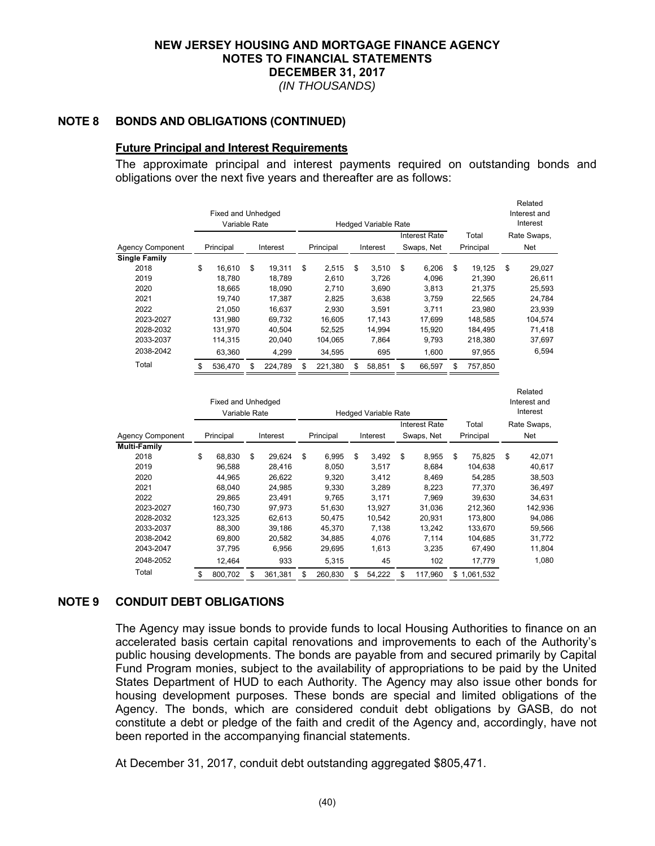*(IN THOUSANDS)*

## **NOTE 8 BONDS AND OBLIGATIONS (CONTINUED)**

#### **Future Principal and Interest Requirements**

The approximate principal and interest payments required on outstanding bonds and obligations over the next five years and thereafter are as follows:

|                         | Fixed and Unhedged<br>Variable Rate<br><b>Hedged Variable Rate</b> |    |          |    |           |    |          |    |               |    |           |    | Related<br>Interest and<br>Interest |  |
|-------------------------|--------------------------------------------------------------------|----|----------|----|-----------|----|----------|----|---------------|----|-----------|----|-------------------------------------|--|
|                         |                                                                    |    |          |    |           |    |          |    | Interest Rate |    | Total     |    | Rate Swaps,                         |  |
| <b>Agency Component</b> | Principal                                                          |    | Interest |    | Principal |    | Interest |    | Swaps, Net    |    | Principal |    | Net                                 |  |
| <b>Single Family</b>    |                                                                    |    |          |    |           |    |          |    |               |    |           |    |                                     |  |
| 2018                    | \$<br>16.610                                                       | \$ | 19.311   | \$ | 2.515     | \$ | 3.510    | \$ | 6.206         | \$ | 19.125    | \$ | 29,027                              |  |
| 2019                    | 18.780                                                             |    | 18.789   |    | 2,610     |    | 3,726    |    | 4.096         |    | 21.390    |    | 26,611                              |  |
| 2020                    | 18.665                                                             |    | 18.090   |    | 2.710     |    | 3.690    |    | 3.813         |    | 21.375    |    | 25,593                              |  |
| 2021                    | 19.740                                                             |    | 17.387   |    | 2.825     |    | 3,638    |    | 3.759         |    | 22.565    |    | 24,784                              |  |
| 2022                    | 21.050                                                             |    | 16.637   |    | 2.930     |    | 3.591    |    | 3.711         |    | 23.980    |    | 23,939                              |  |
| 2023-2027               | 131.980                                                            |    | 69.732   |    | 16.605    |    | 17,143   |    | 17.699        |    | 148.585   |    | 104,574                             |  |
| 2028-2032               | 131.970                                                            |    | 40.504   |    | 52.525    |    | 14.994   |    | 15.920        |    | 184.495   |    | 71.418                              |  |
| 2033-2037               | 114.315                                                            |    | 20.040   |    | 104,065   |    | 7,864    |    | 9.793         |    | 218.380   |    | 37,697                              |  |
| 2038-2042               | 63.360                                                             |    | 4.299    |    | 34.595    |    | 695      |    | 1.600         |    | 97.955    |    | 6,594                               |  |
| Total                   | \$<br>536.470                                                      | S  | 224.789  | S  | 221.380   | \$ | 58.851   | S  | 66.597        | S  | 757.850   |    |                                     |  |
|                         |                                                                    |    |          |    |           |    |          |    |               |    |           |    |                                     |  |

|                         | Fixed and Unhedged<br>Variable Rate |               |               |          | <b>Hedged Variable Rate</b> |            |               | Interest and<br>Interest |             |     |             |
|-------------------------|-------------------------------------|---------------|---------------|----------|-----------------------------|------------|---------------|--------------------------|-------------|-----|-------------|
|                         |                                     |               |               |          |                             |            | Interest Rate |                          | Total       |     | Rate Swaps, |
| <b>Agency Component</b> | Principal                           | Interest      | Principal     | Interest |                             | Swaps, Net |               | Principal                |             | Net |             |
| Multi-Family            |                                     |               |               |          |                             |            |               |                          |             |     |             |
| 2018                    | \$<br>68.830                        | \$<br>29.624  | \$<br>6.995   | \$       | 3.492                       | \$         | 8.955         | \$                       | 75.825      | \$  | 42,071      |
| 2019                    | 96.588                              | 28.416        | 8.050         |          | 3.517                       |            | 8.684         |                          | 104.638     |     | 40.617      |
| 2020                    | 44.965                              | 26.622        | 9,320         |          | 3,412                       |            | 8.469         |                          | 54.285      |     | 38,503      |
| 2021                    | 68.040                              | 24.985        | 9.330         |          | 3,289                       |            | 8.223         |                          | 77.370      |     | 36,497      |
| 2022                    | 29.865                              | 23.491        | 9,765         |          | 3,171                       |            | 7.969         |                          | 39,630      |     | 34,631      |
| 2023-2027               | 160,730                             | 97.973        | 51.630        |          | 13.927                      |            | 31.036        |                          | 212.360     |     | 142.936     |
| 2028-2032               | 123.325                             | 62.613        | 50.475        |          | 10.542                      |            | 20.931        |                          | 173.800     |     | 94.086      |
| 2033-2037               | 88.300                              | 39.186        | 45,370        |          | 7.138                       |            | 13.242        |                          | 133.670     |     | 59.566      |
| 2038-2042               | 69.800                              | 20.582        | 34,885        |          | 4,076                       |            | 7.114         |                          | 104.685     |     | 31,772      |
| 2043-2047               | 37,795                              | 6.956         | 29,695        |          | 1,613                       |            | 3.235         |                          | 67.490      |     | 11,804      |
| 2048-2052               | 12.464                              | 933           | 5,315         |          | 45                          |            | 102           |                          | 17.779      |     | 1,080       |
| Total                   | \$<br>800.702                       | \$<br>361.381 | \$<br>260,830 | \$       | 54.222                      | S          | 117.960       |                          | \$1.061.532 |     |             |

Related

# **NOTE 9 CONDUIT DEBT OBLIGATIONS**

The Agency may issue bonds to provide funds to local Housing Authorities to finance on an accelerated basis certain capital renovations and improvements to each of the Authority's public housing developments. The bonds are payable from and secured primarily by Capital Fund Program monies, subject to the availability of appropriations to be paid by the United States Department of HUD to each Authority. The Agency may also issue other bonds for housing development purposes. These bonds are special and limited obligations of the Agency. The bonds, which are considered conduit debt obligations by GASB, do not constitute a debt or pledge of the faith and credit of the Agency and, accordingly, have not been reported in the accompanying financial statements.

At December 31, 2017, conduit debt outstanding aggregated \$805,471.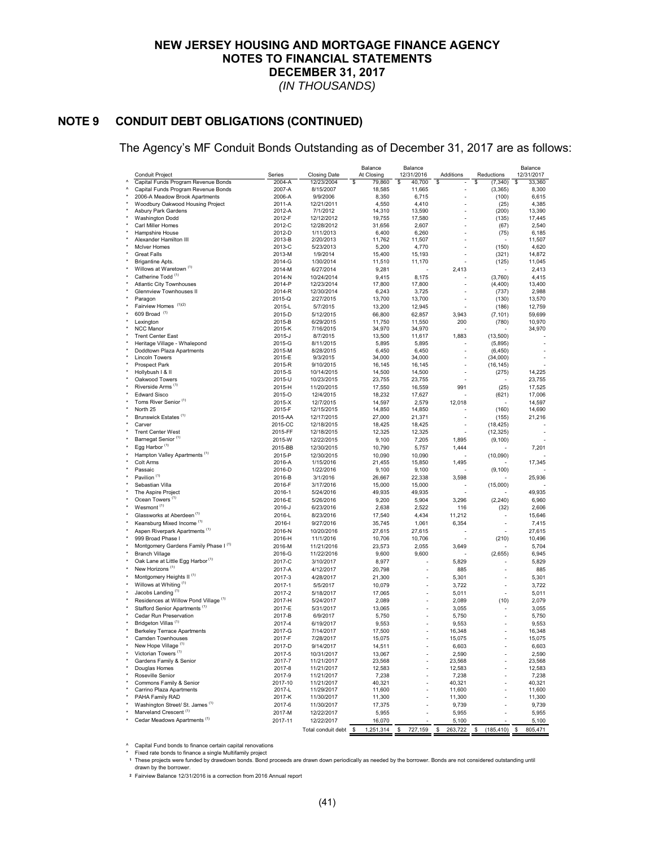*(IN THOUSANDS)*

# **NOTE 9 CONDUIT DEBT OBLIGATIONS (CONTINUED)**

The Agency's MF Conduit Bonds Outstanding as of December 31, 2017 are as follows:

| ٨<br>Capital Funds Program Revenue Bonds<br>\$<br>\$<br>2004-A<br>12/23/2004<br>\$<br>79,860<br>s<br>40,700<br>\$<br>(7, 340)<br>33,360<br>٨<br>Capital Funds Program Revenue Bonds<br>2007-A<br>8/15/2007<br>18,585<br>11,665<br>8,300<br>(3, 365)<br>2006-A Meadow Brook Apartments<br>2006-A<br>9/9/2006<br>8,350<br>6,715<br>(100)<br>6,615<br>Woodbury Oakwood Housing Project<br>2011-A<br>12/21/2011<br>4,550<br>4,410<br>4,385<br>(25)<br>Asbury Park Gardens<br>2012-A<br>7/1/2012<br>14,310<br>13,590<br>(200)<br>13,390<br>Washington Dodd<br>2012-F<br>12/12/2012<br>19,755<br>17,580<br>17,445<br>(135)<br>Carl Miller Homes<br>2012-C<br>12/28/2012<br>31,656<br>2,607<br>(67)<br>2,540<br>Hampshire House<br>2012-D<br>1/11/2013<br>6,400<br>6,260<br>6,185<br>(75)<br>Alexander Hamilton III<br>2013-B<br>2/20/2013<br>11,762<br>11,507<br>11,507<br>$\bullet$<br>McIver Homes<br>2013-C<br>5/23/2013<br>(150)<br>4,620<br>5,200<br>4,770<br><b>Great Falls</b><br>2013-M<br>1/9/2014<br>15,400<br>15,193<br>(321)<br>14,872<br>Brigantine Apts.<br>2014-G<br>11,170<br>11,045<br>1/30/2014<br>11,510<br>(125)<br>Willows at Waretown <sup>(1)</sup><br>2014-M<br>6/27/2014<br>9,281<br>2,413<br>2,413<br>Catherine Todd <sup>(1)</sup><br>2014-N<br>10/24/2014<br>9,415<br>4,415<br>8,175<br>(3,760)<br><b>Atlantic City Townhouses</b><br>2014-P<br>17,800<br>17,800<br>12/23/2014<br>(4, 400)<br>13,400<br>Glennview Townhouses II<br>2014-R<br>12/30/2014<br>6,243<br>3,725<br>(737)<br>2,988<br>×<br>Paragon<br>2015-Q<br>2/27/2015<br>13,700<br>13,700<br>(130)<br>13,570<br>Fairview Homes <sup>(1)(2)</sup><br>2015-L<br>5/7/2015<br>13,200<br>12,945<br>(186)<br>12,759<br>609 Broad <sup>(1)</sup><br>2015-D<br>5/12/2015<br>66,800<br>62,857<br>3,943<br>(7, 101)<br>59,699<br>Lexington<br>200<br>2015-B<br>6/29/2015<br>11,750<br>11,550<br>(780)<br>10,970<br><b>NCC Manor</b><br>2015-K<br>7/16/2015<br>34,970<br>34,970<br>34,970<br>1,883<br><b>Trent Center East</b><br>2015-J<br>8/7/2015<br>13,500<br>11,617<br>(13,500)<br>×<br>Heritage Village - Whalepond<br>2015-G<br>8/11/2015<br>5,895<br>5,895<br>(5,895)<br>Doddtown Plaza Apartments<br>2015-M<br>8/28/2015<br>6,450<br>6,450<br>(6, 450)<br><b>Lincoln Towers</b><br>2015-E<br>34,000<br>34,000<br>9/3/2015<br>(34,000)<br><b>Prospect Park</b><br>2015-R<br>9/10/2015<br>16,145<br>16,145<br>(16, 145)<br>Hollybush I & II<br>2015-S<br>10/14/2015<br>14,500<br>14,225<br>14,500<br>(275)<br>Oakwood Towers<br>2015-U<br>10/23/2015<br>23,755<br>23,755<br>23,755<br>Riverside Arms <sup>(1)</sup><br>2015-H<br>11/20/2015<br>17,550<br>16,559<br>991<br>(25)<br>17,525<br>٠<br><b>Edward Sisco</b><br>2015-O<br>12/4/2015<br>18,232<br>17,627<br>(621)<br>17,006<br>Toms River Senior <sup>(1)</sup><br>2015-X<br>12/7/2015<br>14,597<br>2,579<br>12,018<br>14,597<br>North 25<br>2015-F<br>12/15/2015<br>14,850<br>14,850<br>(160)<br>14,690<br>Brunswick Estates <sup>(1)</sup><br>27,000<br>21,216<br>2015-AA<br>12/17/2015<br>21,371<br>(155)<br>Carver<br>2015-CC<br>12/18/2015<br>18,425<br>18,425<br>(18, 425)<br><b>Trent Center West</b><br>2015-FF<br>12/18/2015<br>12,325<br>12,325<br>(12, 325)<br>Barnegat Senior <sup>(1)</sup><br>2015-W<br>12/22/2015<br>9,100<br>7,205<br>1,895<br>(9, 100)<br>Egg Harbor <sup>(1)</sup><br>2015-BB<br>12/30/2015<br>10,790<br>5,757<br>1,444<br>7,201<br>Hampton Valley Apartments <sup>(1)</sup><br>2015-P<br>12/30/2015<br>10,090<br>10,090<br>(10,090)<br>Colt Arms<br>2016-A<br>1/15/2016<br>21,455<br>15,850<br>1,495<br>17,345<br>Passaic<br>2016-D<br>1/22/2016<br>(9, 100)<br>9,100<br>9,100<br>Pavilion <sup>(1)</sup><br>$\star$<br>2016-B<br>3/1/2016<br>22,338<br>3,598<br>25,936<br>26,667<br>Sebastian Villa<br>2016-F<br>3/17/2016<br>15,000<br>15,000<br>(15,000)<br>The Aspire Project<br>49,935<br>49,935<br>49,935<br>2016-1<br>5/24/2016<br>Ocean Towers <sup>(1)</sup><br>9,200<br>5,904<br>3,296<br>(2, 240)<br>6,960<br>2016-E<br>5/26/2016<br>Wesmont <sup>(1)</sup><br>2016-J<br>6/23/2016<br>2,638<br>2,522<br>116<br>2,606<br>(32)<br>Glassworks at Aberdeen <sup>(1)</sup><br>2016-L<br>8/23/2016<br>17,540<br>4,434<br>11,212<br>15,646<br>Keansburg Mixed Income <sup>(1)</sup><br>6,354<br>2016-l<br>9/27/2016<br>35,745<br>1,061<br>7,415<br>Aspen Riverpark Apartments <sup>(1)</sup><br>2016-N<br>10/20/2016<br>27,615<br>27,615<br>27,615<br>×<br>999 Broad Phase I<br>2016-H<br>11/1/2016<br>10,706<br>10,706<br>(210)<br>10,496<br>Montgomery Gardens Family Phase I <sup>(1)</sup><br>2,055<br>3,649<br>5,704<br>2016-M<br>11/21/2016<br>23,573<br>9,600<br><b>Branch Village</b><br>9,600<br>(2,655)<br>6,945<br>2016-G<br>11/22/2016<br>×<br>Oak Lane at Little Egg Harbor <sup>(1)</sup><br>5,829<br>2017-C<br>3/10/2017<br>8,977<br>5,829<br>×<br>New Horizons <sup>(1)</sup><br>2017-A<br>885<br>4/12/2017<br>20,798<br>885<br>Montgomery Heights II <sup>(1)</sup><br>2017-3<br>4/28/2017<br>5,301<br>5,301<br>21,300<br>÷,<br>Willows at Whiting <sup>(1)</sup><br>2017-1<br>5/5/2017<br>10,079<br>3,722<br>3,722<br>÷,<br>٠<br>Jacobs Landing <sup>(1)</sup><br>2017-2<br>5/18/2017<br>17,065<br>5,011<br>5,011<br>Residences at Willow Pond Village (1)<br>2017-H<br>(10)<br>2,079<br>5/24/2017<br>2,089<br>2,089<br>Stafford Senior Apartments <sup>(1)</sup><br>2017-E<br>5/31/2017<br>13,065<br>3,055<br>3,055<br>Cedar Run Preservation<br>2017-B<br>6/9/2017<br>5,750<br>5,750<br>5,750<br>Bridgeton Villas <sup>(1)</sup><br>2017-4<br>6/19/2017<br>9,553<br>9,553<br>9,553<br><b>Berkeley Terrace Apartments</b><br>2017-G<br>7/14/2017<br>17,500<br>16,348<br>16,348<br>÷,<br>J,<br>2017-F<br>7/28/2017<br>15,075<br>15,075<br>15,075<br>Camden Townhouses<br>New Hope Village <sup>(1)</sup><br>2017-D<br>9/14/2017<br>14,511<br>6,603<br>6,603<br>Victorian Towers <sup>(1)</sup><br>$\star$<br>2017-5<br>10/31/2017<br>13,067<br>2,590<br>2,590<br>Gardens Family & Senior<br>2017-7<br>23,568<br>23,568<br>11/21/2017<br>23,568<br>Douglas Homes<br>2017-8<br>12,583<br>12,583<br>11/21/2017<br>12,583<br>Roseville Senior<br>2017-9<br>11/21/2017<br>7,238<br>7,238<br>7,238<br>$\bullet$<br>Commons Family & Senior<br>40,321<br>40,321<br>2017-10<br>11/21/2017<br>40,321<br>Carrino Plaza Apartments<br>11,600<br>2017-L<br>11/29/2017<br>11,600<br>11,600<br>PAHA Family RAD<br>11,300<br>11,300<br>2017-K<br>11/30/2017<br>11,300<br>Washington Street/ St. James (1)<br>2017-6<br>9,739<br>9,739<br>11/30/2017<br>17,375<br>Marveland Crescent <sup>(1)</sup><br>2017-M<br>12/22/2017<br>5,955<br>5,955<br>5,955<br>Cedar Meadows Apartments <sup>(1)</sup><br>2017-11<br>12/22/2017<br>16,070<br>5,100<br>5,100 |                        |        |                       | Balance    | Balance    |           |            | Balance    |
|---------------------------------------------------------------------------------------------------------------------------------------------------------------------------------------------------------------------------------------------------------------------------------------------------------------------------------------------------------------------------------------------------------------------------------------------------------------------------------------------------------------------------------------------------------------------------------------------------------------------------------------------------------------------------------------------------------------------------------------------------------------------------------------------------------------------------------------------------------------------------------------------------------------------------------------------------------------------------------------------------------------------------------------------------------------------------------------------------------------------------------------------------------------------------------------------------------------------------------------------------------------------------------------------------------------------------------------------------------------------------------------------------------------------------------------------------------------------------------------------------------------------------------------------------------------------------------------------------------------------------------------------------------------------------------------------------------------------------------------------------------------------------------------------------------------------------------------------------------------------------------------------------------------------------------------------------------------------------------------------------------------------------------------------------------------------------------------------------------------------------------------------------------------------------------------------------------------------------------------------------------------------------------------------------------------------------------------------------------------------------------------------------------------------------------------------------------------------------------------------------------------------------------------------------------------------------------------------------------------------------------------------------------------------------------------------------------------------------------------------------------------------------------------------------------------------------------------------------------------------------------------------------------------------------------------------------------------------------------------------------------------------------------------------------------------------------------------------------------------------------------------------------------------------------------------------------------------------------------------------------------------------------------------------------------------------------------------------------------------------------------------------------------------------------------------------------------------------------------------------------------------------------------------------------------------------------------------------------------------------------------------------------------------------------------------------------------------------------------------------------------------------------------------------------------------------------------------------------------------------------------------------------------------------------------------------------------------------------------------------------------------------------------------------------------------------------------------------------------------------------------------------------------------------------------------------------------------------------------------------------------------------------------------------------------------------------------------------------------------------------------------------------------------------------------------------------------------------------------------------------------------------------------------------------------------------------------------------------------------------------------------------------------------------------------------------------------------------------------------------------------------------------------------------------------------------------------------------------------------------------------------------------------------------------------------------------------------------------------------------------------------------------------------------------------------------------------------------------------------------------------------------------------------------------------------------------------------------------------------------------------------------------------------------------------------------------------------------------------------------------------------------------------------------------------------------------------------------------------------------------------------------------------------------------------------------------------------------------------------------------------------------------------------------------------------------------------------------------------------------------------------------------------------------------------------------------------------------------------------------------------------------------------------------------------------------------------------------------------------------------------------------------------------------------------------------------------------------------------------------------------------------------------------------------------------------------------------------------------------------------------------------------------------------------------------------------------------------------------------------------------------------------------------------------------------------------------------------------------------------------------------------------------------------------------------------------------------------------------------------------------------------------------------------------------------------------------------------------------------|------------------------|--------|-----------------------|------------|------------|-----------|------------|------------|
|                                                                                                                                                                                                                                                                                                                                                                                                                                                                                                                                                                                                                                                                                                                                                                                                                                                                                                                                                                                                                                                                                                                                                                                                                                                                                                                                                                                                                                                                                                                                                                                                                                                                                                                                                                                                                                                                                                                                                                                                                                                                                                                                                                                                                                                                                                                                                                                                                                                                                                                                                                                                                                                                                                                                                                                                                                                                                                                                                                                                                                                                                                                                                                                                                                                                                                                                                                                                                                                                                                                                                                                                                                                                                                                                                                                                                                                                                                                                                                                                                                                                                                                                                                                                                                                                                                                                                                                                                                                                                                                                                                                                                                                                                                                                                                                                                                                                                                                                                                                                                                                                                                                                                                                                                                                                                                                                                                                                                                                                                                                                                                                                                                                                                                                                                                                                                                                                                                                                                                                                                                                                                                                                                                                                                                                                                                                                                                                                                                                                                                                                                                                                                                                                                                                                       | <b>Conduit Project</b> | Series | Closing Date          | At Closing | 12/31/2016 | Additions | Reductions | 12/31/2017 |
|                                                                                                                                                                                                                                                                                                                                                                                                                                                                                                                                                                                                                                                                                                                                                                                                                                                                                                                                                                                                                                                                                                                                                                                                                                                                                                                                                                                                                                                                                                                                                                                                                                                                                                                                                                                                                                                                                                                                                                                                                                                                                                                                                                                                                                                                                                                                                                                                                                                                                                                                                                                                                                                                                                                                                                                                                                                                                                                                                                                                                                                                                                                                                                                                                                                                                                                                                                                                                                                                                                                                                                                                                                                                                                                                                                                                                                                                                                                                                                                                                                                                                                                                                                                                                                                                                                                                                                                                                                                                                                                                                                                                                                                                                                                                                                                                                                                                                                                                                                                                                                                                                                                                                                                                                                                                                                                                                                                                                                                                                                                                                                                                                                                                                                                                                                                                                                                                                                                                                                                                                                                                                                                                                                                                                                                                                                                                                                                                                                                                                                                                                                                                                                                                                                                                       |                        |        |                       |            |            |           |            |            |
|                                                                                                                                                                                                                                                                                                                                                                                                                                                                                                                                                                                                                                                                                                                                                                                                                                                                                                                                                                                                                                                                                                                                                                                                                                                                                                                                                                                                                                                                                                                                                                                                                                                                                                                                                                                                                                                                                                                                                                                                                                                                                                                                                                                                                                                                                                                                                                                                                                                                                                                                                                                                                                                                                                                                                                                                                                                                                                                                                                                                                                                                                                                                                                                                                                                                                                                                                                                                                                                                                                                                                                                                                                                                                                                                                                                                                                                                                                                                                                                                                                                                                                                                                                                                                                                                                                                                                                                                                                                                                                                                                                                                                                                                                                                                                                                                                                                                                                                                                                                                                                                                                                                                                                                                                                                                                                                                                                                                                                                                                                                                                                                                                                                                                                                                                                                                                                                                                                                                                                                                                                                                                                                                                                                                                                                                                                                                                                                                                                                                                                                                                                                                                                                                                                                                       |                        |        |                       |            |            |           |            |            |
|                                                                                                                                                                                                                                                                                                                                                                                                                                                                                                                                                                                                                                                                                                                                                                                                                                                                                                                                                                                                                                                                                                                                                                                                                                                                                                                                                                                                                                                                                                                                                                                                                                                                                                                                                                                                                                                                                                                                                                                                                                                                                                                                                                                                                                                                                                                                                                                                                                                                                                                                                                                                                                                                                                                                                                                                                                                                                                                                                                                                                                                                                                                                                                                                                                                                                                                                                                                                                                                                                                                                                                                                                                                                                                                                                                                                                                                                                                                                                                                                                                                                                                                                                                                                                                                                                                                                                                                                                                                                                                                                                                                                                                                                                                                                                                                                                                                                                                                                                                                                                                                                                                                                                                                                                                                                                                                                                                                                                                                                                                                                                                                                                                                                                                                                                                                                                                                                                                                                                                                                                                                                                                                                                                                                                                                                                                                                                                                                                                                                                                                                                                                                                                                                                                                                       |                        |        |                       |            |            |           |            |            |
|                                                                                                                                                                                                                                                                                                                                                                                                                                                                                                                                                                                                                                                                                                                                                                                                                                                                                                                                                                                                                                                                                                                                                                                                                                                                                                                                                                                                                                                                                                                                                                                                                                                                                                                                                                                                                                                                                                                                                                                                                                                                                                                                                                                                                                                                                                                                                                                                                                                                                                                                                                                                                                                                                                                                                                                                                                                                                                                                                                                                                                                                                                                                                                                                                                                                                                                                                                                                                                                                                                                                                                                                                                                                                                                                                                                                                                                                                                                                                                                                                                                                                                                                                                                                                                                                                                                                                                                                                                                                                                                                                                                                                                                                                                                                                                                                                                                                                                                                                                                                                                                                                                                                                                                                                                                                                                                                                                                                                                                                                                                                                                                                                                                                                                                                                                                                                                                                                                                                                                                                                                                                                                                                                                                                                                                                                                                                                                                                                                                                                                                                                                                                                                                                                                                                       |                        |        |                       |            |            |           |            |            |
|                                                                                                                                                                                                                                                                                                                                                                                                                                                                                                                                                                                                                                                                                                                                                                                                                                                                                                                                                                                                                                                                                                                                                                                                                                                                                                                                                                                                                                                                                                                                                                                                                                                                                                                                                                                                                                                                                                                                                                                                                                                                                                                                                                                                                                                                                                                                                                                                                                                                                                                                                                                                                                                                                                                                                                                                                                                                                                                                                                                                                                                                                                                                                                                                                                                                                                                                                                                                                                                                                                                                                                                                                                                                                                                                                                                                                                                                                                                                                                                                                                                                                                                                                                                                                                                                                                                                                                                                                                                                                                                                                                                                                                                                                                                                                                                                                                                                                                                                                                                                                                                                                                                                                                                                                                                                                                                                                                                                                                                                                                                                                                                                                                                                                                                                                                                                                                                                                                                                                                                                                                                                                                                                                                                                                                                                                                                                                                                                                                                                                                                                                                                                                                                                                                                                       |                        |        |                       |            |            |           |            |            |
|                                                                                                                                                                                                                                                                                                                                                                                                                                                                                                                                                                                                                                                                                                                                                                                                                                                                                                                                                                                                                                                                                                                                                                                                                                                                                                                                                                                                                                                                                                                                                                                                                                                                                                                                                                                                                                                                                                                                                                                                                                                                                                                                                                                                                                                                                                                                                                                                                                                                                                                                                                                                                                                                                                                                                                                                                                                                                                                                                                                                                                                                                                                                                                                                                                                                                                                                                                                                                                                                                                                                                                                                                                                                                                                                                                                                                                                                                                                                                                                                                                                                                                                                                                                                                                                                                                                                                                                                                                                                                                                                                                                                                                                                                                                                                                                                                                                                                                                                                                                                                                                                                                                                                                                                                                                                                                                                                                                                                                                                                                                                                                                                                                                                                                                                                                                                                                                                                                                                                                                                                                                                                                                                                                                                                                                                                                                                                                                                                                                                                                                                                                                                                                                                                                                                       |                        |        |                       |            |            |           |            |            |
|                                                                                                                                                                                                                                                                                                                                                                                                                                                                                                                                                                                                                                                                                                                                                                                                                                                                                                                                                                                                                                                                                                                                                                                                                                                                                                                                                                                                                                                                                                                                                                                                                                                                                                                                                                                                                                                                                                                                                                                                                                                                                                                                                                                                                                                                                                                                                                                                                                                                                                                                                                                                                                                                                                                                                                                                                                                                                                                                                                                                                                                                                                                                                                                                                                                                                                                                                                                                                                                                                                                                                                                                                                                                                                                                                                                                                                                                                                                                                                                                                                                                                                                                                                                                                                                                                                                                                                                                                                                                                                                                                                                                                                                                                                                                                                                                                                                                                                                                                                                                                                                                                                                                                                                                                                                                                                                                                                                                                                                                                                                                                                                                                                                                                                                                                                                                                                                                                                                                                                                                                                                                                                                                                                                                                                                                                                                                                                                                                                                                                                                                                                                                                                                                                                                                       |                        |        |                       |            |            |           |            |            |
|                                                                                                                                                                                                                                                                                                                                                                                                                                                                                                                                                                                                                                                                                                                                                                                                                                                                                                                                                                                                                                                                                                                                                                                                                                                                                                                                                                                                                                                                                                                                                                                                                                                                                                                                                                                                                                                                                                                                                                                                                                                                                                                                                                                                                                                                                                                                                                                                                                                                                                                                                                                                                                                                                                                                                                                                                                                                                                                                                                                                                                                                                                                                                                                                                                                                                                                                                                                                                                                                                                                                                                                                                                                                                                                                                                                                                                                                                                                                                                                                                                                                                                                                                                                                                                                                                                                                                                                                                                                                                                                                                                                                                                                                                                                                                                                                                                                                                                                                                                                                                                                                                                                                                                                                                                                                                                                                                                                                                                                                                                                                                                                                                                                                                                                                                                                                                                                                                                                                                                                                                                                                                                                                                                                                                                                                                                                                                                                                                                                                                                                                                                                                                                                                                                                                       |                        |        |                       |            |            |           |            |            |
|                                                                                                                                                                                                                                                                                                                                                                                                                                                                                                                                                                                                                                                                                                                                                                                                                                                                                                                                                                                                                                                                                                                                                                                                                                                                                                                                                                                                                                                                                                                                                                                                                                                                                                                                                                                                                                                                                                                                                                                                                                                                                                                                                                                                                                                                                                                                                                                                                                                                                                                                                                                                                                                                                                                                                                                                                                                                                                                                                                                                                                                                                                                                                                                                                                                                                                                                                                                                                                                                                                                                                                                                                                                                                                                                                                                                                                                                                                                                                                                                                                                                                                                                                                                                                                                                                                                                                                                                                                                                                                                                                                                                                                                                                                                                                                                                                                                                                                                                                                                                                                                                                                                                                                                                                                                                                                                                                                                                                                                                                                                                                                                                                                                                                                                                                                                                                                                                                                                                                                                                                                                                                                                                                                                                                                                                                                                                                                                                                                                                                                                                                                                                                                                                                                                                       |                        |        |                       |            |            |           |            |            |
|                                                                                                                                                                                                                                                                                                                                                                                                                                                                                                                                                                                                                                                                                                                                                                                                                                                                                                                                                                                                                                                                                                                                                                                                                                                                                                                                                                                                                                                                                                                                                                                                                                                                                                                                                                                                                                                                                                                                                                                                                                                                                                                                                                                                                                                                                                                                                                                                                                                                                                                                                                                                                                                                                                                                                                                                                                                                                                                                                                                                                                                                                                                                                                                                                                                                                                                                                                                                                                                                                                                                                                                                                                                                                                                                                                                                                                                                                                                                                                                                                                                                                                                                                                                                                                                                                                                                                                                                                                                                                                                                                                                                                                                                                                                                                                                                                                                                                                                                                                                                                                                                                                                                                                                                                                                                                                                                                                                                                                                                                                                                                                                                                                                                                                                                                                                                                                                                                                                                                                                                                                                                                                                                                                                                                                                                                                                                                                                                                                                                                                                                                                                                                                                                                                                                       |                        |        |                       |            |            |           |            |            |
|                                                                                                                                                                                                                                                                                                                                                                                                                                                                                                                                                                                                                                                                                                                                                                                                                                                                                                                                                                                                                                                                                                                                                                                                                                                                                                                                                                                                                                                                                                                                                                                                                                                                                                                                                                                                                                                                                                                                                                                                                                                                                                                                                                                                                                                                                                                                                                                                                                                                                                                                                                                                                                                                                                                                                                                                                                                                                                                                                                                                                                                                                                                                                                                                                                                                                                                                                                                                                                                                                                                                                                                                                                                                                                                                                                                                                                                                                                                                                                                                                                                                                                                                                                                                                                                                                                                                                                                                                                                                                                                                                                                                                                                                                                                                                                                                                                                                                                                                                                                                                                                                                                                                                                                                                                                                                                                                                                                                                                                                                                                                                                                                                                                                                                                                                                                                                                                                                                                                                                                                                                                                                                                                                                                                                                                                                                                                                                                                                                                                                                                                                                                                                                                                                                                                       |                        |        |                       |            |            |           |            |            |
|                                                                                                                                                                                                                                                                                                                                                                                                                                                                                                                                                                                                                                                                                                                                                                                                                                                                                                                                                                                                                                                                                                                                                                                                                                                                                                                                                                                                                                                                                                                                                                                                                                                                                                                                                                                                                                                                                                                                                                                                                                                                                                                                                                                                                                                                                                                                                                                                                                                                                                                                                                                                                                                                                                                                                                                                                                                                                                                                                                                                                                                                                                                                                                                                                                                                                                                                                                                                                                                                                                                                                                                                                                                                                                                                                                                                                                                                                                                                                                                                                                                                                                                                                                                                                                                                                                                                                                                                                                                                                                                                                                                                                                                                                                                                                                                                                                                                                                                                                                                                                                                                                                                                                                                                                                                                                                                                                                                                                                                                                                                                                                                                                                                                                                                                                                                                                                                                                                                                                                                                                                                                                                                                                                                                                                                                                                                                                                                                                                                                                                                                                                                                                                                                                                                                       |                        |        |                       |            |            |           |            |            |
|                                                                                                                                                                                                                                                                                                                                                                                                                                                                                                                                                                                                                                                                                                                                                                                                                                                                                                                                                                                                                                                                                                                                                                                                                                                                                                                                                                                                                                                                                                                                                                                                                                                                                                                                                                                                                                                                                                                                                                                                                                                                                                                                                                                                                                                                                                                                                                                                                                                                                                                                                                                                                                                                                                                                                                                                                                                                                                                                                                                                                                                                                                                                                                                                                                                                                                                                                                                                                                                                                                                                                                                                                                                                                                                                                                                                                                                                                                                                                                                                                                                                                                                                                                                                                                                                                                                                                                                                                                                                                                                                                                                                                                                                                                                                                                                                                                                                                                                                                                                                                                                                                                                                                                                                                                                                                                                                                                                                                                                                                                                                                                                                                                                                                                                                                                                                                                                                                                                                                                                                                                                                                                                                                                                                                                                                                                                                                                                                                                                                                                                                                                                                                                                                                                                                       |                        |        |                       |            |            |           |            |            |
|                                                                                                                                                                                                                                                                                                                                                                                                                                                                                                                                                                                                                                                                                                                                                                                                                                                                                                                                                                                                                                                                                                                                                                                                                                                                                                                                                                                                                                                                                                                                                                                                                                                                                                                                                                                                                                                                                                                                                                                                                                                                                                                                                                                                                                                                                                                                                                                                                                                                                                                                                                                                                                                                                                                                                                                                                                                                                                                                                                                                                                                                                                                                                                                                                                                                                                                                                                                                                                                                                                                                                                                                                                                                                                                                                                                                                                                                                                                                                                                                                                                                                                                                                                                                                                                                                                                                                                                                                                                                                                                                                                                                                                                                                                                                                                                                                                                                                                                                                                                                                                                                                                                                                                                                                                                                                                                                                                                                                                                                                                                                                                                                                                                                                                                                                                                                                                                                                                                                                                                                                                                                                                                                                                                                                                                                                                                                                                                                                                                                                                                                                                                                                                                                                                                                       |                        |        |                       |            |            |           |            |            |
|                                                                                                                                                                                                                                                                                                                                                                                                                                                                                                                                                                                                                                                                                                                                                                                                                                                                                                                                                                                                                                                                                                                                                                                                                                                                                                                                                                                                                                                                                                                                                                                                                                                                                                                                                                                                                                                                                                                                                                                                                                                                                                                                                                                                                                                                                                                                                                                                                                                                                                                                                                                                                                                                                                                                                                                                                                                                                                                                                                                                                                                                                                                                                                                                                                                                                                                                                                                                                                                                                                                                                                                                                                                                                                                                                                                                                                                                                                                                                                                                                                                                                                                                                                                                                                                                                                                                                                                                                                                                                                                                                                                                                                                                                                                                                                                                                                                                                                                                                                                                                                                                                                                                                                                                                                                                                                                                                                                                                                                                                                                                                                                                                                                                                                                                                                                                                                                                                                                                                                                                                                                                                                                                                                                                                                                                                                                                                                                                                                                                                                                                                                                                                                                                                                                                       |                        |        |                       |            |            |           |            |            |
|                                                                                                                                                                                                                                                                                                                                                                                                                                                                                                                                                                                                                                                                                                                                                                                                                                                                                                                                                                                                                                                                                                                                                                                                                                                                                                                                                                                                                                                                                                                                                                                                                                                                                                                                                                                                                                                                                                                                                                                                                                                                                                                                                                                                                                                                                                                                                                                                                                                                                                                                                                                                                                                                                                                                                                                                                                                                                                                                                                                                                                                                                                                                                                                                                                                                                                                                                                                                                                                                                                                                                                                                                                                                                                                                                                                                                                                                                                                                                                                                                                                                                                                                                                                                                                                                                                                                                                                                                                                                                                                                                                                                                                                                                                                                                                                                                                                                                                                                                                                                                                                                                                                                                                                                                                                                                                                                                                                                                                                                                                                                                                                                                                                                                                                                                                                                                                                                                                                                                                                                                                                                                                                                                                                                                                                                                                                                                                                                                                                                                                                                                                                                                                                                                                                                       |                        |        |                       |            |            |           |            |            |
|                                                                                                                                                                                                                                                                                                                                                                                                                                                                                                                                                                                                                                                                                                                                                                                                                                                                                                                                                                                                                                                                                                                                                                                                                                                                                                                                                                                                                                                                                                                                                                                                                                                                                                                                                                                                                                                                                                                                                                                                                                                                                                                                                                                                                                                                                                                                                                                                                                                                                                                                                                                                                                                                                                                                                                                                                                                                                                                                                                                                                                                                                                                                                                                                                                                                                                                                                                                                                                                                                                                                                                                                                                                                                                                                                                                                                                                                                                                                                                                                                                                                                                                                                                                                                                                                                                                                                                                                                                                                                                                                                                                                                                                                                                                                                                                                                                                                                                                                                                                                                                                                                                                                                                                                                                                                                                                                                                                                                                                                                                                                                                                                                                                                                                                                                                                                                                                                                                                                                                                                                                                                                                                                                                                                                                                                                                                                                                                                                                                                                                                                                                                                                                                                                                                                       |                        |        |                       |            |            |           |            |            |
|                                                                                                                                                                                                                                                                                                                                                                                                                                                                                                                                                                                                                                                                                                                                                                                                                                                                                                                                                                                                                                                                                                                                                                                                                                                                                                                                                                                                                                                                                                                                                                                                                                                                                                                                                                                                                                                                                                                                                                                                                                                                                                                                                                                                                                                                                                                                                                                                                                                                                                                                                                                                                                                                                                                                                                                                                                                                                                                                                                                                                                                                                                                                                                                                                                                                                                                                                                                                                                                                                                                                                                                                                                                                                                                                                                                                                                                                                                                                                                                                                                                                                                                                                                                                                                                                                                                                                                                                                                                                                                                                                                                                                                                                                                                                                                                                                                                                                                                                                                                                                                                                                                                                                                                                                                                                                                                                                                                                                                                                                                                                                                                                                                                                                                                                                                                                                                                                                                                                                                                                                                                                                                                                                                                                                                                                                                                                                                                                                                                                                                                                                                                                                                                                                                                                       |                        |        |                       |            |            |           |            |            |
|                                                                                                                                                                                                                                                                                                                                                                                                                                                                                                                                                                                                                                                                                                                                                                                                                                                                                                                                                                                                                                                                                                                                                                                                                                                                                                                                                                                                                                                                                                                                                                                                                                                                                                                                                                                                                                                                                                                                                                                                                                                                                                                                                                                                                                                                                                                                                                                                                                                                                                                                                                                                                                                                                                                                                                                                                                                                                                                                                                                                                                                                                                                                                                                                                                                                                                                                                                                                                                                                                                                                                                                                                                                                                                                                                                                                                                                                                                                                                                                                                                                                                                                                                                                                                                                                                                                                                                                                                                                                                                                                                                                                                                                                                                                                                                                                                                                                                                                                                                                                                                                                                                                                                                                                                                                                                                                                                                                                                                                                                                                                                                                                                                                                                                                                                                                                                                                                                                                                                                                                                                                                                                                                                                                                                                                                                                                                                                                                                                                                                                                                                                                                                                                                                                                                       |                        |        |                       |            |            |           |            |            |
|                                                                                                                                                                                                                                                                                                                                                                                                                                                                                                                                                                                                                                                                                                                                                                                                                                                                                                                                                                                                                                                                                                                                                                                                                                                                                                                                                                                                                                                                                                                                                                                                                                                                                                                                                                                                                                                                                                                                                                                                                                                                                                                                                                                                                                                                                                                                                                                                                                                                                                                                                                                                                                                                                                                                                                                                                                                                                                                                                                                                                                                                                                                                                                                                                                                                                                                                                                                                                                                                                                                                                                                                                                                                                                                                                                                                                                                                                                                                                                                                                                                                                                                                                                                                                                                                                                                                                                                                                                                                                                                                                                                                                                                                                                                                                                                                                                                                                                                                                                                                                                                                                                                                                                                                                                                                                                                                                                                                                                                                                                                                                                                                                                                                                                                                                                                                                                                                                                                                                                                                                                                                                                                                                                                                                                                                                                                                                                                                                                                                                                                                                                                                                                                                                                                                       |                        |        |                       |            |            |           |            |            |
|                                                                                                                                                                                                                                                                                                                                                                                                                                                                                                                                                                                                                                                                                                                                                                                                                                                                                                                                                                                                                                                                                                                                                                                                                                                                                                                                                                                                                                                                                                                                                                                                                                                                                                                                                                                                                                                                                                                                                                                                                                                                                                                                                                                                                                                                                                                                                                                                                                                                                                                                                                                                                                                                                                                                                                                                                                                                                                                                                                                                                                                                                                                                                                                                                                                                                                                                                                                                                                                                                                                                                                                                                                                                                                                                                                                                                                                                                                                                                                                                                                                                                                                                                                                                                                                                                                                                                                                                                                                                                                                                                                                                                                                                                                                                                                                                                                                                                                                                                                                                                                                                                                                                                                                                                                                                                                                                                                                                                                                                                                                                                                                                                                                                                                                                                                                                                                                                                                                                                                                                                                                                                                                                                                                                                                                                                                                                                                                                                                                                                                                                                                                                                                                                                                                                       |                        |        |                       |            |            |           |            |            |
|                                                                                                                                                                                                                                                                                                                                                                                                                                                                                                                                                                                                                                                                                                                                                                                                                                                                                                                                                                                                                                                                                                                                                                                                                                                                                                                                                                                                                                                                                                                                                                                                                                                                                                                                                                                                                                                                                                                                                                                                                                                                                                                                                                                                                                                                                                                                                                                                                                                                                                                                                                                                                                                                                                                                                                                                                                                                                                                                                                                                                                                                                                                                                                                                                                                                                                                                                                                                                                                                                                                                                                                                                                                                                                                                                                                                                                                                                                                                                                                                                                                                                                                                                                                                                                                                                                                                                                                                                                                                                                                                                                                                                                                                                                                                                                                                                                                                                                                                                                                                                                                                                                                                                                                                                                                                                                                                                                                                                                                                                                                                                                                                                                                                                                                                                                                                                                                                                                                                                                                                                                                                                                                                                                                                                                                                                                                                                                                                                                                                                                                                                                                                                                                                                                                                       |                        |        |                       |            |            |           |            |            |
|                                                                                                                                                                                                                                                                                                                                                                                                                                                                                                                                                                                                                                                                                                                                                                                                                                                                                                                                                                                                                                                                                                                                                                                                                                                                                                                                                                                                                                                                                                                                                                                                                                                                                                                                                                                                                                                                                                                                                                                                                                                                                                                                                                                                                                                                                                                                                                                                                                                                                                                                                                                                                                                                                                                                                                                                                                                                                                                                                                                                                                                                                                                                                                                                                                                                                                                                                                                                                                                                                                                                                                                                                                                                                                                                                                                                                                                                                                                                                                                                                                                                                                                                                                                                                                                                                                                                                                                                                                                                                                                                                                                                                                                                                                                                                                                                                                                                                                                                                                                                                                                                                                                                                                                                                                                                                                                                                                                                                                                                                                                                                                                                                                                                                                                                                                                                                                                                                                                                                                                                                                                                                                                                                                                                                                                                                                                                                                                                                                                                                                                                                                                                                                                                                                                                       |                        |        |                       |            |            |           |            |            |
|                                                                                                                                                                                                                                                                                                                                                                                                                                                                                                                                                                                                                                                                                                                                                                                                                                                                                                                                                                                                                                                                                                                                                                                                                                                                                                                                                                                                                                                                                                                                                                                                                                                                                                                                                                                                                                                                                                                                                                                                                                                                                                                                                                                                                                                                                                                                                                                                                                                                                                                                                                                                                                                                                                                                                                                                                                                                                                                                                                                                                                                                                                                                                                                                                                                                                                                                                                                                                                                                                                                                                                                                                                                                                                                                                                                                                                                                                                                                                                                                                                                                                                                                                                                                                                                                                                                                                                                                                                                                                                                                                                                                                                                                                                                                                                                                                                                                                                                                                                                                                                                                                                                                                                                                                                                                                                                                                                                                                                                                                                                                                                                                                                                                                                                                                                                                                                                                                                                                                                                                                                                                                                                                                                                                                                                                                                                                                                                                                                                                                                                                                                                                                                                                                                                                       |                        |        |                       |            |            |           |            |            |
|                                                                                                                                                                                                                                                                                                                                                                                                                                                                                                                                                                                                                                                                                                                                                                                                                                                                                                                                                                                                                                                                                                                                                                                                                                                                                                                                                                                                                                                                                                                                                                                                                                                                                                                                                                                                                                                                                                                                                                                                                                                                                                                                                                                                                                                                                                                                                                                                                                                                                                                                                                                                                                                                                                                                                                                                                                                                                                                                                                                                                                                                                                                                                                                                                                                                                                                                                                                                                                                                                                                                                                                                                                                                                                                                                                                                                                                                                                                                                                                                                                                                                                                                                                                                                                                                                                                                                                                                                                                                                                                                                                                                                                                                                                                                                                                                                                                                                                                                                                                                                                                                                                                                                                                                                                                                                                                                                                                                                                                                                                                                                                                                                                                                                                                                                                                                                                                                                                                                                                                                                                                                                                                                                                                                                                                                                                                                                                                                                                                                                                                                                                                                                                                                                                                                       |                        |        |                       |            |            |           |            |            |
|                                                                                                                                                                                                                                                                                                                                                                                                                                                                                                                                                                                                                                                                                                                                                                                                                                                                                                                                                                                                                                                                                                                                                                                                                                                                                                                                                                                                                                                                                                                                                                                                                                                                                                                                                                                                                                                                                                                                                                                                                                                                                                                                                                                                                                                                                                                                                                                                                                                                                                                                                                                                                                                                                                                                                                                                                                                                                                                                                                                                                                                                                                                                                                                                                                                                                                                                                                                                                                                                                                                                                                                                                                                                                                                                                                                                                                                                                                                                                                                                                                                                                                                                                                                                                                                                                                                                                                                                                                                                                                                                                                                                                                                                                                                                                                                                                                                                                                                                                                                                                                                                                                                                                                                                                                                                                                                                                                                                                                                                                                                                                                                                                                                                                                                                                                                                                                                                                                                                                                                                                                                                                                                                                                                                                                                                                                                                                                                                                                                                                                                                                                                                                                                                                                                                       |                        |        |                       |            |            |           |            |            |
|                                                                                                                                                                                                                                                                                                                                                                                                                                                                                                                                                                                                                                                                                                                                                                                                                                                                                                                                                                                                                                                                                                                                                                                                                                                                                                                                                                                                                                                                                                                                                                                                                                                                                                                                                                                                                                                                                                                                                                                                                                                                                                                                                                                                                                                                                                                                                                                                                                                                                                                                                                                                                                                                                                                                                                                                                                                                                                                                                                                                                                                                                                                                                                                                                                                                                                                                                                                                                                                                                                                                                                                                                                                                                                                                                                                                                                                                                                                                                                                                                                                                                                                                                                                                                                                                                                                                                                                                                                                                                                                                                                                                                                                                                                                                                                                                                                                                                                                                                                                                                                                                                                                                                                                                                                                                                                                                                                                                                                                                                                                                                                                                                                                                                                                                                                                                                                                                                                                                                                                                                                                                                                                                                                                                                                                                                                                                                                                                                                                                                                                                                                                                                                                                                                                                       |                        |        |                       |            |            |           |            |            |
|                                                                                                                                                                                                                                                                                                                                                                                                                                                                                                                                                                                                                                                                                                                                                                                                                                                                                                                                                                                                                                                                                                                                                                                                                                                                                                                                                                                                                                                                                                                                                                                                                                                                                                                                                                                                                                                                                                                                                                                                                                                                                                                                                                                                                                                                                                                                                                                                                                                                                                                                                                                                                                                                                                                                                                                                                                                                                                                                                                                                                                                                                                                                                                                                                                                                                                                                                                                                                                                                                                                                                                                                                                                                                                                                                                                                                                                                                                                                                                                                                                                                                                                                                                                                                                                                                                                                                                                                                                                                                                                                                                                                                                                                                                                                                                                                                                                                                                                                                                                                                                                                                                                                                                                                                                                                                                                                                                                                                                                                                                                                                                                                                                                                                                                                                                                                                                                                                                                                                                                                                                                                                                                                                                                                                                                                                                                                                                                                                                                                                                                                                                                                                                                                                                                                       |                        |        |                       |            |            |           |            |            |
|                                                                                                                                                                                                                                                                                                                                                                                                                                                                                                                                                                                                                                                                                                                                                                                                                                                                                                                                                                                                                                                                                                                                                                                                                                                                                                                                                                                                                                                                                                                                                                                                                                                                                                                                                                                                                                                                                                                                                                                                                                                                                                                                                                                                                                                                                                                                                                                                                                                                                                                                                                                                                                                                                                                                                                                                                                                                                                                                                                                                                                                                                                                                                                                                                                                                                                                                                                                                                                                                                                                                                                                                                                                                                                                                                                                                                                                                                                                                                                                                                                                                                                                                                                                                                                                                                                                                                                                                                                                                                                                                                                                                                                                                                                                                                                                                                                                                                                                                                                                                                                                                                                                                                                                                                                                                                                                                                                                                                                                                                                                                                                                                                                                                                                                                                                                                                                                                                                                                                                                                                                                                                                                                                                                                                                                                                                                                                                                                                                                                                                                                                                                                                                                                                                                                       |                        |        |                       |            |            |           |            |            |
|                                                                                                                                                                                                                                                                                                                                                                                                                                                                                                                                                                                                                                                                                                                                                                                                                                                                                                                                                                                                                                                                                                                                                                                                                                                                                                                                                                                                                                                                                                                                                                                                                                                                                                                                                                                                                                                                                                                                                                                                                                                                                                                                                                                                                                                                                                                                                                                                                                                                                                                                                                                                                                                                                                                                                                                                                                                                                                                                                                                                                                                                                                                                                                                                                                                                                                                                                                                                                                                                                                                                                                                                                                                                                                                                                                                                                                                                                                                                                                                                                                                                                                                                                                                                                                                                                                                                                                                                                                                                                                                                                                                                                                                                                                                                                                                                                                                                                                                                                                                                                                                                                                                                                                                                                                                                                                                                                                                                                                                                                                                                                                                                                                                                                                                                                                                                                                                                                                                                                                                                                                                                                                                                                                                                                                                                                                                                                                                                                                                                                                                                                                                                                                                                                                                                       |                        |        |                       |            |            |           |            |            |
|                                                                                                                                                                                                                                                                                                                                                                                                                                                                                                                                                                                                                                                                                                                                                                                                                                                                                                                                                                                                                                                                                                                                                                                                                                                                                                                                                                                                                                                                                                                                                                                                                                                                                                                                                                                                                                                                                                                                                                                                                                                                                                                                                                                                                                                                                                                                                                                                                                                                                                                                                                                                                                                                                                                                                                                                                                                                                                                                                                                                                                                                                                                                                                                                                                                                                                                                                                                                                                                                                                                                                                                                                                                                                                                                                                                                                                                                                                                                                                                                                                                                                                                                                                                                                                                                                                                                                                                                                                                                                                                                                                                                                                                                                                                                                                                                                                                                                                                                                                                                                                                                                                                                                                                                                                                                                                                                                                                                                                                                                                                                                                                                                                                                                                                                                                                                                                                                                                                                                                                                                                                                                                                                                                                                                                                                                                                                                                                                                                                                                                                                                                                                                                                                                                                                       |                        |        |                       |            |            |           |            |            |
|                                                                                                                                                                                                                                                                                                                                                                                                                                                                                                                                                                                                                                                                                                                                                                                                                                                                                                                                                                                                                                                                                                                                                                                                                                                                                                                                                                                                                                                                                                                                                                                                                                                                                                                                                                                                                                                                                                                                                                                                                                                                                                                                                                                                                                                                                                                                                                                                                                                                                                                                                                                                                                                                                                                                                                                                                                                                                                                                                                                                                                                                                                                                                                                                                                                                                                                                                                                                                                                                                                                                                                                                                                                                                                                                                                                                                                                                                                                                                                                                                                                                                                                                                                                                                                                                                                                                                                                                                                                                                                                                                                                                                                                                                                                                                                                                                                                                                                                                                                                                                                                                                                                                                                                                                                                                                                                                                                                                                                                                                                                                                                                                                                                                                                                                                                                                                                                                                                                                                                                                                                                                                                                                                                                                                                                                                                                                                                                                                                                                                                                                                                                                                                                                                                                                       |                        |        |                       |            |            |           |            |            |
|                                                                                                                                                                                                                                                                                                                                                                                                                                                                                                                                                                                                                                                                                                                                                                                                                                                                                                                                                                                                                                                                                                                                                                                                                                                                                                                                                                                                                                                                                                                                                                                                                                                                                                                                                                                                                                                                                                                                                                                                                                                                                                                                                                                                                                                                                                                                                                                                                                                                                                                                                                                                                                                                                                                                                                                                                                                                                                                                                                                                                                                                                                                                                                                                                                                                                                                                                                                                                                                                                                                                                                                                                                                                                                                                                                                                                                                                                                                                                                                                                                                                                                                                                                                                                                                                                                                                                                                                                                                                                                                                                                                                                                                                                                                                                                                                                                                                                                                                                                                                                                                                                                                                                                                                                                                                                                                                                                                                                                                                                                                                                                                                                                                                                                                                                                                                                                                                                                                                                                                                                                                                                                                                                                                                                                                                                                                                                                                                                                                                                                                                                                                                                                                                                                                                       |                        |        |                       |            |            |           |            |            |
|                                                                                                                                                                                                                                                                                                                                                                                                                                                                                                                                                                                                                                                                                                                                                                                                                                                                                                                                                                                                                                                                                                                                                                                                                                                                                                                                                                                                                                                                                                                                                                                                                                                                                                                                                                                                                                                                                                                                                                                                                                                                                                                                                                                                                                                                                                                                                                                                                                                                                                                                                                                                                                                                                                                                                                                                                                                                                                                                                                                                                                                                                                                                                                                                                                                                                                                                                                                                                                                                                                                                                                                                                                                                                                                                                                                                                                                                                                                                                                                                                                                                                                                                                                                                                                                                                                                                                                                                                                                                                                                                                                                                                                                                                                                                                                                                                                                                                                                                                                                                                                                                                                                                                                                                                                                                                                                                                                                                                                                                                                                                                                                                                                                                                                                                                                                                                                                                                                                                                                                                                                                                                                                                                                                                                                                                                                                                                                                                                                                                                                                                                                                                                                                                                                                                       |                        |        |                       |            |            |           |            |            |
|                                                                                                                                                                                                                                                                                                                                                                                                                                                                                                                                                                                                                                                                                                                                                                                                                                                                                                                                                                                                                                                                                                                                                                                                                                                                                                                                                                                                                                                                                                                                                                                                                                                                                                                                                                                                                                                                                                                                                                                                                                                                                                                                                                                                                                                                                                                                                                                                                                                                                                                                                                                                                                                                                                                                                                                                                                                                                                                                                                                                                                                                                                                                                                                                                                                                                                                                                                                                                                                                                                                                                                                                                                                                                                                                                                                                                                                                                                                                                                                                                                                                                                                                                                                                                                                                                                                                                                                                                                                                                                                                                                                                                                                                                                                                                                                                                                                                                                                                                                                                                                                                                                                                                                                                                                                                                                                                                                                                                                                                                                                                                                                                                                                                                                                                                                                                                                                                                                                                                                                                                                                                                                                                                                                                                                                                                                                                                                                                                                                                                                                                                                                                                                                                                                                                       |                        |        |                       |            |            |           |            |            |
|                                                                                                                                                                                                                                                                                                                                                                                                                                                                                                                                                                                                                                                                                                                                                                                                                                                                                                                                                                                                                                                                                                                                                                                                                                                                                                                                                                                                                                                                                                                                                                                                                                                                                                                                                                                                                                                                                                                                                                                                                                                                                                                                                                                                                                                                                                                                                                                                                                                                                                                                                                                                                                                                                                                                                                                                                                                                                                                                                                                                                                                                                                                                                                                                                                                                                                                                                                                                                                                                                                                                                                                                                                                                                                                                                                                                                                                                                                                                                                                                                                                                                                                                                                                                                                                                                                                                                                                                                                                                                                                                                                                                                                                                                                                                                                                                                                                                                                                                                                                                                                                                                                                                                                                                                                                                                                                                                                                                                                                                                                                                                                                                                                                                                                                                                                                                                                                                                                                                                                                                                                                                                                                                                                                                                                                                                                                                                                                                                                                                                                                                                                                                                                                                                                                                       |                        |        |                       |            |            |           |            |            |
|                                                                                                                                                                                                                                                                                                                                                                                                                                                                                                                                                                                                                                                                                                                                                                                                                                                                                                                                                                                                                                                                                                                                                                                                                                                                                                                                                                                                                                                                                                                                                                                                                                                                                                                                                                                                                                                                                                                                                                                                                                                                                                                                                                                                                                                                                                                                                                                                                                                                                                                                                                                                                                                                                                                                                                                                                                                                                                                                                                                                                                                                                                                                                                                                                                                                                                                                                                                                                                                                                                                                                                                                                                                                                                                                                                                                                                                                                                                                                                                                                                                                                                                                                                                                                                                                                                                                                                                                                                                                                                                                                                                                                                                                                                                                                                                                                                                                                                                                                                                                                                                                                                                                                                                                                                                                                                                                                                                                                                                                                                                                                                                                                                                                                                                                                                                                                                                                                                                                                                                                                                                                                                                                                                                                                                                                                                                                                                                                                                                                                                                                                                                                                                                                                                                                       |                        |        |                       |            |            |           |            |            |
|                                                                                                                                                                                                                                                                                                                                                                                                                                                                                                                                                                                                                                                                                                                                                                                                                                                                                                                                                                                                                                                                                                                                                                                                                                                                                                                                                                                                                                                                                                                                                                                                                                                                                                                                                                                                                                                                                                                                                                                                                                                                                                                                                                                                                                                                                                                                                                                                                                                                                                                                                                                                                                                                                                                                                                                                                                                                                                                                                                                                                                                                                                                                                                                                                                                                                                                                                                                                                                                                                                                                                                                                                                                                                                                                                                                                                                                                                                                                                                                                                                                                                                                                                                                                                                                                                                                                                                                                                                                                                                                                                                                                                                                                                                                                                                                                                                                                                                                                                                                                                                                                                                                                                                                                                                                                                                                                                                                                                                                                                                                                                                                                                                                                                                                                                                                                                                                                                                                                                                                                                                                                                                                                                                                                                                                                                                                                                                                                                                                                                                                                                                                                                                                                                                                                       |                        |        |                       |            |            |           |            |            |
|                                                                                                                                                                                                                                                                                                                                                                                                                                                                                                                                                                                                                                                                                                                                                                                                                                                                                                                                                                                                                                                                                                                                                                                                                                                                                                                                                                                                                                                                                                                                                                                                                                                                                                                                                                                                                                                                                                                                                                                                                                                                                                                                                                                                                                                                                                                                                                                                                                                                                                                                                                                                                                                                                                                                                                                                                                                                                                                                                                                                                                                                                                                                                                                                                                                                                                                                                                                                                                                                                                                                                                                                                                                                                                                                                                                                                                                                                                                                                                                                                                                                                                                                                                                                                                                                                                                                                                                                                                                                                                                                                                                                                                                                                                                                                                                                                                                                                                                                                                                                                                                                                                                                                                                                                                                                                                                                                                                                                                                                                                                                                                                                                                                                                                                                                                                                                                                                                                                                                                                                                                                                                                                                                                                                                                                                                                                                                                                                                                                                                                                                                                                                                                                                                                                                       |                        |        |                       |            |            |           |            |            |
|                                                                                                                                                                                                                                                                                                                                                                                                                                                                                                                                                                                                                                                                                                                                                                                                                                                                                                                                                                                                                                                                                                                                                                                                                                                                                                                                                                                                                                                                                                                                                                                                                                                                                                                                                                                                                                                                                                                                                                                                                                                                                                                                                                                                                                                                                                                                                                                                                                                                                                                                                                                                                                                                                                                                                                                                                                                                                                                                                                                                                                                                                                                                                                                                                                                                                                                                                                                                                                                                                                                                                                                                                                                                                                                                                                                                                                                                                                                                                                                                                                                                                                                                                                                                                                                                                                                                                                                                                                                                                                                                                                                                                                                                                                                                                                                                                                                                                                                                                                                                                                                                                                                                                                                                                                                                                                                                                                                                                                                                                                                                                                                                                                                                                                                                                                                                                                                                                                                                                                                                                                                                                                                                                                                                                                                                                                                                                                                                                                                                                                                                                                                                                                                                                                                                       |                        |        |                       |            |            |           |            |            |
|                                                                                                                                                                                                                                                                                                                                                                                                                                                                                                                                                                                                                                                                                                                                                                                                                                                                                                                                                                                                                                                                                                                                                                                                                                                                                                                                                                                                                                                                                                                                                                                                                                                                                                                                                                                                                                                                                                                                                                                                                                                                                                                                                                                                                                                                                                                                                                                                                                                                                                                                                                                                                                                                                                                                                                                                                                                                                                                                                                                                                                                                                                                                                                                                                                                                                                                                                                                                                                                                                                                                                                                                                                                                                                                                                                                                                                                                                                                                                                                                                                                                                                                                                                                                                                                                                                                                                                                                                                                                                                                                                                                                                                                                                                                                                                                                                                                                                                                                                                                                                                                                                                                                                                                                                                                                                                                                                                                                                                                                                                                                                                                                                                                                                                                                                                                                                                                                                                                                                                                                                                                                                                                                                                                                                                                                                                                                                                                                                                                                                                                                                                                                                                                                                                                                       |                        |        |                       |            |            |           |            |            |
|                                                                                                                                                                                                                                                                                                                                                                                                                                                                                                                                                                                                                                                                                                                                                                                                                                                                                                                                                                                                                                                                                                                                                                                                                                                                                                                                                                                                                                                                                                                                                                                                                                                                                                                                                                                                                                                                                                                                                                                                                                                                                                                                                                                                                                                                                                                                                                                                                                                                                                                                                                                                                                                                                                                                                                                                                                                                                                                                                                                                                                                                                                                                                                                                                                                                                                                                                                                                                                                                                                                                                                                                                                                                                                                                                                                                                                                                                                                                                                                                                                                                                                                                                                                                                                                                                                                                                                                                                                                                                                                                                                                                                                                                                                                                                                                                                                                                                                                                                                                                                                                                                                                                                                                                                                                                                                                                                                                                                                                                                                                                                                                                                                                                                                                                                                                                                                                                                                                                                                                                                                                                                                                                                                                                                                                                                                                                                                                                                                                                                                                                                                                                                                                                                                                                       |                        |        |                       |            |            |           |            |            |
|                                                                                                                                                                                                                                                                                                                                                                                                                                                                                                                                                                                                                                                                                                                                                                                                                                                                                                                                                                                                                                                                                                                                                                                                                                                                                                                                                                                                                                                                                                                                                                                                                                                                                                                                                                                                                                                                                                                                                                                                                                                                                                                                                                                                                                                                                                                                                                                                                                                                                                                                                                                                                                                                                                                                                                                                                                                                                                                                                                                                                                                                                                                                                                                                                                                                                                                                                                                                                                                                                                                                                                                                                                                                                                                                                                                                                                                                                                                                                                                                                                                                                                                                                                                                                                                                                                                                                                                                                                                                                                                                                                                                                                                                                                                                                                                                                                                                                                                                                                                                                                                                                                                                                                                                                                                                                                                                                                                                                                                                                                                                                                                                                                                                                                                                                                                                                                                                                                                                                                                                                                                                                                                                                                                                                                                                                                                                                                                                                                                                                                                                                                                                                                                                                                                                       |                        |        |                       |            |            |           |            |            |
|                                                                                                                                                                                                                                                                                                                                                                                                                                                                                                                                                                                                                                                                                                                                                                                                                                                                                                                                                                                                                                                                                                                                                                                                                                                                                                                                                                                                                                                                                                                                                                                                                                                                                                                                                                                                                                                                                                                                                                                                                                                                                                                                                                                                                                                                                                                                                                                                                                                                                                                                                                                                                                                                                                                                                                                                                                                                                                                                                                                                                                                                                                                                                                                                                                                                                                                                                                                                                                                                                                                                                                                                                                                                                                                                                                                                                                                                                                                                                                                                                                                                                                                                                                                                                                                                                                                                                                                                                                                                                                                                                                                                                                                                                                                                                                                                                                                                                                                                                                                                                                                                                                                                                                                                                                                                                                                                                                                                                                                                                                                                                                                                                                                                                                                                                                                                                                                                                                                                                                                                                                                                                                                                                                                                                                                                                                                                                                                                                                                                                                                                                                                                                                                                                                                                       |                        |        |                       |            |            |           |            |            |
|                                                                                                                                                                                                                                                                                                                                                                                                                                                                                                                                                                                                                                                                                                                                                                                                                                                                                                                                                                                                                                                                                                                                                                                                                                                                                                                                                                                                                                                                                                                                                                                                                                                                                                                                                                                                                                                                                                                                                                                                                                                                                                                                                                                                                                                                                                                                                                                                                                                                                                                                                                                                                                                                                                                                                                                                                                                                                                                                                                                                                                                                                                                                                                                                                                                                                                                                                                                                                                                                                                                                                                                                                                                                                                                                                                                                                                                                                                                                                                                                                                                                                                                                                                                                                                                                                                                                                                                                                                                                                                                                                                                                                                                                                                                                                                                                                                                                                                                                                                                                                                                                                                                                                                                                                                                                                                                                                                                                                                                                                                                                                                                                                                                                                                                                                                                                                                                                                                                                                                                                                                                                                                                                                                                                                                                                                                                                                                                                                                                                                                                                                                                                                                                                                                                                       |                        |        |                       |            |            |           |            |            |
|                                                                                                                                                                                                                                                                                                                                                                                                                                                                                                                                                                                                                                                                                                                                                                                                                                                                                                                                                                                                                                                                                                                                                                                                                                                                                                                                                                                                                                                                                                                                                                                                                                                                                                                                                                                                                                                                                                                                                                                                                                                                                                                                                                                                                                                                                                                                                                                                                                                                                                                                                                                                                                                                                                                                                                                                                                                                                                                                                                                                                                                                                                                                                                                                                                                                                                                                                                                                                                                                                                                                                                                                                                                                                                                                                                                                                                                                                                                                                                                                                                                                                                                                                                                                                                                                                                                                                                                                                                                                                                                                                                                                                                                                                                                                                                                                                                                                                                                                                                                                                                                                                                                                                                                                                                                                                                                                                                                                                                                                                                                                                                                                                                                                                                                                                                                                                                                                                                                                                                                                                                                                                                                                                                                                                                                                                                                                                                                                                                                                                                                                                                                                                                                                                                                                       |                        |        |                       |            |            |           |            |            |
|                                                                                                                                                                                                                                                                                                                                                                                                                                                                                                                                                                                                                                                                                                                                                                                                                                                                                                                                                                                                                                                                                                                                                                                                                                                                                                                                                                                                                                                                                                                                                                                                                                                                                                                                                                                                                                                                                                                                                                                                                                                                                                                                                                                                                                                                                                                                                                                                                                                                                                                                                                                                                                                                                                                                                                                                                                                                                                                                                                                                                                                                                                                                                                                                                                                                                                                                                                                                                                                                                                                                                                                                                                                                                                                                                                                                                                                                                                                                                                                                                                                                                                                                                                                                                                                                                                                                                                                                                                                                                                                                                                                                                                                                                                                                                                                                                                                                                                                                                                                                                                                                                                                                                                                                                                                                                                                                                                                                                                                                                                                                                                                                                                                                                                                                                                                                                                                                                                                                                                                                                                                                                                                                                                                                                                                                                                                                                                                                                                                                                                                                                                                                                                                                                                                                       |                        |        |                       |            |            |           |            |            |
|                                                                                                                                                                                                                                                                                                                                                                                                                                                                                                                                                                                                                                                                                                                                                                                                                                                                                                                                                                                                                                                                                                                                                                                                                                                                                                                                                                                                                                                                                                                                                                                                                                                                                                                                                                                                                                                                                                                                                                                                                                                                                                                                                                                                                                                                                                                                                                                                                                                                                                                                                                                                                                                                                                                                                                                                                                                                                                                                                                                                                                                                                                                                                                                                                                                                                                                                                                                                                                                                                                                                                                                                                                                                                                                                                                                                                                                                                                                                                                                                                                                                                                                                                                                                                                                                                                                                                                                                                                                                                                                                                                                                                                                                                                                                                                                                                                                                                                                                                                                                                                                                                                                                                                                                                                                                                                                                                                                                                                                                                                                                                                                                                                                                                                                                                                                                                                                                                                                                                                                                                                                                                                                                                                                                                                                                                                                                                                                                                                                                                                                                                                                                                                                                                                                                       |                        |        |                       |            |            |           |            |            |
|                                                                                                                                                                                                                                                                                                                                                                                                                                                                                                                                                                                                                                                                                                                                                                                                                                                                                                                                                                                                                                                                                                                                                                                                                                                                                                                                                                                                                                                                                                                                                                                                                                                                                                                                                                                                                                                                                                                                                                                                                                                                                                                                                                                                                                                                                                                                                                                                                                                                                                                                                                                                                                                                                                                                                                                                                                                                                                                                                                                                                                                                                                                                                                                                                                                                                                                                                                                                                                                                                                                                                                                                                                                                                                                                                                                                                                                                                                                                                                                                                                                                                                                                                                                                                                                                                                                                                                                                                                                                                                                                                                                                                                                                                                                                                                                                                                                                                                                                                                                                                                                                                                                                                                                                                                                                                                                                                                                                                                                                                                                                                                                                                                                                                                                                                                                                                                                                                                                                                                                                                                                                                                                                                                                                                                                                                                                                                                                                                                                                                                                                                                                                                                                                                                                                       |                        |        |                       |            |            |           |            |            |
|                                                                                                                                                                                                                                                                                                                                                                                                                                                                                                                                                                                                                                                                                                                                                                                                                                                                                                                                                                                                                                                                                                                                                                                                                                                                                                                                                                                                                                                                                                                                                                                                                                                                                                                                                                                                                                                                                                                                                                                                                                                                                                                                                                                                                                                                                                                                                                                                                                                                                                                                                                                                                                                                                                                                                                                                                                                                                                                                                                                                                                                                                                                                                                                                                                                                                                                                                                                                                                                                                                                                                                                                                                                                                                                                                                                                                                                                                                                                                                                                                                                                                                                                                                                                                                                                                                                                                                                                                                                                                                                                                                                                                                                                                                                                                                                                                                                                                                                                                                                                                                                                                                                                                                                                                                                                                                                                                                                                                                                                                                                                                                                                                                                                                                                                                                                                                                                                                                                                                                                                                                                                                                                                                                                                                                                                                                                                                                                                                                                                                                                                                                                                                                                                                                                                       |                        |        |                       |            |            |           |            |            |
|                                                                                                                                                                                                                                                                                                                                                                                                                                                                                                                                                                                                                                                                                                                                                                                                                                                                                                                                                                                                                                                                                                                                                                                                                                                                                                                                                                                                                                                                                                                                                                                                                                                                                                                                                                                                                                                                                                                                                                                                                                                                                                                                                                                                                                                                                                                                                                                                                                                                                                                                                                                                                                                                                                                                                                                                                                                                                                                                                                                                                                                                                                                                                                                                                                                                                                                                                                                                                                                                                                                                                                                                                                                                                                                                                                                                                                                                                                                                                                                                                                                                                                                                                                                                                                                                                                                                                                                                                                                                                                                                                                                                                                                                                                                                                                                                                                                                                                                                                                                                                                                                                                                                                                                                                                                                                                                                                                                                                                                                                                                                                                                                                                                                                                                                                                                                                                                                                                                                                                                                                                                                                                                                                                                                                                                                                                                                                                                                                                                                                                                                                                                                                                                                                                                                       |                        |        |                       |            |            |           |            |            |
|                                                                                                                                                                                                                                                                                                                                                                                                                                                                                                                                                                                                                                                                                                                                                                                                                                                                                                                                                                                                                                                                                                                                                                                                                                                                                                                                                                                                                                                                                                                                                                                                                                                                                                                                                                                                                                                                                                                                                                                                                                                                                                                                                                                                                                                                                                                                                                                                                                                                                                                                                                                                                                                                                                                                                                                                                                                                                                                                                                                                                                                                                                                                                                                                                                                                                                                                                                                                                                                                                                                                                                                                                                                                                                                                                                                                                                                                                                                                                                                                                                                                                                                                                                                                                                                                                                                                                                                                                                                                                                                                                                                                                                                                                                                                                                                                                                                                                                                                                                                                                                                                                                                                                                                                                                                                                                                                                                                                                                                                                                                                                                                                                                                                                                                                                                                                                                                                                                                                                                                                                                                                                                                                                                                                                                                                                                                                                                                                                                                                                                                                                                                                                                                                                                                                       |                        |        |                       |            |            |           |            |            |
|                                                                                                                                                                                                                                                                                                                                                                                                                                                                                                                                                                                                                                                                                                                                                                                                                                                                                                                                                                                                                                                                                                                                                                                                                                                                                                                                                                                                                                                                                                                                                                                                                                                                                                                                                                                                                                                                                                                                                                                                                                                                                                                                                                                                                                                                                                                                                                                                                                                                                                                                                                                                                                                                                                                                                                                                                                                                                                                                                                                                                                                                                                                                                                                                                                                                                                                                                                                                                                                                                                                                                                                                                                                                                                                                                                                                                                                                                                                                                                                                                                                                                                                                                                                                                                                                                                                                                                                                                                                                                                                                                                                                                                                                                                                                                                                                                                                                                                                                                                                                                                                                                                                                                                                                                                                                                                                                                                                                                                                                                                                                                                                                                                                                                                                                                                                                                                                                                                                                                                                                                                                                                                                                                                                                                                                                                                                                                                                                                                                                                                                                                                                                                                                                                                                                       |                        |        |                       |            |            |           |            |            |
|                                                                                                                                                                                                                                                                                                                                                                                                                                                                                                                                                                                                                                                                                                                                                                                                                                                                                                                                                                                                                                                                                                                                                                                                                                                                                                                                                                                                                                                                                                                                                                                                                                                                                                                                                                                                                                                                                                                                                                                                                                                                                                                                                                                                                                                                                                                                                                                                                                                                                                                                                                                                                                                                                                                                                                                                                                                                                                                                                                                                                                                                                                                                                                                                                                                                                                                                                                                                                                                                                                                                                                                                                                                                                                                                                                                                                                                                                                                                                                                                                                                                                                                                                                                                                                                                                                                                                                                                                                                                                                                                                                                                                                                                                                                                                                                                                                                                                                                                                                                                                                                                                                                                                                                                                                                                                                                                                                                                                                                                                                                                                                                                                                                                                                                                                                                                                                                                                                                                                                                                                                                                                                                                                                                                                                                                                                                                                                                                                                                                                                                                                                                                                                                                                                                                       |                        |        |                       |            |            |           |            |            |
|                                                                                                                                                                                                                                                                                                                                                                                                                                                                                                                                                                                                                                                                                                                                                                                                                                                                                                                                                                                                                                                                                                                                                                                                                                                                                                                                                                                                                                                                                                                                                                                                                                                                                                                                                                                                                                                                                                                                                                                                                                                                                                                                                                                                                                                                                                                                                                                                                                                                                                                                                                                                                                                                                                                                                                                                                                                                                                                                                                                                                                                                                                                                                                                                                                                                                                                                                                                                                                                                                                                                                                                                                                                                                                                                                                                                                                                                                                                                                                                                                                                                                                                                                                                                                                                                                                                                                                                                                                                                                                                                                                                                                                                                                                                                                                                                                                                                                                                                                                                                                                                                                                                                                                                                                                                                                                                                                                                                                                                                                                                                                                                                                                                                                                                                                                                                                                                                                                                                                                                                                                                                                                                                                                                                                                                                                                                                                                                                                                                                                                                                                                                                                                                                                                                                       |                        |        |                       |            |            |           |            |            |
|                                                                                                                                                                                                                                                                                                                                                                                                                                                                                                                                                                                                                                                                                                                                                                                                                                                                                                                                                                                                                                                                                                                                                                                                                                                                                                                                                                                                                                                                                                                                                                                                                                                                                                                                                                                                                                                                                                                                                                                                                                                                                                                                                                                                                                                                                                                                                                                                                                                                                                                                                                                                                                                                                                                                                                                                                                                                                                                                                                                                                                                                                                                                                                                                                                                                                                                                                                                                                                                                                                                                                                                                                                                                                                                                                                                                                                                                                                                                                                                                                                                                                                                                                                                                                                                                                                                                                                                                                                                                                                                                                                                                                                                                                                                                                                                                                                                                                                                                                                                                                                                                                                                                                                                                                                                                                                                                                                                                                                                                                                                                                                                                                                                                                                                                                                                                                                                                                                                                                                                                                                                                                                                                                                                                                                                                                                                                                                                                                                                                                                                                                                                                                                                                                                                                       |                        |        |                       |            |            |           |            |            |
|                                                                                                                                                                                                                                                                                                                                                                                                                                                                                                                                                                                                                                                                                                                                                                                                                                                                                                                                                                                                                                                                                                                                                                                                                                                                                                                                                                                                                                                                                                                                                                                                                                                                                                                                                                                                                                                                                                                                                                                                                                                                                                                                                                                                                                                                                                                                                                                                                                                                                                                                                                                                                                                                                                                                                                                                                                                                                                                                                                                                                                                                                                                                                                                                                                                                                                                                                                                                                                                                                                                                                                                                                                                                                                                                                                                                                                                                                                                                                                                                                                                                                                                                                                                                                                                                                                                                                                                                                                                                                                                                                                                                                                                                                                                                                                                                                                                                                                                                                                                                                                                                                                                                                                                                                                                                                                                                                                                                                                                                                                                                                                                                                                                                                                                                                                                                                                                                                                                                                                                                                                                                                                                                                                                                                                                                                                                                                                                                                                                                                                                                                                                                                                                                                                                                       |                        |        |                       |            |            |           |            |            |
|                                                                                                                                                                                                                                                                                                                                                                                                                                                                                                                                                                                                                                                                                                                                                                                                                                                                                                                                                                                                                                                                                                                                                                                                                                                                                                                                                                                                                                                                                                                                                                                                                                                                                                                                                                                                                                                                                                                                                                                                                                                                                                                                                                                                                                                                                                                                                                                                                                                                                                                                                                                                                                                                                                                                                                                                                                                                                                                                                                                                                                                                                                                                                                                                                                                                                                                                                                                                                                                                                                                                                                                                                                                                                                                                                                                                                                                                                                                                                                                                                                                                                                                                                                                                                                                                                                                                                                                                                                                                                                                                                                                                                                                                                                                                                                                                                                                                                                                                                                                                                                                                                                                                                                                                                                                                                                                                                                                                                                                                                                                                                                                                                                                                                                                                                                                                                                                                                                                                                                                                                                                                                                                                                                                                                                                                                                                                                                                                                                                                                                                                                                                                                                                                                                                                       |                        |        |                       |            |            |           |            |            |
|                                                                                                                                                                                                                                                                                                                                                                                                                                                                                                                                                                                                                                                                                                                                                                                                                                                                                                                                                                                                                                                                                                                                                                                                                                                                                                                                                                                                                                                                                                                                                                                                                                                                                                                                                                                                                                                                                                                                                                                                                                                                                                                                                                                                                                                                                                                                                                                                                                                                                                                                                                                                                                                                                                                                                                                                                                                                                                                                                                                                                                                                                                                                                                                                                                                                                                                                                                                                                                                                                                                                                                                                                                                                                                                                                                                                                                                                                                                                                                                                                                                                                                                                                                                                                                                                                                                                                                                                                                                                                                                                                                                                                                                                                                                                                                                                                                                                                                                                                                                                                                                                                                                                                                                                                                                                                                                                                                                                                                                                                                                                                                                                                                                                                                                                                                                                                                                                                                                                                                                                                                                                                                                                                                                                                                                                                                                                                                                                                                                                                                                                                                                                                                                                                                                                       |                        |        |                       |            |            |           |            |            |
|                                                                                                                                                                                                                                                                                                                                                                                                                                                                                                                                                                                                                                                                                                                                                                                                                                                                                                                                                                                                                                                                                                                                                                                                                                                                                                                                                                                                                                                                                                                                                                                                                                                                                                                                                                                                                                                                                                                                                                                                                                                                                                                                                                                                                                                                                                                                                                                                                                                                                                                                                                                                                                                                                                                                                                                                                                                                                                                                                                                                                                                                                                                                                                                                                                                                                                                                                                                                                                                                                                                                                                                                                                                                                                                                                                                                                                                                                                                                                                                                                                                                                                                                                                                                                                                                                                                                                                                                                                                                                                                                                                                                                                                                                                                                                                                                                                                                                                                                                                                                                                                                                                                                                                                                                                                                                                                                                                                                                                                                                                                                                                                                                                                                                                                                                                                                                                                                                                                                                                                                                                                                                                                                                                                                                                                                                                                                                                                                                                                                                                                                                                                                                                                                                                                                       |                        |        |                       |            |            |           |            |            |
|                                                                                                                                                                                                                                                                                                                                                                                                                                                                                                                                                                                                                                                                                                                                                                                                                                                                                                                                                                                                                                                                                                                                                                                                                                                                                                                                                                                                                                                                                                                                                                                                                                                                                                                                                                                                                                                                                                                                                                                                                                                                                                                                                                                                                                                                                                                                                                                                                                                                                                                                                                                                                                                                                                                                                                                                                                                                                                                                                                                                                                                                                                                                                                                                                                                                                                                                                                                                                                                                                                                                                                                                                                                                                                                                                                                                                                                                                                                                                                                                                                                                                                                                                                                                                                                                                                                                                                                                                                                                                                                                                                                                                                                                                                                                                                                                                                                                                                                                                                                                                                                                                                                                                                                                                                                                                                                                                                                                                                                                                                                                                                                                                                                                                                                                                                                                                                                                                                                                                                                                                                                                                                                                                                                                                                                                                                                                                                                                                                                                                                                                                                                                                                                                                                                                       |                        |        |                       |            |            |           |            |            |
|                                                                                                                                                                                                                                                                                                                                                                                                                                                                                                                                                                                                                                                                                                                                                                                                                                                                                                                                                                                                                                                                                                                                                                                                                                                                                                                                                                                                                                                                                                                                                                                                                                                                                                                                                                                                                                                                                                                                                                                                                                                                                                                                                                                                                                                                                                                                                                                                                                                                                                                                                                                                                                                                                                                                                                                                                                                                                                                                                                                                                                                                                                                                                                                                                                                                                                                                                                                                                                                                                                                                                                                                                                                                                                                                                                                                                                                                                                                                                                                                                                                                                                                                                                                                                                                                                                                                                                                                                                                                                                                                                                                                                                                                                                                                                                                                                                                                                                                                                                                                                                                                                                                                                                                                                                                                                                                                                                                                                                                                                                                                                                                                                                                                                                                                                                                                                                                                                                                                                                                                                                                                                                                                                                                                                                                                                                                                                                                                                                                                                                                                                                                                                                                                                                                                       |                        |        |                       |            |            |           |            |            |
|                                                                                                                                                                                                                                                                                                                                                                                                                                                                                                                                                                                                                                                                                                                                                                                                                                                                                                                                                                                                                                                                                                                                                                                                                                                                                                                                                                                                                                                                                                                                                                                                                                                                                                                                                                                                                                                                                                                                                                                                                                                                                                                                                                                                                                                                                                                                                                                                                                                                                                                                                                                                                                                                                                                                                                                                                                                                                                                                                                                                                                                                                                                                                                                                                                                                                                                                                                                                                                                                                                                                                                                                                                                                                                                                                                                                                                                                                                                                                                                                                                                                                                                                                                                                                                                                                                                                                                                                                                                                                                                                                                                                                                                                                                                                                                                                                                                                                                                                                                                                                                                                                                                                                                                                                                                                                                                                                                                                                                                                                                                                                                                                                                                                                                                                                                                                                                                                                                                                                                                                                                                                                                                                                                                                                                                                                                                                                                                                                                                                                                                                                                                                                                                                                                                                       |                        |        |                       |            |            |           |            |            |
|                                                                                                                                                                                                                                                                                                                                                                                                                                                                                                                                                                                                                                                                                                                                                                                                                                                                                                                                                                                                                                                                                                                                                                                                                                                                                                                                                                                                                                                                                                                                                                                                                                                                                                                                                                                                                                                                                                                                                                                                                                                                                                                                                                                                                                                                                                                                                                                                                                                                                                                                                                                                                                                                                                                                                                                                                                                                                                                                                                                                                                                                                                                                                                                                                                                                                                                                                                                                                                                                                                                                                                                                                                                                                                                                                                                                                                                                                                                                                                                                                                                                                                                                                                                                                                                                                                                                                                                                                                                                                                                                                                                                                                                                                                                                                                                                                                                                                                                                                                                                                                                                                                                                                                                                                                                                                                                                                                                                                                                                                                                                                                                                                                                                                                                                                                                                                                                                                                                                                                                                                                                                                                                                                                                                                                                                                                                                                                                                                                                                                                                                                                                                                                                                                                                                       |                        |        |                       |            |            |           |            |            |
|                                                                                                                                                                                                                                                                                                                                                                                                                                                                                                                                                                                                                                                                                                                                                                                                                                                                                                                                                                                                                                                                                                                                                                                                                                                                                                                                                                                                                                                                                                                                                                                                                                                                                                                                                                                                                                                                                                                                                                                                                                                                                                                                                                                                                                                                                                                                                                                                                                                                                                                                                                                                                                                                                                                                                                                                                                                                                                                                                                                                                                                                                                                                                                                                                                                                                                                                                                                                                                                                                                                                                                                                                                                                                                                                                                                                                                                                                                                                                                                                                                                                                                                                                                                                                                                                                                                                                                                                                                                                                                                                                                                                                                                                                                                                                                                                                                                                                                                                                                                                                                                                                                                                                                                                                                                                                                                                                                                                                                                                                                                                                                                                                                                                                                                                                                                                                                                                                                                                                                                                                                                                                                                                                                                                                                                                                                                                                                                                                                                                                                                                                                                                                                                                                                                                       |                        |        |                       |            |            |           |            |            |
|                                                                                                                                                                                                                                                                                                                                                                                                                                                                                                                                                                                                                                                                                                                                                                                                                                                                                                                                                                                                                                                                                                                                                                                                                                                                                                                                                                                                                                                                                                                                                                                                                                                                                                                                                                                                                                                                                                                                                                                                                                                                                                                                                                                                                                                                                                                                                                                                                                                                                                                                                                                                                                                                                                                                                                                                                                                                                                                                                                                                                                                                                                                                                                                                                                                                                                                                                                                                                                                                                                                                                                                                                                                                                                                                                                                                                                                                                                                                                                                                                                                                                                                                                                                                                                                                                                                                                                                                                                                                                                                                                                                                                                                                                                                                                                                                                                                                                                                                                                                                                                                                                                                                                                                                                                                                                                                                                                                                                                                                                                                                                                                                                                                                                                                                                                                                                                                                                                                                                                                                                                                                                                                                                                                                                                                                                                                                                                                                                                                                                                                                                                                                                                                                                                                                       |                        |        |                       |            |            |           |            |            |
| 1,251,314 \$<br>727,159 \$<br>263,722 \$ (185,410) \$                                                                                                                                                                                                                                                                                                                                                                                                                                                                                                                                                                                                                                                                                                                                                                                                                                                                                                                                                                                                                                                                                                                                                                                                                                                                                                                                                                                                                                                                                                                                                                                                                                                                                                                                                                                                                                                                                                                                                                                                                                                                                                                                                                                                                                                                                                                                                                                                                                                                                                                                                                                                                                                                                                                                                                                                                                                                                                                                                                                                                                                                                                                                                                                                                                                                                                                                                                                                                                                                                                                                                                                                                                                                                                                                                                                                                                                                                                                                                                                                                                                                                                                                                                                                                                                                                                                                                                                                                                                                                                                                                                                                                                                                                                                                                                                                                                                                                                                                                                                                                                                                                                                                                                                                                                                                                                                                                                                                                                                                                                                                                                                                                                                                                                                                                                                                                                                                                                                                                                                                                                                                                                                                                                                                                                                                                                                                                                                                                                                                                                                                                                                                                                                                                 |                        |        | Total conduit debt \$ |            |            |           |            | 805,471    |

^ Capital Fund bonds to finance certain capital renovations \* Fixed rate bonds to finance a single Multifamily project

 **1** These projects were funded by drawdown bonds. Bond proceeds are drawn down periodically as needed by the borrower. Bonds are not considered outstanding until drawn by the borrower.

 **2** Fairview Balance 12/31/2016 is a correction from 2016 Annual report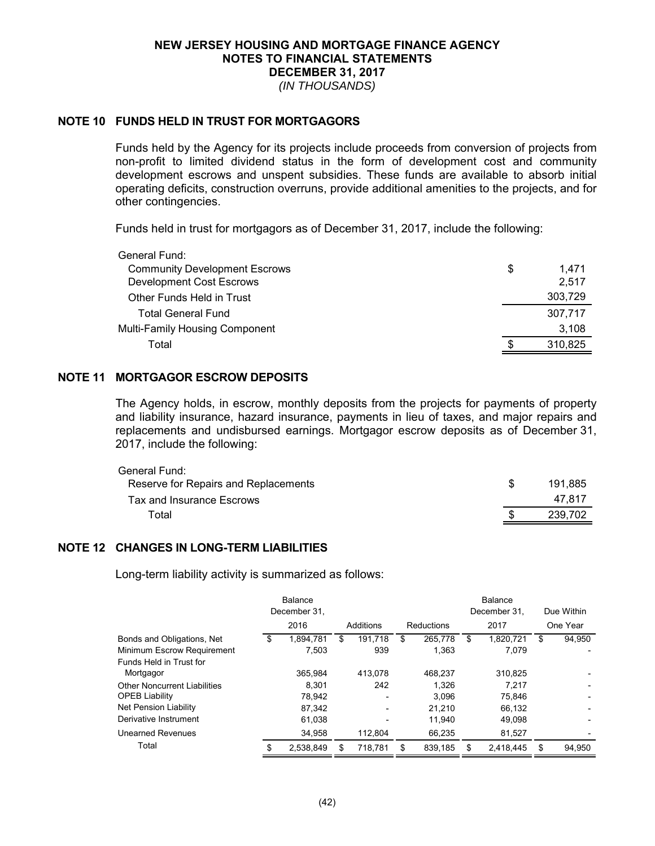# *(IN THOUSANDS)*

#### **NOTE 10 FUNDS HELD IN TRUST FOR MORTGAGORS**

Funds held by the Agency for its projects include proceeds from conversion of projects from non-profit to limited dividend status in the form of development cost and community development escrows and unspent subsidies. These funds are available to absorb initial operating deficits, construction overruns, provide additional amenities to the projects, and for other contingencies.

Funds held in trust for mortgagors as of December 31, 2017, include the following:

| General Fund:                             |         |
|-------------------------------------------|---------|
| <b>Community Development Escrows</b><br>S | 1.471   |
| <b>Development Cost Escrows</b>           | 2.517   |
| Other Funds Held in Trust                 | 303,729 |
| <b>Total General Fund</b>                 | 307,717 |
| Multi-Family Housing Component            | 3,108   |
| Total<br>S                                | 310,825 |

## **NOTE 11 MORTGAGOR ESCROW DEPOSITS**

The Agency holds, in escrow, monthly deposits from the projects for payments of property and liability insurance, hazard insurance, payments in lieu of taxes, and major repairs and replacements and undisbursed earnings. Mortgagor escrow deposits as of December 31, 2017, include the following:

| General Fund:                        |         |
|--------------------------------------|---------|
| Reserve for Repairs and Replacements | 191.885 |
| Tax and Insurance Escrows            | 47.817  |
| Total                                | 239.702 |

#### **NOTE 12 CHANGES IN LONG-TERM LIABILITIES**

Long-term liability activity is summarized as follows:

|                                     | Balance<br>December 31. |           |         |            |         |    | <b>Balance</b><br>December 31. | Due Within |        |
|-------------------------------------|-------------------------|-----------|---------|------------|---------|----|--------------------------------|------------|--------|
|                                     | 2016                    | Additions |         | Reductions |         |    | 2017                           | One Year   |        |
| Bonds and Obligations, Net          | \$<br>1.894.781         | \$        | 191.718 | \$         | 265.778 | \$ | 1.820.721                      | \$         | 94.950 |
| Minimum Escrow Requirement          | 7,503                   |           | 939     |            | 1,363   |    | 7.079                          |            |        |
| Funds Held in Trust for             |                         |           |         |            |         |    |                                |            |        |
| Mortgagor                           | 365.984                 |           | 413.078 |            | 468.237 |    | 310.825                        |            |        |
| <b>Other Noncurrent Liabilities</b> | 8.301                   |           | 242     |            | 1.326   |    | 7.217                          |            |        |
| <b>OPEB Liability</b>               | 78.942                  |           |         |            | 3.096   |    | 75.846                         |            |        |
| Net Pension Liability               | 87,342                  |           |         |            | 21.210  |    | 66.132                         |            |        |
| Derivative Instrument               | 61.038                  |           |         |            | 11.940  |    | 49.098                         |            |        |
| <b>Unearned Revenues</b>            | 34.958                  |           | 112.804 |            | 66.235  |    | 81,527                         |            |        |
| Total                               | \$<br>2.538.849         | ъ         | 718.781 | S          | 839.185 | S  | 2.418.445                      | \$         | 94.950 |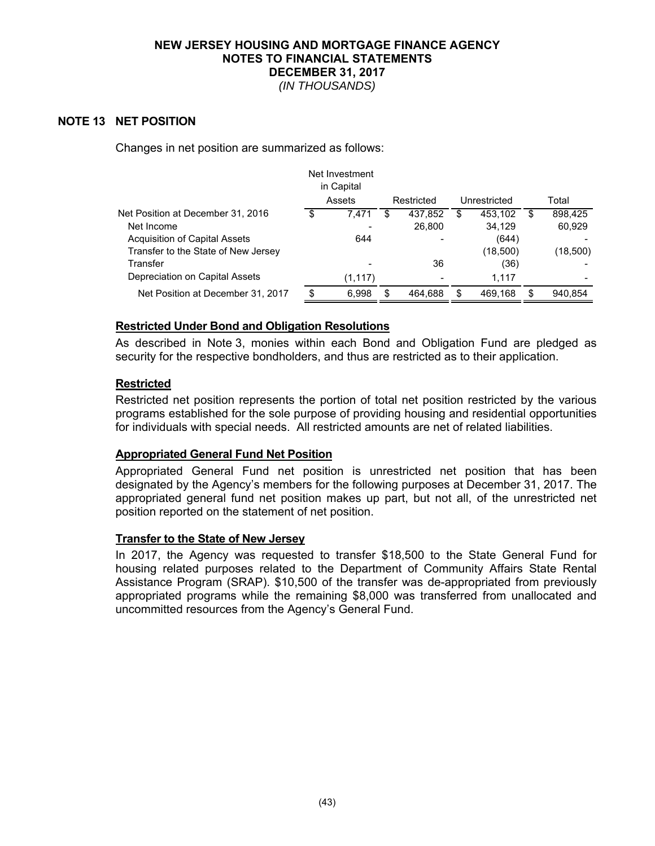# *(IN THOUSANDS)*

# **NOTE 13 NET POSITION**

Changes in net position are summarized as follows:

|                                      |    | Net Investment<br>in Capital |   |            |     |              |   |          |
|--------------------------------------|----|------------------------------|---|------------|-----|--------------|---|----------|
|                                      |    | Assets                       |   | Restricted |     | Unrestricted |   | Total    |
| Net Position at December 31, 2016    | S  | 7.471                        | S | 437.852    | \$  | 453.102      | S | 898.425  |
| Net Income                           |    |                              |   | 26,800     |     | 34,129       |   | 60.929   |
| <b>Acquisition of Capital Assets</b> |    | 644                          |   |            |     | (644)        |   |          |
| Transfer to the State of New Jersey  |    |                              |   |            |     | (18,500)     |   | (18,500) |
| Transfer                             |    |                              |   | 36         |     | (36)         |   |          |
| Depreciation on Capital Assets       |    | (1, 117)                     |   |            |     | 1.117        |   |          |
| Net Position at December 31, 2017    | \$ | 6,998                        | S | 464.688    | \$. | 469.168      |   | 940.854  |

# **Restricted Under Bond and Obligation Resolutions**

As described in Note 3, monies within each Bond and Obligation Fund are pledged as security for the respective bondholders, and thus are restricted as to their application.

# **Restricted**

Restricted net position represents the portion of total net position restricted by the various programs established for the sole purpose of providing housing and residential opportunities for individuals with special needs. All restricted amounts are net of related liabilities.

# **Appropriated General Fund Net Position**

Appropriated General Fund net position is unrestricted net position that has been designated by the Agency's members for the following purposes at December 31, 2017. The appropriated general fund net position makes up part, but not all, of the unrestricted net position reported on the statement of net position.

# **Transfer to the State of New Jersey**

In 2017, the Agency was requested to transfer \$18,500 to the State General Fund for housing related purposes related to the Department of Community Affairs State Rental Assistance Program (SRAP). \$10,500 of the transfer was de-appropriated from previously appropriated programs while the remaining \$8,000 was transferred from unallocated and uncommitted resources from the Agency's General Fund.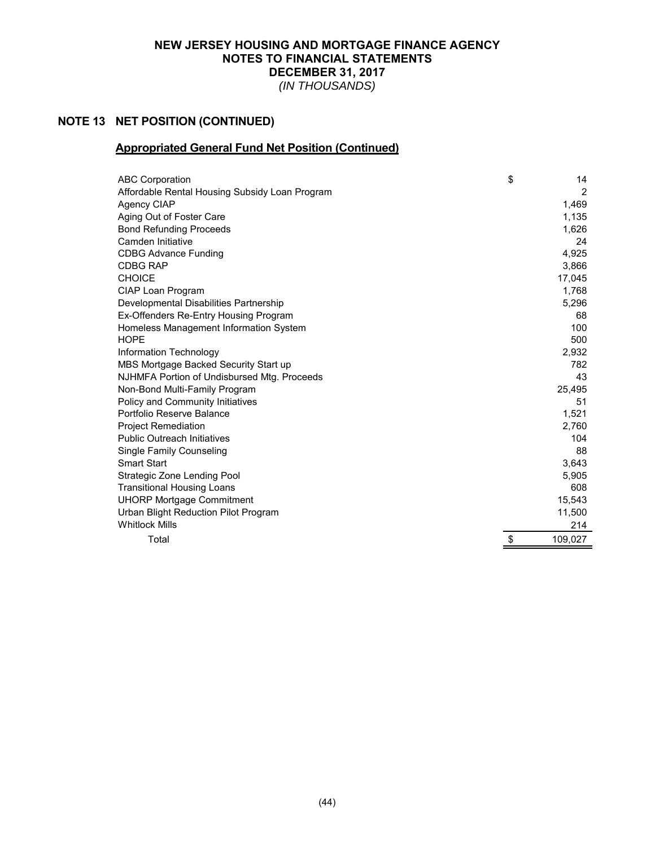# *(IN THOUSANDS)*

# **NOTE 13 NET POSITION (CONTINUED)**

## **Appropriated General Fund Net Position (Continued)**

| <b>ABC Corporation</b>                         | \$<br>14      |
|------------------------------------------------|---------------|
| Affordable Rental Housing Subsidy Loan Program | 2             |
| <b>Agency CIAP</b>                             | 1,469         |
| Aging Out of Foster Care                       | 1,135         |
| <b>Bond Refunding Proceeds</b>                 | 1,626         |
| Camden Initiative                              | 24            |
| <b>CDBG Advance Funding</b>                    | 4,925         |
| <b>CDBG RAP</b>                                | 3,866         |
| <b>CHOICE</b>                                  | 17,045        |
| CIAP Loan Program                              | 1,768         |
| Developmental Disabilities Partnership         | 5,296         |
| Ex-Offenders Re-Entry Housing Program          | 68            |
| Homeless Management Information System         | 100           |
| <b>HOPE</b>                                    | 500           |
| Information Technology                         | 2,932         |
| MBS Mortgage Backed Security Start up          | 782           |
| NJHMFA Portion of Undisbursed Mtg. Proceeds    | 43            |
| Non-Bond Multi-Family Program                  | 25,495        |
| Policy and Community Initiatives               | 51            |
| Portfolio Reserve Balance                      | 1,521         |
| <b>Project Remediation</b>                     | 2,760         |
| <b>Public Outreach Initiatives</b>             | 104           |
| <b>Single Family Counseling</b>                | 88            |
| <b>Smart Start</b>                             | 3,643         |
| Strategic Zone Lending Pool                    | 5,905         |
| <b>Transitional Housing Loans</b>              | 608           |
| <b>UHORP Mortgage Commitment</b>               | 15,543        |
| Urban Blight Reduction Pilot Program           | 11,500        |
| <b>Whitlock Mills</b>                          | 214           |
| Total                                          | \$<br>109,027 |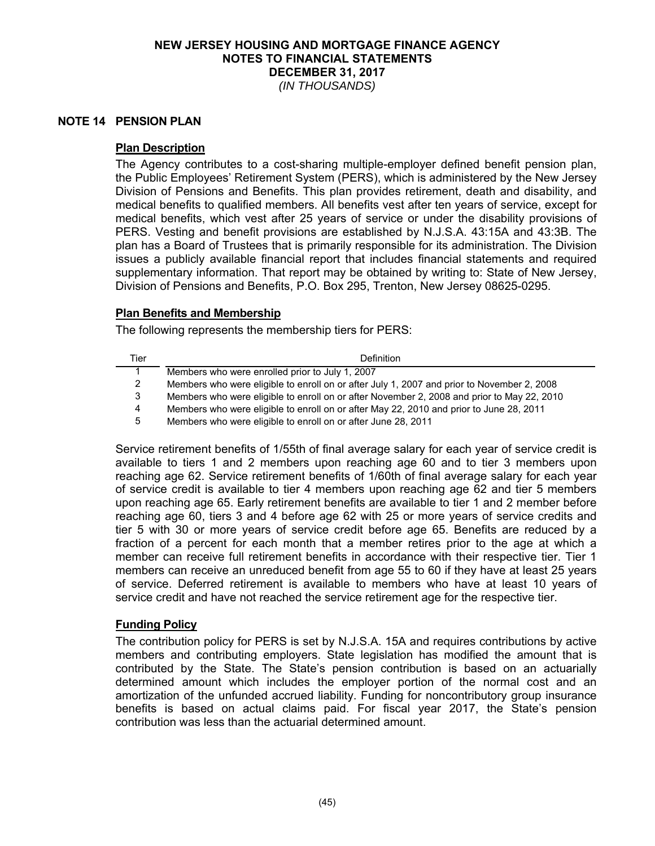#### **NEW JERSEY HOUSING AND MORTGAGE FINANCE AGENCY NOTES TO FINANCIAL STATEMENTS DECEMBER 31, 2017**  *(IN THOUSANDS)*

#### **NOTE 14 PENSION PLAN**

#### **Plan Description**

The Agency contributes to a cost-sharing multiple-employer defined benefit pension plan, the Public Employees' Retirement System (PERS), which is administered by the New Jersey Division of Pensions and Benefits. This plan provides retirement, death and disability, and medical benefits to qualified members. All benefits vest after ten years of service, except for medical benefits, which vest after 25 years of service or under the disability provisions of PERS. Vesting and benefit provisions are established by N.J.S.A. 43:15A and 43:3B. The plan has a Board of Trustees that is primarily responsible for its administration. The Division issues a publicly available financial report that includes financial statements and required supplementary information. That report may be obtained by writing to: State of New Jersey, Division of Pensions and Benefits, P.O. Box 295, Trenton, New Jersey 08625-0295.

## **Plan Benefits and Membership**

The following represents the membership tiers for PERS:

| Tier | Definition                                                                                 |
|------|--------------------------------------------------------------------------------------------|
|      | Members who were enrolled prior to July 1, 2007                                            |
|      | Members who were eligible to enroll on or after July 1, 2007 and prior to November 2, 2008 |
| 3    | Members who were eligible to enroll on or after November 2, 2008 and prior to May 22, 2010 |
| 4    | Members who were eligible to enroll on or after May 22, 2010 and prior to June 28, 2011    |
| 5    | Members who were eligible to enroll on or after June 28, 2011                              |

Service retirement benefits of 1/55th of final average salary for each year of service credit is available to tiers 1 and 2 members upon reaching age 60 and to tier 3 members upon reaching age 62. Service retirement benefits of 1/60th of final average salary for each year of service credit is available to tier 4 members upon reaching age 62 and tier 5 members upon reaching age 65. Early retirement benefits are available to tier 1 and 2 member before reaching age 60, tiers 3 and 4 before age 62 with 25 or more years of service credits and tier 5 with 30 or more years of service credit before age 65. Benefits are reduced by a fraction of a percent for each month that a member retires prior to the age at which a member can receive full retirement benefits in accordance with their respective tier. Tier 1 members can receive an unreduced benefit from age 55 to 60 if they have at least 25 years of service. Deferred retirement is available to members who have at least 10 years of service credit and have not reached the service retirement age for the respective tier.

#### **Funding Policy**

The contribution policy for PERS is set by N.J.S.A. 15A and requires contributions by active members and contributing employers. State legislation has modified the amount that is contributed by the State. The State's pension contribution is based on an actuarially determined amount which includes the employer portion of the normal cost and an amortization of the unfunded accrued liability. Funding for noncontributory group insurance benefits is based on actual claims paid. For fiscal year 2017, the State's pension contribution was less than the actuarial determined amount.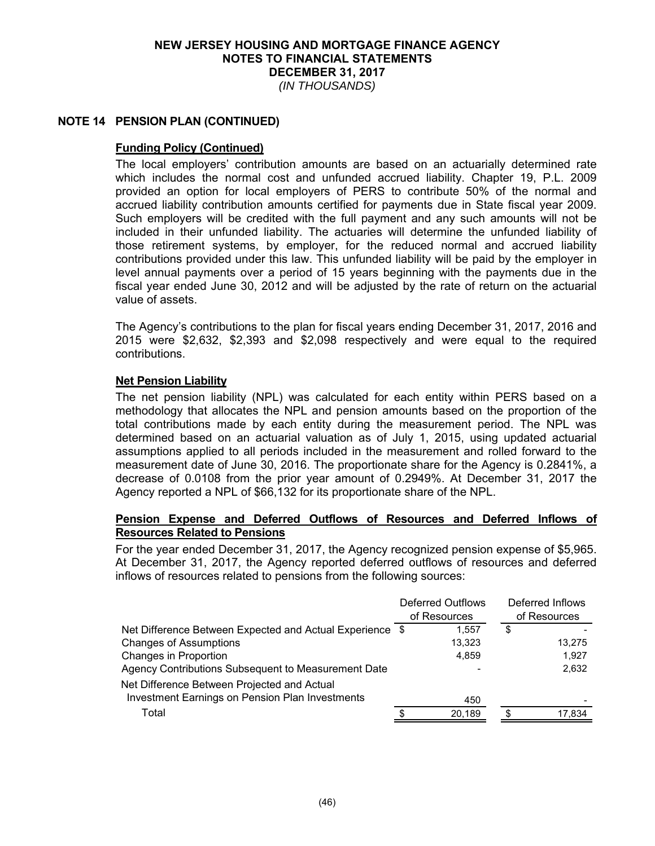# *(IN THOUSANDS)*

## **NOTE 14 PENSION PLAN (CONTINUED)**

#### **Funding Policy (Continued)**

The local employers' contribution amounts are based on an actuarially determined rate which includes the normal cost and unfunded accrued liability. Chapter 19, P.L. 2009 provided an option for local employers of PERS to contribute 50% of the normal and accrued liability contribution amounts certified for payments due in State fiscal year 2009. Such employers will be credited with the full payment and any such amounts will not be included in their unfunded liability. The actuaries will determine the unfunded liability of those retirement systems, by employer, for the reduced normal and accrued liability contributions provided under this law. This unfunded liability will be paid by the employer in level annual payments over a period of 15 years beginning with the payments due in the fiscal year ended June 30, 2012 and will be adjusted by the rate of return on the actuarial value of assets.

The Agency's contributions to the plan for fiscal years ending December 31, 2017, 2016 and 2015 were \$2,632, \$2,393 and \$2,098 respectively and were equal to the required contributions.

#### **Net Pension Liability**

The net pension liability (NPL) was calculated for each entity within PERS based on a methodology that allocates the NPL and pension amounts based on the proportion of the total contributions made by each entity during the measurement period. The NPL was determined based on an actuarial valuation as of July 1, 2015, using updated actuarial assumptions applied to all periods included in the measurement and rolled forward to the measurement date of June 30, 2016. The proportionate share for the Agency is 0.2841%, a decrease of 0.0108 from the prior year amount of 0.2949%. At December 31, 2017 the Agency reported a NPL of \$66,132 for its proportionate share of the NPL.

#### **Pension Expense and Deferred Outflows of Resources and Deferred Inflows of Resources Related to Pensions**

For the year ended December 31, 2017, the Agency recognized pension expense of \$5,965. At December 31, 2017, the Agency reported deferred outflows of resources and deferred inflows of resources related to pensions from the following sources:

|                                                          | Deferred Outflows<br>of Resources | Deferred Inflows<br>of Resources |        |  |  |
|----------------------------------------------------------|-----------------------------------|----------------------------------|--------|--|--|
| Net Difference Between Expected and Actual Experience \$ | 1.557                             | \$                               |        |  |  |
| <b>Changes of Assumptions</b>                            | 13.323                            |                                  | 13.275 |  |  |
| Changes in Proportion                                    | 4,859                             |                                  | 1.927  |  |  |
| Agency Contributions Subsequent to Measurement Date      |                                   |                                  | 2,632  |  |  |
| Net Difference Between Projected and Actual              |                                   |                                  |        |  |  |
| <b>Investment Earnings on Pension Plan Investments</b>   | 450                               |                                  |        |  |  |
| Total                                                    | 20,189                            |                                  | 17,834 |  |  |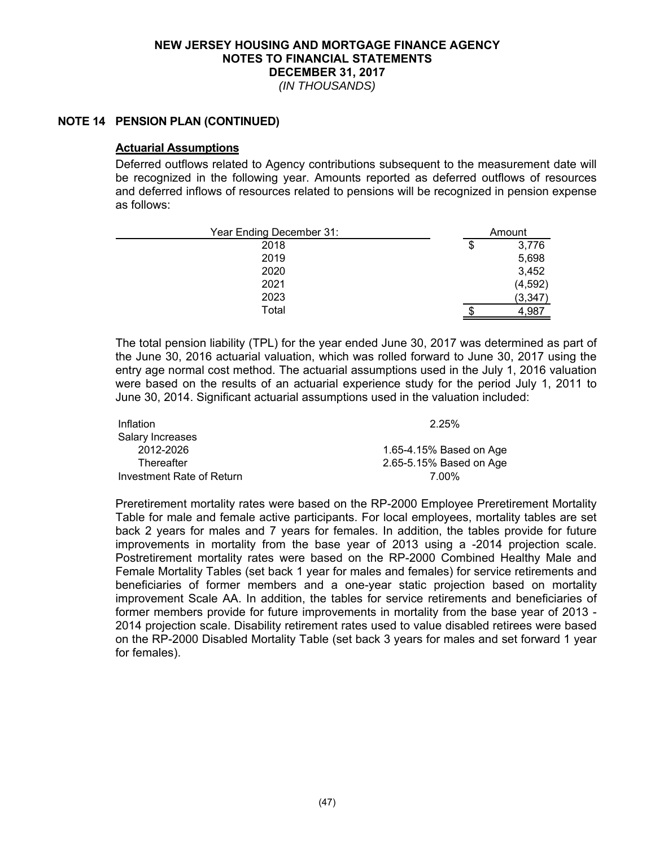# *(IN THOUSANDS)*

#### **NOTE 14 PENSION PLAN (CONTINUED)**

#### **Actuarial Assumptions**

Deferred outflows related to Agency contributions subsequent to the measurement date will be recognized in the following year. Amounts reported as deferred outflows of resources and deferred inflows of resources related to pensions will be recognized in pension expense as follows:

| Year Ending December 31: | Amount      |
|--------------------------|-------------|
| 2018                     | \$<br>3,776 |
| 2019                     | 5,698       |
| 2020                     | 3,452       |
| 2021                     | (4,592)     |
| 2023                     | (3,347)     |
| Total                    | 4,987       |

The total pension liability (TPL) for the year ended June 30, 2017 was determined as part of the June 30, 2016 actuarial valuation, which was rolled forward to June 30, 2017 using the entry age normal cost method. The actuarial assumptions used in the July 1, 2016 valuation were based on the results of an actuarial experience study for the period July 1, 2011 to June 30, 2014. Significant actuarial assumptions used in the valuation included:

| Inflation                 | 2.25%                   |
|---------------------------|-------------------------|
| Salary Increases          |                         |
| 2012-2026                 | 1.65-4.15% Based on Age |
| Thereafter                | 2.65-5.15% Based on Age |
| Investment Rate of Return | 7.00%                   |

Preretirement mortality rates were based on the RP-2000 Employee Preretirement Mortality Table for male and female active participants. For local employees, mortality tables are set back 2 years for males and 7 years for females. In addition, the tables provide for future improvements in mortality from the base year of 2013 using a -2014 projection scale. Postretirement mortality rates were based on the RP-2000 Combined Healthy Male and Female Mortality Tables (set back 1 year for males and females) for service retirements and beneficiaries of former members and a one-year static projection based on mortality improvement Scale AA. In addition, the tables for service retirements and beneficiaries of former members provide for future improvements in mortality from the base year of 2013 - 2014 projection scale. Disability retirement rates used to value disabled retirees were based on the RP-2000 Disabled Mortality Table (set back 3 years for males and set forward 1 year for females).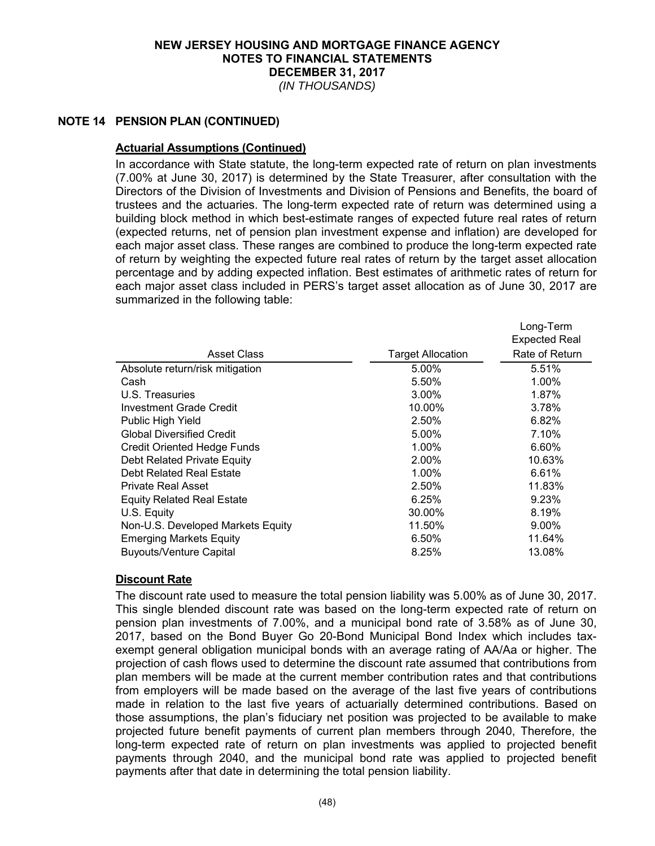# *(IN THOUSANDS)*

## **NOTE 14 PENSION PLAN (CONTINUED)**

#### **Actuarial Assumptions (Continued)**

In accordance with State statute, the long-term expected rate of return on plan investments (7.00% at June 30, 2017) is determined by the State Treasurer, after consultation with the Directors of the Division of Investments and Division of Pensions and Benefits, the board of trustees and the actuaries. The long-term expected rate of return was determined using a building block method in which best-estimate ranges of expected future real rates of return (expected returns, net of pension plan investment expense and inflation) are developed for each major asset class. These ranges are combined to produce the long-term expected rate of return by weighting the expected future real rates of return by the target asset allocation percentage and by adding expected inflation. Best estimates of arithmetic rates of return for each major asset class included in PERS's target asset allocation as of June 30, 2017 are summarized in the following table:

|                                   |                          | Long-Term            |
|-----------------------------------|--------------------------|----------------------|
|                                   |                          | <b>Expected Real</b> |
| <b>Asset Class</b>                | <b>Target Allocation</b> | Rate of Return       |
| Absolute return/risk mitigation   | 5.00%                    | 5.51%                |
| Cash                              | 5.50%                    | 1.00%                |
| U.S. Treasuries                   | 3.00%                    | 1.87%                |
| Investment Grade Credit           | 10.00%                   | 3.78%                |
| Public High Yield                 | 2.50%                    | 6.82%                |
| <b>Global Diversified Credit</b>  | 5.00%                    | 7.10%                |
| Credit Oriented Hedge Funds       | 1.00%                    | 6.60%                |
| Debt Related Private Equity       | 2.00%                    | 10.63%               |
| Debt Related Real Estate          | 1.00%                    | 6.61%                |
| <b>Private Real Asset</b>         | 2.50%                    | 11.83%               |
| <b>Equity Related Real Estate</b> | 6.25%                    | 9.23%                |
| U.S. Equity                       | 30.00%                   | 8.19%                |
| Non-U.S. Developed Markets Equity | 11.50%                   | $9.00\%$             |
| <b>Emerging Markets Equity</b>    | 6.50%                    | 11.64%               |
| <b>Buyouts/Venture Capital</b>    | 8.25%                    | 13.08%               |

#### **Discount Rate**

The discount rate used to measure the total pension liability was 5.00% as of June 30, 2017. This single blended discount rate was based on the long-term expected rate of return on pension plan investments of 7.00%, and a municipal bond rate of 3.58% as of June 30, 2017, based on the Bond Buyer Go 20-Bond Municipal Bond Index which includes taxexempt general obligation municipal bonds with an average rating of AA/Aa or higher. The projection of cash flows used to determine the discount rate assumed that contributions from plan members will be made at the current member contribution rates and that contributions from employers will be made based on the average of the last five years of contributions made in relation to the last five years of actuarially determined contributions. Based on those assumptions, the plan's fiduciary net position was projected to be available to make projected future benefit payments of current plan members through 2040, Therefore, the long-term expected rate of return on plan investments was applied to projected benefit payments through 2040, and the municipal bond rate was applied to projected benefit payments after that date in determining the total pension liability.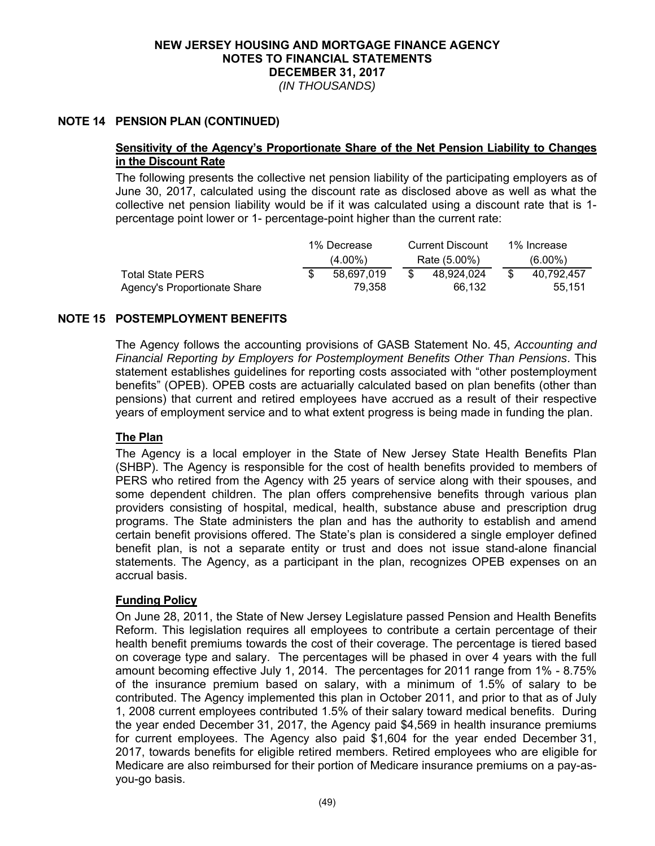# *(IN THOUSANDS)*

## **NOTE 14 PENSION PLAN (CONTINUED)**

## **Sensitivity of the Agency's Proportionate Share of the Net Pension Liability to Changes in the Discount Rate**

The following presents the collective net pension liability of the participating employers as of June 30, 2017, calculated using the discount rate as disclosed above as well as what the collective net pension liability would be if it was calculated using a discount rate that is 1 percentage point lower or 1- percentage-point higher than the current rate:

|                              | 1% Decrease | <b>Current Discount</b> | 1% Increase |
|------------------------------|-------------|-------------------------|-------------|
|                              | $(4.00\%)$  | Rate (5.00%)            | $(6.00\%)$  |
| <b>Total State PERS</b>      | 58.697.019  | 48.924.024              | 40.792.457  |
| Agency's Proportionate Share | 79.358      | 66.132                  | 55.151      |

#### **NOTE 15 POSTEMPLOYMENT BENEFITS**

The Agency follows the accounting provisions of GASB Statement No. 45, *Accounting and Financial Reporting by Employers for Postemployment Benefits Other Than Pensions*. This statement establishes guidelines for reporting costs associated with "other postemployment benefits" (OPEB). OPEB costs are actuarially calculated based on plan benefits (other than pensions) that current and retired employees have accrued as a result of their respective years of employment service and to what extent progress is being made in funding the plan.

# **The Plan**

The Agency is a local employer in the State of New Jersey State Health Benefits Plan (SHBP). The Agency is responsible for the cost of health benefits provided to members of PERS who retired from the Agency with 25 years of service along with their spouses, and some dependent children. The plan offers comprehensive benefits through various plan providers consisting of hospital, medical, health, substance abuse and prescription drug programs. The State administers the plan and has the authority to establish and amend certain benefit provisions offered. The State's plan is considered a single employer defined benefit plan, is not a separate entity or trust and does not issue stand-alone financial statements. The Agency, as a participant in the plan, recognizes OPEB expenses on an accrual basis.

#### **Funding Policy**

On June 28, 2011, the State of New Jersey Legislature passed Pension and Health Benefits Reform. This legislation requires all employees to contribute a certain percentage of their health benefit premiums towards the cost of their coverage. The percentage is tiered based on coverage type and salary. The percentages will be phased in over 4 years with the full amount becoming effective July 1, 2014. The percentages for 2011 range from 1% - 8.75% of the insurance premium based on salary, with a minimum of 1.5% of salary to be contributed. The Agency implemented this plan in October 2011, and prior to that as of July 1, 2008 current employees contributed 1.5% of their salary toward medical benefits. During the year ended December 31, 2017, the Agency paid \$4,569 in health insurance premiums for current employees. The Agency also paid \$1,604 for the year ended December 31, 2017, towards benefits for eligible retired members. Retired employees who are eligible for Medicare are also reimbursed for their portion of Medicare insurance premiums on a pay-asyou-go basis.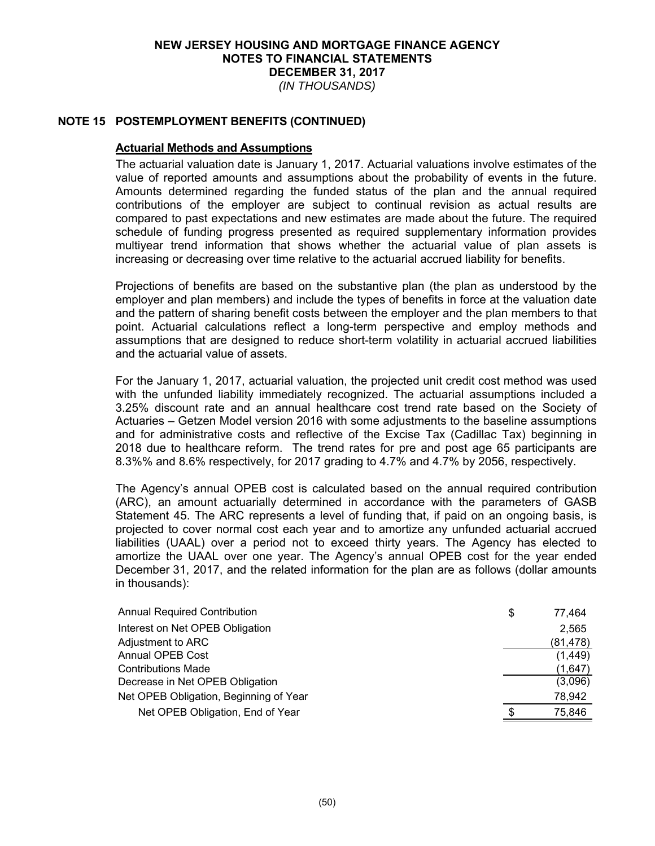*(IN THOUSANDS)*

#### **NOTE 15 POSTEMPLOYMENT BENEFITS (CONTINUED)**

#### **Actuarial Methods and Assumptions**

The actuarial valuation date is January 1, 2017. Actuarial valuations involve estimates of the value of reported amounts and assumptions about the probability of events in the future. Amounts determined regarding the funded status of the plan and the annual required contributions of the employer are subject to continual revision as actual results are compared to past expectations and new estimates are made about the future. The required schedule of funding progress presented as required supplementary information provides multiyear trend information that shows whether the actuarial value of plan assets is increasing or decreasing over time relative to the actuarial accrued liability for benefits.

Projections of benefits are based on the substantive plan (the plan as understood by the employer and plan members) and include the types of benefits in force at the valuation date and the pattern of sharing benefit costs between the employer and the plan members to that point. Actuarial calculations reflect a long-term perspective and employ methods and assumptions that are designed to reduce short-term volatility in actuarial accrued liabilities and the actuarial value of assets.

For the January 1, 2017, actuarial valuation, the projected unit credit cost method was used with the unfunded liability immediately recognized. The actuarial assumptions included a 3.25% discount rate and an annual healthcare cost trend rate based on the Society of Actuaries – Getzen Model version 2016 with some adjustments to the baseline assumptions and for administrative costs and reflective of the Excise Tax (Cadillac Tax) beginning in 2018 due to healthcare reform. The trend rates for pre and post age 65 participants are 8.3%% and 8.6% respectively, for 2017 grading to 4.7% and 4.7% by 2056, respectively.

The Agency's annual OPEB cost is calculated based on the annual required contribution (ARC), an amount actuarially determined in accordance with the parameters of GASB Statement 45. The ARC represents a level of funding that, if paid on an ongoing basis, is projected to cover normal cost each year and to amortize any unfunded actuarial accrued liabilities (UAAL) over a period not to exceed thirty years. The Agency has elected to amortize the UAAL over one year. The Agency's annual OPEB cost for the year ended December 31, 2017, and the related information for the plan are as follows (dollar amounts in thousands):

| <b>Annual Required Contribution</b>    | \$<br>77.464 |
|----------------------------------------|--------------|
| Interest on Net OPEB Obligation        | 2.565        |
| Adjustment to ARC                      | (81, 478)    |
| <b>Annual OPEB Cost</b>                | (1, 449)     |
| <b>Contributions Made</b>              | (1,647)      |
| Decrease in Net OPEB Obligation        | (3,096)      |
| Net OPEB Obligation, Beginning of Year | 78,942       |
| Net OPEB Obligation, End of Year       | \$<br>75.846 |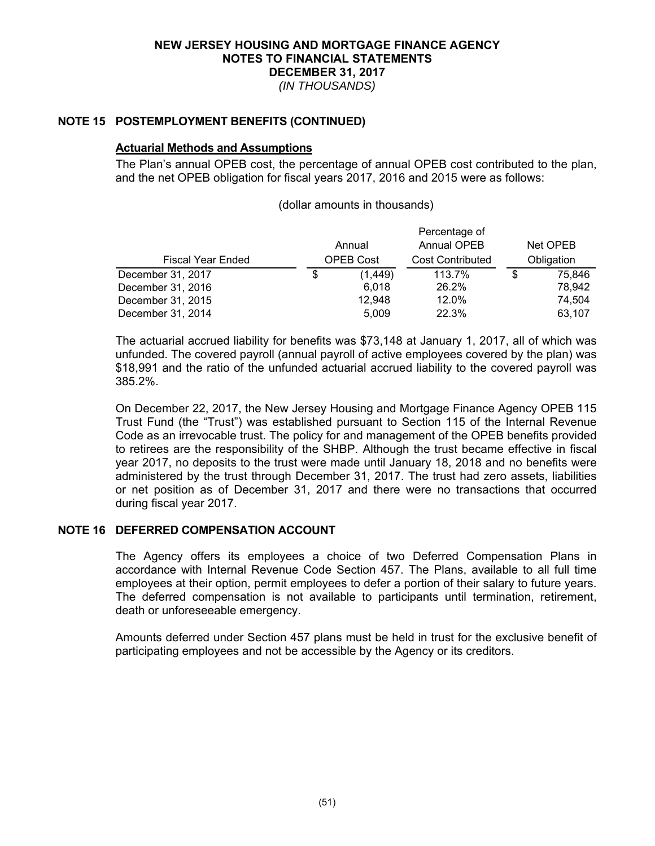# *(IN THOUSANDS)*

## **NOTE 15 POSTEMPLOYMENT BENEFITS (CONTINUED)**

## **Actuarial Methods and Assumptions**

The Plan's annual OPEB cost, the percentage of annual OPEB cost contributed to the plan, and the net OPEB obligation for fiscal years 2017, 2016 and 2015 were as follows:

#### (dollar amounts in thousands)

|                          |                  | Percentage of           |          |            |
|--------------------------|------------------|-------------------------|----------|------------|
|                          | Annual           |                         | Net OPEB |            |
| <b>Fiscal Year Ended</b> | <b>OPEB Cost</b> | <b>Cost Contributed</b> |          | Obligation |
| December 31, 2017        | (1, 449)         | 113.7%                  | S        | 75.846     |
| December 31, 2016        | 6.018            | 26.2%                   |          | 78.942     |
| December 31, 2015        | 12.948           | 12.0%                   |          | 74.504     |
| December 31, 2014        | 5.009            | 22.3%                   |          | 63,107     |

The actuarial accrued liability for benefits was \$73,148 at January 1, 2017, all of which was unfunded. The covered payroll (annual payroll of active employees covered by the plan) was \$18,991 and the ratio of the unfunded actuarial accrued liability to the covered payroll was 385.2%.

On December 22, 2017, the New Jersey Housing and Mortgage Finance Agency OPEB 115 Trust Fund (the "Trust") was established pursuant to Section 115 of the Internal Revenue Code as an irrevocable trust. The policy for and management of the OPEB benefits provided to retirees are the responsibility of the SHBP. Although the trust became effective in fiscal year 2017, no deposits to the trust were made until January 18, 2018 and no benefits were administered by the trust through December 31, 2017. The trust had zero assets, liabilities or net position as of December 31, 2017 and there were no transactions that occurred during fiscal year 2017.

## **NOTE 16 DEFERRED COMPENSATION ACCOUNT**

The Agency offers its employees a choice of two Deferred Compensation Plans in accordance with Internal Revenue Code Section 457. The Plans, available to all full time employees at their option, permit employees to defer a portion of their salary to future years. The deferred compensation is not available to participants until termination, retirement, death or unforeseeable emergency.

Amounts deferred under Section 457 plans must be held in trust for the exclusive benefit of participating employees and not be accessible by the Agency or its creditors.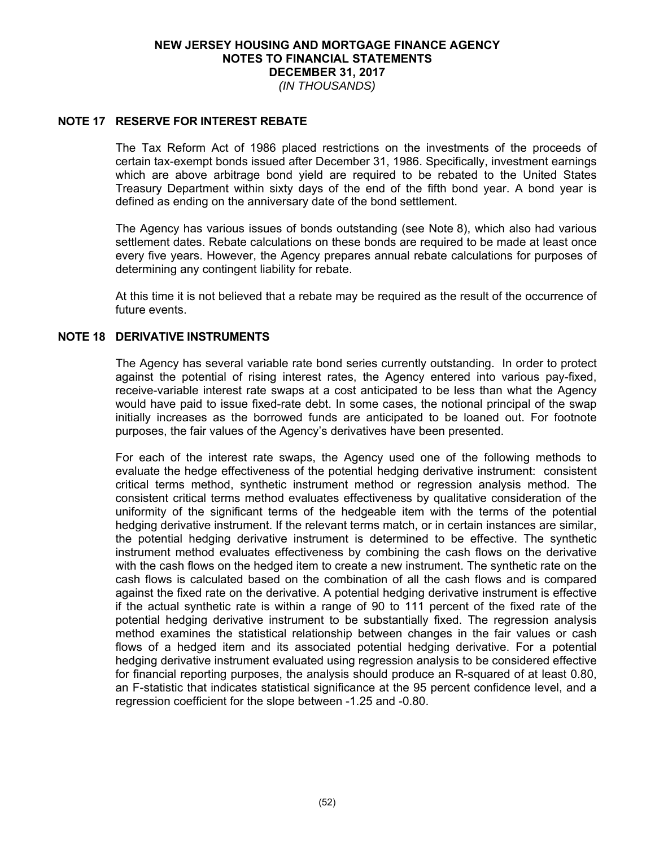## *(IN THOUSANDS)*

#### **NOTE 17 RESERVE FOR INTEREST REBATE**

The Tax Reform Act of 1986 placed restrictions on the investments of the proceeds of certain tax-exempt bonds issued after December 31, 1986. Specifically, investment earnings which are above arbitrage bond yield are required to be rebated to the United States Treasury Department within sixty days of the end of the fifth bond year. A bond year is defined as ending on the anniversary date of the bond settlement.

The Agency has various issues of bonds outstanding (see Note 8), which also had various settlement dates. Rebate calculations on these bonds are required to be made at least once every five years. However, the Agency prepares annual rebate calculations for purposes of determining any contingent liability for rebate.

At this time it is not believed that a rebate may be required as the result of the occurrence of future events.

# **NOTE 18 DERIVATIVE INSTRUMENTS**

The Agency has several variable rate bond series currently outstanding. In order to protect against the potential of rising interest rates, the Agency entered into various pay-fixed, receive-variable interest rate swaps at a cost anticipated to be less than what the Agency would have paid to issue fixed-rate debt. In some cases, the notional principal of the swap initially increases as the borrowed funds are anticipated to be loaned out. For footnote purposes, the fair values of the Agency's derivatives have been presented.

For each of the interest rate swaps, the Agency used one of the following methods to evaluate the hedge effectiveness of the potential hedging derivative instrument: consistent critical terms method, synthetic instrument method or regression analysis method. The consistent critical terms method evaluates effectiveness by qualitative consideration of the uniformity of the significant terms of the hedgeable item with the terms of the potential hedging derivative instrument. If the relevant terms match, or in certain instances are similar, the potential hedging derivative instrument is determined to be effective. The synthetic instrument method evaluates effectiveness by combining the cash flows on the derivative with the cash flows on the hedged item to create a new instrument. The synthetic rate on the cash flows is calculated based on the combination of all the cash flows and is compared against the fixed rate on the derivative. A potential hedging derivative instrument is effective if the actual synthetic rate is within a range of 90 to 111 percent of the fixed rate of the potential hedging derivative instrument to be substantially fixed. The regression analysis method examines the statistical relationship between changes in the fair values or cash flows of a hedged item and its associated potential hedging derivative. For a potential hedging derivative instrument evaluated using regression analysis to be considered effective for financial reporting purposes, the analysis should produce an R-squared of at least 0.80, an F-statistic that indicates statistical significance at the 95 percent confidence level, and a regression coefficient for the slope between -1.25 and -0.80.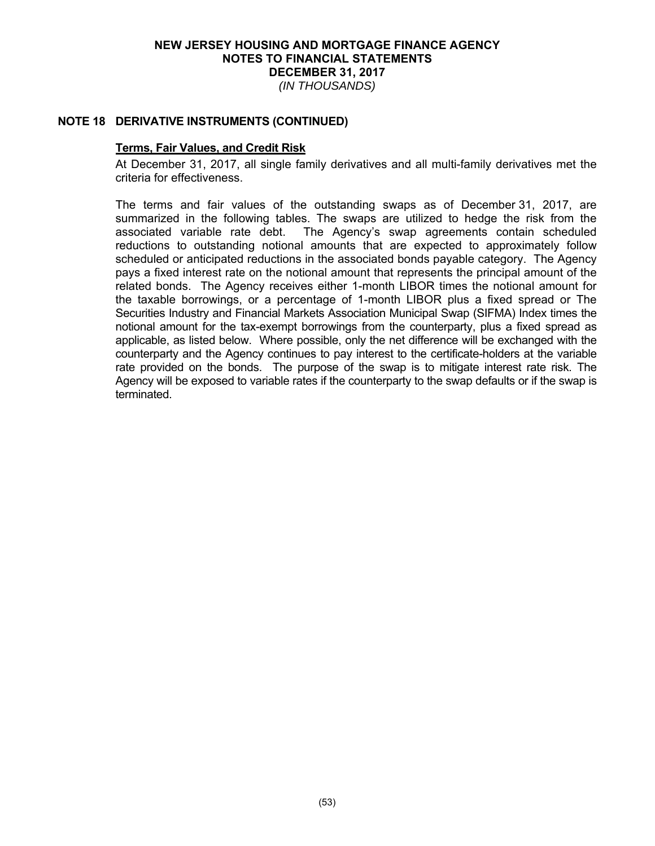*(IN THOUSANDS)*

#### **NOTE 18 DERIVATIVE INSTRUMENTS (CONTINUED)**

#### **Terms, Fair Values, and Credit Risk**

At December 31, 2017, all single family derivatives and all multi-family derivatives met the criteria for effectiveness.

The terms and fair values of the outstanding swaps as of December 31, 2017, are summarized in the following tables. The swaps are utilized to hedge the risk from the associated variable rate debt. The Agency's swap agreements contain scheduled reductions to outstanding notional amounts that are expected to approximately follow scheduled or anticipated reductions in the associated bonds payable category. The Agency pays a fixed interest rate on the notional amount that represents the principal amount of the related bonds. The Agency receives either 1-month LIBOR times the notional amount for the taxable borrowings, or a percentage of 1-month LIBOR plus a fixed spread or The Securities Industry and Financial Markets Association Municipal Swap (SIFMA) Index times the notional amount for the tax-exempt borrowings from the counterparty, plus a fixed spread as applicable, as listed below. Where possible, only the net difference will be exchanged with the counterparty and the Agency continues to pay interest to the certificate-holders at the variable rate provided on the bonds. The purpose of the swap is to mitigate interest rate risk. The Agency will be exposed to variable rates if the counterparty to the swap defaults or if the swap is terminated.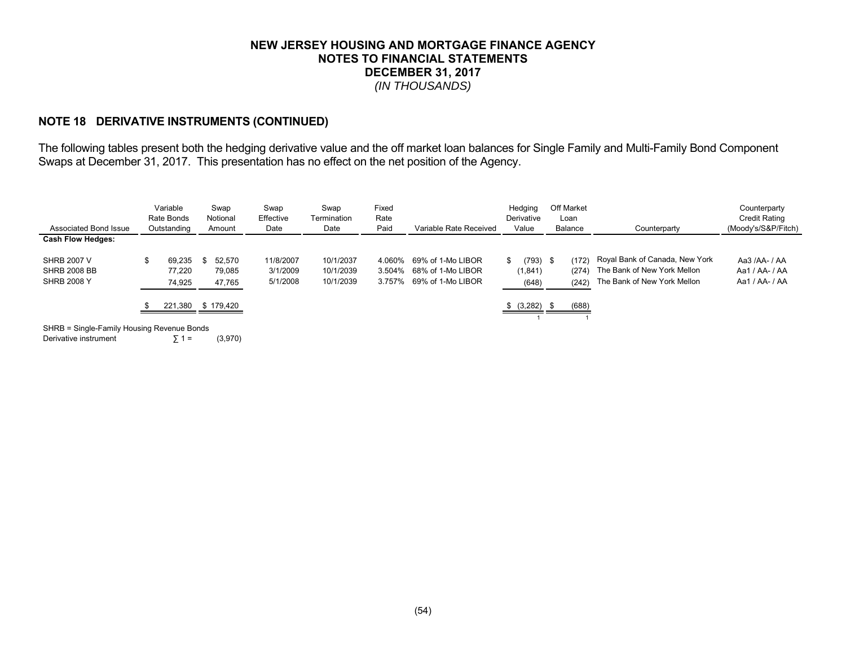#### **NEW JERSEY HOUSING AND MORTGAGE FINANCE AGENCY NOTES TO FINANCIAL STATEMENTS DECEMBER 31, 2017**  *(IN THOUSANDS)*

# **NOTE 18 DERIVATIVE INSTRUMENTS (CONTINUED)**

The following tables present both the hedging derivative value and the off market loan balances for Single Family and Multi-Family Bond Component Swaps at December 31, 2017. This presentation has no effect on the net position of the Agency.

| Associated Bond Issue                                               | Variable<br>Rate Bonds<br>Outstanding |     | Swap<br>Notional<br>Amount | Swap<br>Effective<br>Date         | Swap<br>Termination<br>Date         | Fixed<br>Rate<br>Paid      | Variable Rate Received                                      | Hedging<br>Derivative<br>Value  | Off Market<br>Loan<br>Balance | Counterparty                                                                                 | Counterparty<br><b>Credit Rating</b><br>(Moody's/S&P/Fitch) |
|---------------------------------------------------------------------|---------------------------------------|-----|----------------------------|-----------------------------------|-------------------------------------|----------------------------|-------------------------------------------------------------|---------------------------------|-------------------------------|----------------------------------------------------------------------------------------------|-------------------------------------------------------------|
| <b>Cash Flow Hedges:</b>                                            |                                       |     |                            |                                   |                                     |                            |                                                             |                                 |                               |                                                                                              |                                                             |
| <b>SHRB 2007 V</b><br><b>SHRB 2008 BB</b><br><b>SHRB 2008 Y</b>     | 69,235<br>77,220<br>74,925            | SS. | 52.570<br>79,085<br>47,765 | 11/8/2007<br>3/1/2009<br>5/1/2008 | 10/1/2037<br>10/1/2039<br>10/1/2039 | 4.060%<br>3.504%<br>3.757% | 69% of 1-Mo LIBOR<br>68% of 1-Mo LIBOR<br>69% of 1-Mo LIBOR | $(793)$ \$<br>(1, 841)<br>(648) | (172)<br>(274)<br>(242)       | Royal Bank of Canada, New York<br>The Bank of New York Mellon<br>The Bank of New York Mellon | Aa3 /AA- / AA<br>Aa1 / AA- / AA<br>Aa1 / AA- / AA           |
|                                                                     | 221,380                               |     | \$179.420                  |                                   |                                     |                            |                                                             | (3,282)                         | (688)                         |                                                                                              |                                                             |
| SHRB = Single-Family Housing Revenue Bonds<br>Derivative instrument | $51 =$                                |     | (3,970)                    |                                   |                                     |                            |                                                             |                                 |                               |                                                                                              |                                                             |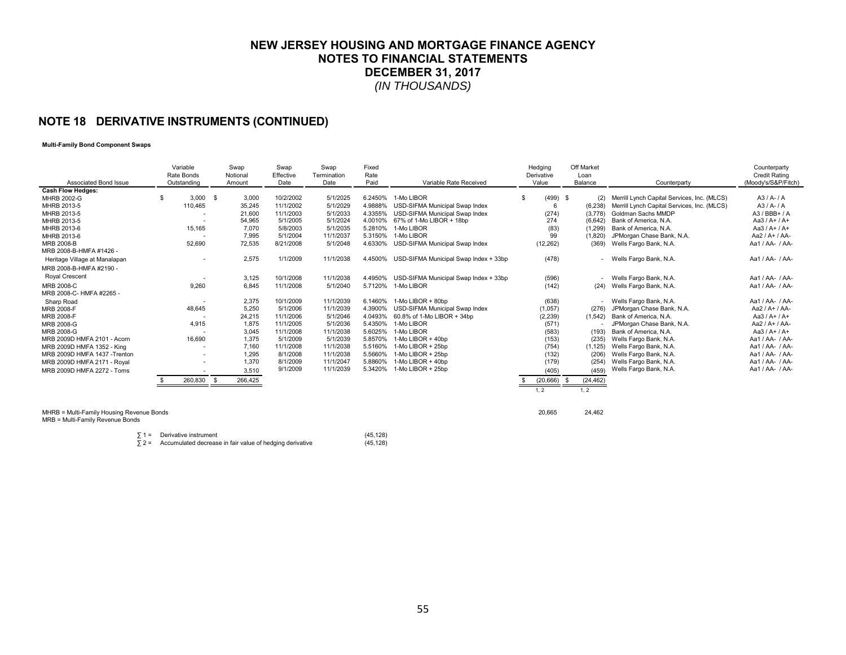#### **NEW JERSEY HOUSING AND MORTGAGE FINANCE AGENCY NOTES TO FINANCIAL STATEMENTS DECEMBER 31, 2017**  *(IN THOUSANDS)*

# **NOTE 18 DERIVATIVE INSTRUMENTS (CONTINUED)**

#### **Multi-Family Bond Component Swaps**

|                               | Variable<br>Rate Bonds |      | Swap<br>Notional | Swap<br>Effective | Swap<br>Termination | Fixed<br>Rate |                                       |     | Hedging<br>Derivative | Off Market<br>Loan |           |                                                 | Counterparty<br>Credit Rating |
|-------------------------------|------------------------|------|------------------|-------------------|---------------------|---------------|---------------------------------------|-----|-----------------------|--------------------|-----------|-------------------------------------------------|-------------------------------|
| Associated Bond Issue         | Outstanding            |      | Amount           | Date              | Date                | Paid          | Variable Rate Received                |     | Value                 | Balance            |           | Counterparty                                    | (Moody's/S&P/Fitch)           |
| <b>Cash Flow Hedges:</b>      |                        |      |                  |                   |                     |               |                                       |     |                       |                    |           |                                                 |                               |
| <b>MHRB 2002-G</b>            | 3.000                  | - \$ | 3.000            | 10/2/2002         | 5/1/2025            | 6.2450%       | 1-Mo LIBOR                            | \$. | $(499)$ \$            |                    |           | (2) Merrill Lynch Capital Services, Inc. (MLCS) | $A3/A-/A$                     |
| MHRB 2013-5                   | 110,465                |      | 35,245           | 11/1/2002         | 5/1/2029            | 4.9888%       | USD-SIFMA Municipal Swap Index        |     | 6                     |                    | (6, 238)  | Merrill Lynch Capital Services, Inc. (MLCS)     | $A3/A-/A$                     |
| MHRB 2013-5                   |                        |      | 21.600           | 11/1/2003         | 5/1/2033            | 4.3355%       | USD-SIFMA Municipal Swap Index        |     | (274)                 |                    | (3.778)   | Goldman Sachs MMDP                              | $A3/BBB+/A$                   |
| MHRB 2013-5                   |                        |      | 54.965           | 5/1/2005          | 5/1/2024            | 4.0010%       | 67% of 1-Mo LIBOR + 18bp              |     | 274                   |                    | (6,642)   | Bank of America, N.A.                           | Aa3 / $A+$ / $A+$             |
| MHRB 2013-6                   | 15,165                 |      | 7,070            | 5/8/2003          | 5/1/2035            | 5.2810%       | 1-Mo LIBOR                            |     | (83)                  |                    | (1,299)   | Bank of America, N.A.                           | Aa3 / $A+$ / $A+$             |
| MHRB 2013-6                   |                        |      | 7.995            | 5/1/2004          | 11/1/2037           | 5.3150%       | 1-Mo LIBOR                            |     | 99                    |                    | (1,820)   | JPMorgan Chase Bank, N.A.                       | Aa2 / A+ / AA-                |
| MRB 2008-B                    | 52,690                 |      | 72,535           | 8/21/2008         | 5/1/2048            | 4.6330%       | USD-SIFMA Municipal Swap Index        |     | (12, 262)             |                    | (369)     | Wells Fargo Bank, N.A.                          | Aa1 / AA- / AA-               |
| MRB 2008-B-HMFA #1426 -       |                        |      |                  |                   |                     |               |                                       |     |                       |                    |           |                                                 |                               |
| Heritage Village at Manalapan |                        |      | 2,575            | 1/1/2009          | 11/1/2038           | 4.4500%       | USD-SIFMA Municipal Swap Index + 33bp |     | (478)                 |                    |           | - Wells Fargo Bank, N.A.                        | Aa1 / AA- / AA-               |
| MRB 2008-B-HMFA #2190 -       |                        |      |                  |                   |                     |               |                                       |     |                       |                    |           |                                                 |                               |
| <b>Royal Crescent</b>         |                        |      | 3,125            | 10/1/2008         | 11/1/2038           | 4.4950%       | USD-SIFMA Municipal Swap Index + 33bp |     | (596)                 |                    |           | Wells Fargo Bank, N.A.                          | Aa1 / AA- / AA-               |
| MRB 2008-C                    | 9.260                  |      | 6.845            | 11/1/2008         | 5/1/2040            | 5.7120%       | 1-Mo LIBOR                            |     | (142)                 |                    | (24)      | Wells Fargo Bank, N.A.                          | Aa1 / AA- / AA-               |
| MRB 2008-C- HMFA #2265 -      |                        |      |                  |                   |                     |               |                                       |     |                       |                    |           |                                                 |                               |
| Sharp Road                    |                        |      | 2,375            | 10/1/2009         | 11/1/2039           | 6.1460%       | 1-Mo LIBOR + 80bp                     |     | (638)                 |                    |           | - Wells Fargo Bank, N.A.                        | Aa1 / AA- / AA-               |
| MRB 2008-F                    | 48,645                 |      | 5.250            | 5/1/2006          | 11/1/2039           | 4.3900%       | USD-SIFMA Municipal Swap Index        |     | (1,057)               |                    | (276)     | JPMorgan Chase Bank, N.A.                       | Aa2 / A+ / AA-                |
| MRB 2008-F                    |                        |      | 24.215           | 11/1/2006         | 5/1/2046            | 4.0493%       | 60.8% of 1-Mo LIBOR + 34bp            |     | (2, 239)              |                    | (1,542)   | Bank of America, N.A.                           | Aa3 / $A+$ / $A+$             |
| MRB 2008-G                    | 4.915                  |      | 1.875            | 11/1/2005         | 5/1/2036            | 5.4350%       | 1-Mo LIBOR                            |     | (571)                 |                    |           | JPMorgan Chase Bank, N.A.                       | Aa2 / A+ / AA-                |
| MRB 2008-G                    |                        |      | 3.045            | 11/1/2008         | 11/1/2038           | 5.6025%       | 1-Mo LIBOR                            |     | (583)                 |                    | (193)     | Bank of America, N.A.                           | Aa3 / $A+$ / $A+$             |
| MRB 2009D HMFA 2101 - Acorn   | 16,690                 |      | 1.375            | 5/1/2009          | 5/1/2039            | 5.8570%       | 1-Mo LIBOR + 40bp                     |     | (153)                 |                    | (235)     | Wells Fargo Bank, N.A.                          | Aa1 / AA- / AA-               |
| MRB 2009D HMFA 1352 - King    |                        |      | 7,160            | 11/1/2008         | 11/1/2038           | 5.5160%       | 1-Mo LIBOR + 25bp                     |     | (754)                 |                    | (1, 125)  | Wells Fargo Bank, N.A.                          | Aa1 / AA- / AA-               |
| MRB 2009D HMFA 1437 - Trenton | $\sim$                 |      | 1,295            | 8/1/2008          | 11/1/2038           | 5.5660%       | 1-Mo LIBOR + 25bp                     |     | (132)                 |                    | (206)     | Wells Fargo Bank, N.A.                          | Aa1 / AA- / AA-               |
| MRB 2009D HMFA 2171 - Roval   |                        |      | 1.370            | 8/1/2009          | 11/1/2047           | 5.8860%       | 1-Mo LIBOR + 40bp                     |     | (179)                 |                    | (254)     | Wells Fargo Bank, N.A.                          | Aa1 / AA- / AA-               |
| MRB 2009D HMFA 2272 - Toms    |                        |      | 3,510            | 9/1/2009          | 11/1/2039           | 5.3420%       | 1-Mo LIBOR + 25bp                     |     | (405)                 |                    | (459)     | Wells Fargo Bank, N.A.                          | Aa1 / AA- / AA-               |
|                               | 260,830                |      | 266,425          |                   |                     |               |                                       |     | (20, 666)             | -S                 | (24, 462) |                                                 |                               |
|                               |                        |      |                  |                   |                     |               |                                       |     | 1, 2                  | 1.2                |           |                                                 |                               |
|                               |                        |      |                  |                   |                     |               |                                       |     |                       |                    |           |                                                 |                               |

| MRB = Multi-Family Revenue Bonds |                                                                                                             |                      |
|----------------------------------|-------------------------------------------------------------------------------------------------------------|----------------------|
|                                  | $\sqrt{2}$ 1 = Derivative instrument<br>$\sum 2$ = Accumulated decrease in fair value of hedging derivative | (45.128)<br>(45.128) |

MHRB = Multi-Family Housing Revenue Bonds 24,462 20,665 24,462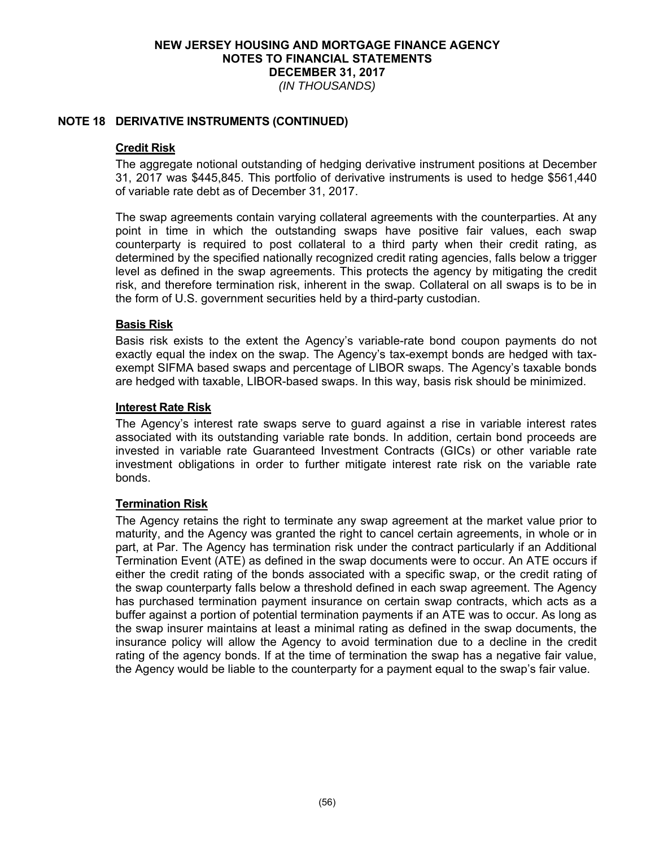# *(IN THOUSANDS)*

## **NOTE 18 DERIVATIVE INSTRUMENTS (CONTINUED)**

#### **Credit Risk**

The aggregate notional outstanding of hedging derivative instrument positions at December 31, 2017 was \$445,845. This portfolio of derivative instruments is used to hedge \$561,440 of variable rate debt as of December 31, 2017.

The swap agreements contain varying collateral agreements with the counterparties. At any point in time in which the outstanding swaps have positive fair values, each swap counterparty is required to post collateral to a third party when their credit rating, as determined by the specified nationally recognized credit rating agencies, falls below a trigger level as defined in the swap agreements. This protects the agency by mitigating the credit risk, and therefore termination risk, inherent in the swap. Collateral on all swaps is to be in the form of U.S. government securities held by a third-party custodian.

#### **Basis Risk**

Basis risk exists to the extent the Agency's variable-rate bond coupon payments do not exactly equal the index on the swap. The Agency's tax-exempt bonds are hedged with taxexempt SIFMA based swaps and percentage of LIBOR swaps. The Agency's taxable bonds are hedged with taxable, LIBOR-based swaps. In this way, basis risk should be minimized.

#### **Interest Rate Risk**

The Agency's interest rate swaps serve to guard against a rise in variable interest rates associated with its outstanding variable rate bonds. In addition, certain bond proceeds are invested in variable rate Guaranteed Investment Contracts (GICs) or other variable rate investment obligations in order to further mitigate interest rate risk on the variable rate bonds.

#### **Termination Risk**

The Agency retains the right to terminate any swap agreement at the market value prior to maturity, and the Agency was granted the right to cancel certain agreements, in whole or in part, at Par. The Agency has termination risk under the contract particularly if an Additional Termination Event (ATE) as defined in the swap documents were to occur. An ATE occurs if either the credit rating of the bonds associated with a specific swap, or the credit rating of the swap counterparty falls below a threshold defined in each swap agreement. The Agency has purchased termination payment insurance on certain swap contracts, which acts as a buffer against a portion of potential termination payments if an ATE was to occur. As long as the swap insurer maintains at least a minimal rating as defined in the swap documents, the insurance policy will allow the Agency to avoid termination due to a decline in the credit rating of the agency bonds. If at the time of termination the swap has a negative fair value, the Agency would be liable to the counterparty for a payment equal to the swap's fair value.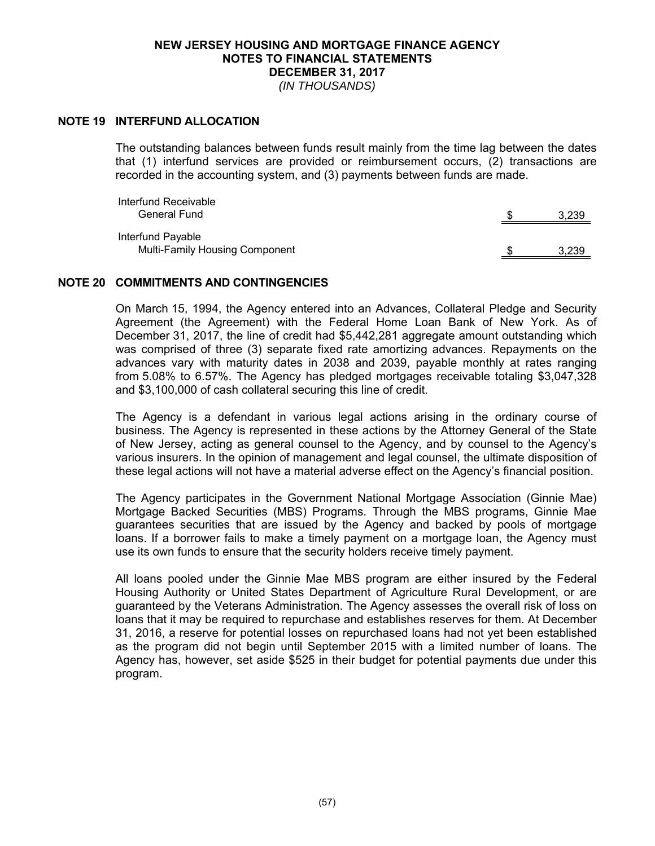# *(IN THOUSANDS)*

#### **NOTE 19 INTERFUND ALLOCATION**

The outstanding balances between funds result mainly from the time lag between the dates that (1) interfund services are provided or reimbursement occurs, (2) transactions are recorded in the accounting system, and (3) payments between funds are made.

| Interfund Receivable                  |       |
|---------------------------------------|-------|
| General Fund                          | 3.239 |
| Interfund Payable                     |       |
| <b>Multi-Family Housing Component</b> | 3.239 |

## **NOTE 20 COMMITMENTS AND CONTINGENCIES**

On March 15, 1994, the Agency entered into an Advances, Collateral Pledge and Security Agreement (the Agreement) with the Federal Home Loan Bank of New York. As of December 31, 2017, the line of credit had \$5,442,281 aggregate amount outstanding which was comprised of three (3) separate fixed rate amortizing advances. Repayments on the advances vary with maturity dates in 2038 and 2039, payable monthly at rates ranging from 5.08% to 6.57%. The Agency has pledged mortgages receivable totaling \$3,047,328 and \$3,100,000 of cash collateral securing this line of credit.

The Agency is a defendant in various legal actions arising in the ordinary course of business. The Agency is represented in these actions by the Attorney General of the State of New Jersey, acting as general counsel to the Agency, and by counsel to the Agency's various insurers. In the opinion of management and legal counsel, the ultimate disposition of these legal actions will not have a material adverse effect on the Agency's financial position.

The Agency participates in the Government National Mortgage Association (Ginnie Mae) Mortgage Backed Securities (MBS) Programs. Through the MBS programs, Ginnie Mae guarantees securities that are issued by the Agency and backed by pools of mortgage loans. If a borrower fails to make a timely payment on a mortgage loan, the Agency must use its own funds to ensure that the security holders receive timely payment.

All loans pooled under the Ginnie Mae MBS program are either insured by the Federal Housing Authority or United States Department of Agriculture Rural Development, or are guaranteed by the Veterans Administration. The Agency assesses the overall risk of loss on loans that it may be required to repurchase and establishes reserves for them. At December 31, 2016, a reserve for potential losses on repurchased loans had not yet been established as the program did not begin until September 2015 with a limited number of loans. The Agency has, however, set aside \$525 in their budget for potential payments due under this program.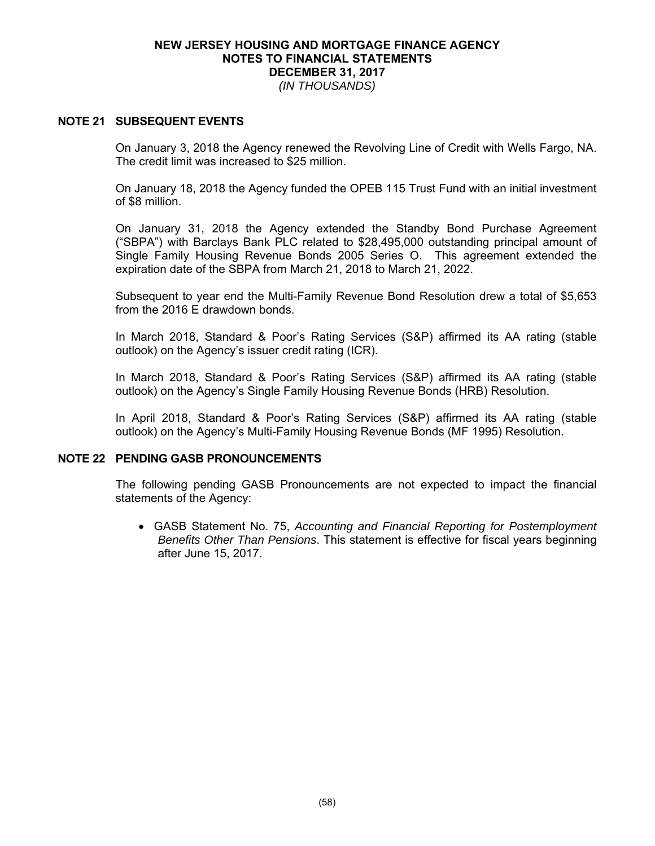## *(IN THOUSANDS)*

#### **NOTE 21 SUBSEQUENT EVENTS**

On January 3, 2018 the Agency renewed the Revolving Line of Credit with Wells Fargo, NA. The credit limit was increased to \$25 million.

On January 18, 2018 the Agency funded the OPEB 115 Trust Fund with an initial investment of \$8 million.

On January 31, 2018 the Agency extended the Standby Bond Purchase Agreement ("SBPA") with Barclays Bank PLC related to \$28,495,000 outstanding principal amount of Single Family Housing Revenue Bonds 2005 Series O. This agreement extended the expiration date of the SBPA from March 21, 2018 to March 21, 2022.

Subsequent to year end the Multi-Family Revenue Bond Resolution drew a total of \$5,653 from the 2016 E drawdown bonds.

In March 2018, Standard & Poor's Rating Services (S&P) affirmed its AA rating (stable outlook) on the Agency's issuer credit rating (ICR).

In March 2018, Standard & Poor's Rating Services (S&P) affirmed its AA rating (stable outlook) on the Agency's Single Family Housing Revenue Bonds (HRB) Resolution.

In April 2018, Standard & Poor's Rating Services (S&P) affirmed its AA rating (stable outlook) on the Agency's Multi-Family Housing Revenue Bonds (MF 1995) Resolution.

#### **NOTE 22 PENDING GASB PRONOUNCEMENTS**

The following pending GASB Pronouncements are not expected to impact the financial statements of the Agency:

 GASB Statement No. 75, *Accounting and Financial Reporting for Postemployment Benefits Other Than Pensions*. This statement is effective for fiscal years beginning after June 15, 2017.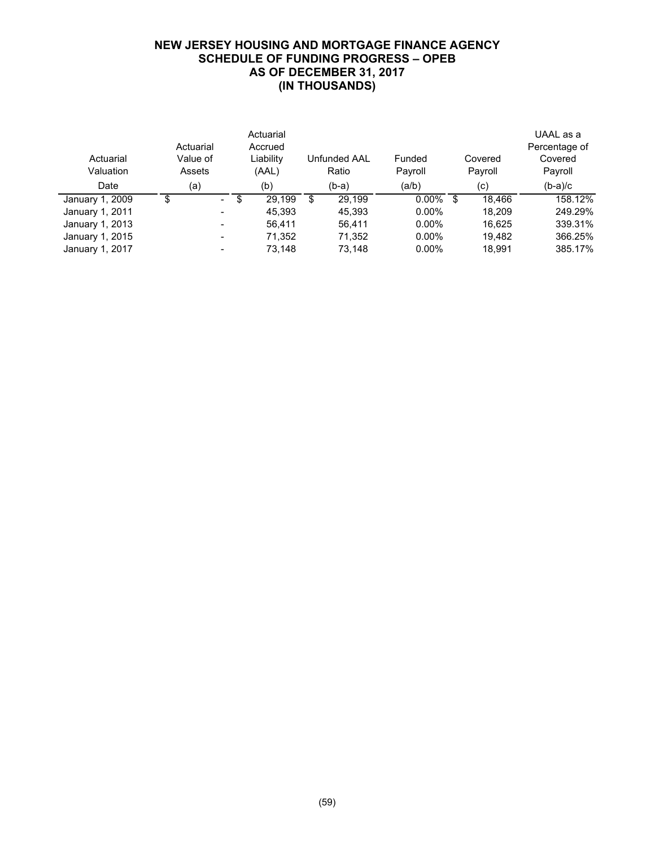# **NEW JERSEY HOUSING AND MORTGAGE FINANCE AGENCY SCHEDULE OF FUNDING PROGRESS – OPEB AS OF DECEMBER 31, 2017 (IN THOUSANDS)**

| Actuarial<br>Valuation<br>Date | Actuarial<br>Value of<br>Assets<br>(a) | Actuarial<br>Accrued<br>Liability<br>(AAL)<br>(b) | Unfunded AAL<br>Ratio<br>$(b-a)$ |        | Funded<br>Payroll<br>(a/b) | Covered<br>Payroll<br>(c) | UAAL as a<br>Percentage of<br>Covered<br>Payroll<br>$(b-a)/c$ |  |  |
|--------------------------------|----------------------------------------|---------------------------------------------------|----------------------------------|--------|----------------------------|---------------------------|---------------------------------------------------------------|--|--|
| January 1, 2009                | \$<br>$\sim$                           | \$<br>29.199                                      | \$                               | 29.199 | $0.00\%$                   | \$<br>18.466              | 158.12%                                                       |  |  |
| January 1, 2011                |                                        | 45.393                                            |                                  | 45.393 | $0.00\%$                   | 18.209                    | 249.29%                                                       |  |  |
| January 1, 2013                |                                        | 56.411                                            |                                  | 56.411 | $0.00\%$                   | 16.625                    | 339.31%                                                       |  |  |
| January 1, 2015                |                                        | 71.352                                            |                                  | 71.352 | $0.00\%$                   | 19.482                    | 366.25%                                                       |  |  |
| January 1, 2017                |                                        | 73.148                                            |                                  | 73.148 | $0.00\%$                   | 18.991                    | 385.17%                                                       |  |  |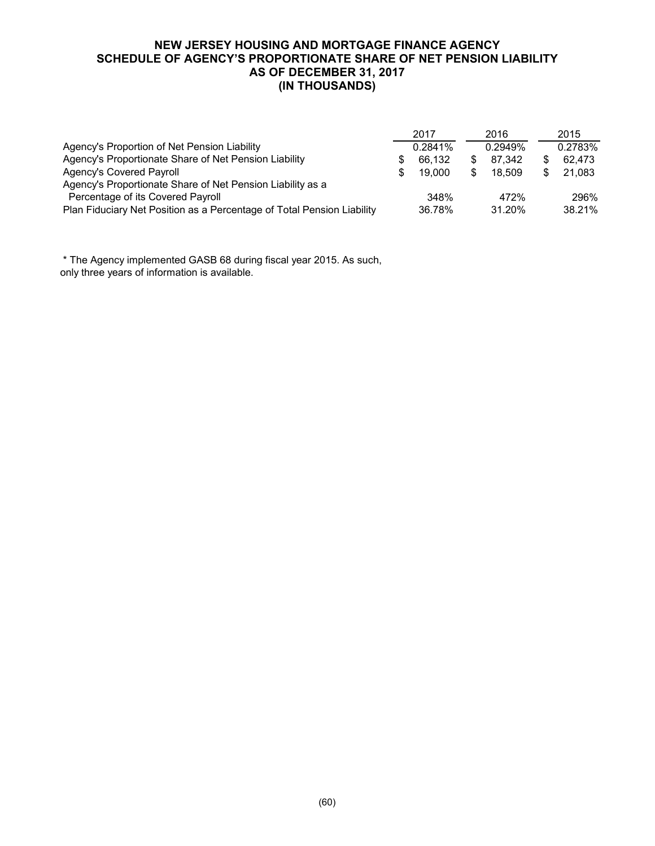### **NEW JERSEY HOUSING AND MORTGAGE FINANCE AGENCY SCHEDULE OF AGENCY'S PROPORTIONATE SHARE OF NET PENSION LIABILITY AS OF DECEMBER 31, 2017 (IN THOUSANDS)**

|                                                                        | 2017    | 2016    | 2015    |
|------------------------------------------------------------------------|---------|---------|---------|
| Agency's Proportion of Net Pension Liability                           | 0.2841% | 0.2949% | 0.2783% |
| Agency's Proportionate Share of Net Pension Liability                  | 66.132  | 87.342  | 62.473  |
| Agency's Covered Payroll                                               | 19.000  | 18.509  | 21.083  |
| Agency's Proportionate Share of Net Pension Liability as a             |         |         |         |
| Percentage of its Covered Payroll                                      | 348%    | 472%    | 296%    |
| Plan Fiduciary Net Position as a Percentage of Total Pension Liability | 36.78%  | 31.20%  | 38.21%  |

 \* The Agency implemented GASB 68 during fiscal year 2015. As such, only three years of information is available.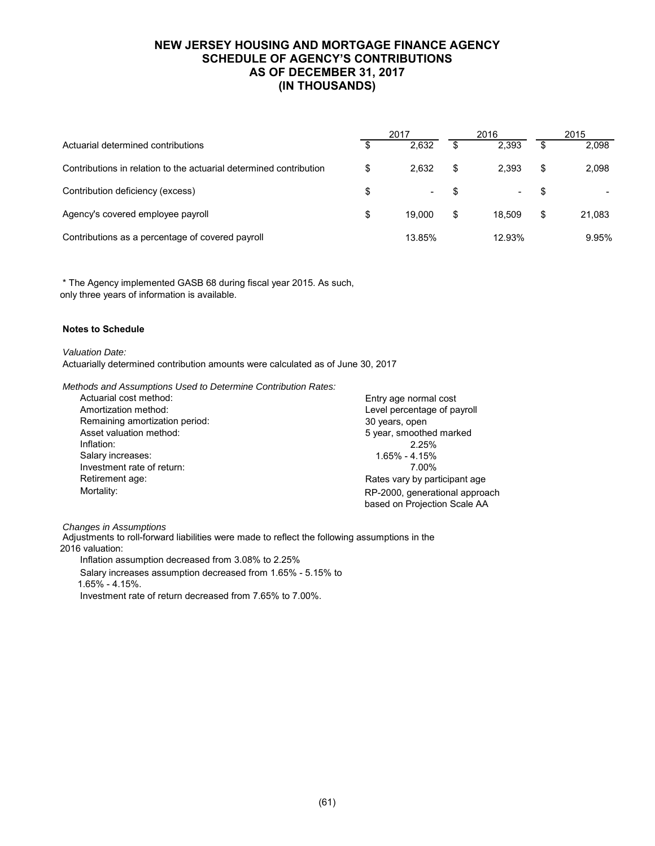#### **NEW JERSEY HOUSING AND MORTGAGE FINANCE AGENCY SCHEDULE OF AGENCY'S CONTRIBUTIONS AS OF DECEMBER 31, 2017 (IN THOUSANDS)**

|                                                                    | 2017         |    | 2016   | 2015         |
|--------------------------------------------------------------------|--------------|----|--------|--------------|
| Actuarial determined contributions                                 | \$<br>2.632  | S  | 2.393  | \$<br>2.098  |
| Contributions in relation to the actuarial determined contribution | \$<br>2.632  | S  | 2.393  | \$<br>2.098  |
| Contribution deficiency (excess)                                   | \$<br>$\sim$ | S  |        | \$           |
| Agency's covered employee payroll                                  | \$<br>19.000 | \$ | 18.509 | \$<br>21.083 |
| Contributions as a percentage of covered payroll                   | 13.85%       |    | 12.93% | 9.95%        |

 \* The Agency implemented GASB 68 during fiscal year 2015. As such, only three years of information is available.

#### **Notes to Schedule**

 *Valuation Date:*  Actuarially determined contribution amounts were calculated as of June 30, 2017

 *Methods and Assumptions Used to Determine Contribution Rates:* 

| Actuarial cost method:         | Entry age normal cost                                          |
|--------------------------------|----------------------------------------------------------------|
| Amortization method:           | Level percentage of payroll                                    |
| Remaining amortization period: | 30 years, open                                                 |
| Asset valuation method:        | 5 year, smoothed marked                                        |
| Inflation:                     | 2.25%                                                          |
| Salary increases:              | $1.65\% - 4.15\%$                                              |
| Investment rate of return:     | 7.00%                                                          |
| Retirement age:                | Rates vary by participant age                                  |
| Mortality:                     | RP-2000, generational approach<br>based on Projection Scale AA |
|                                |                                                                |

 *Changes in Assumptions* 

 Inflation assumption decreased from 3.08% to 2.25% Salary increases assumption decreased from 1.65% - 5.15% to Adjustments to roll-forward liabilities were made to reflect the following assumptions in the 2016 valuation:

1.65% - 4.15%.

Investment rate of return decreased from 7.65% to 7.00%.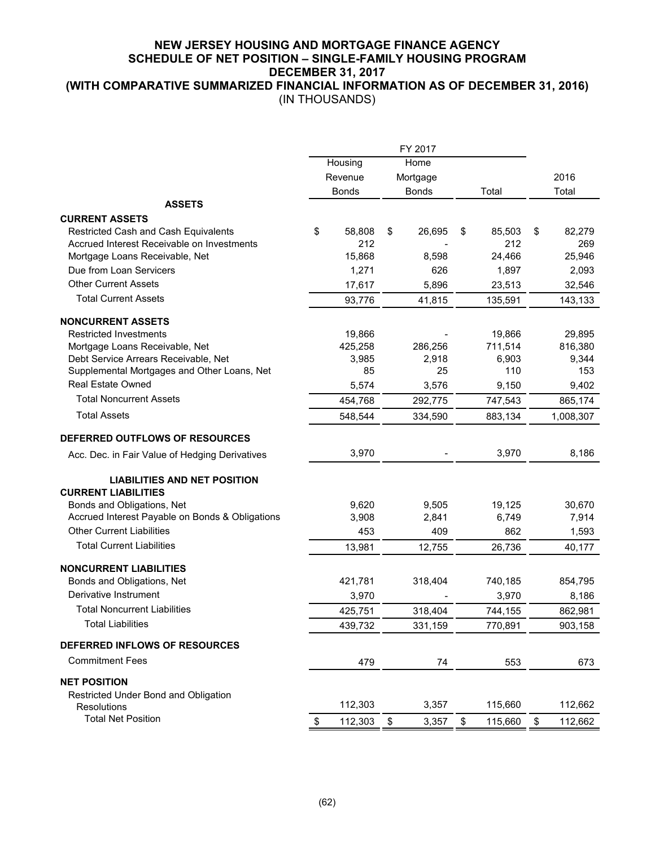# **NEW JERSEY HOUSING AND MORTGAGE FINANCE AGENCY SCHEDULE OF NET POSITION – SINGLE-FAMILY HOUSING PROGRAM DECEMBER 31, 2017**

**(WITH COMPARATIVE SUMMARIZED FINANCIAL INFORMATION AS OF DECEMBER 31, 2016)**  (IN THOUSANDS)

|                                                 | Housing       |    | Home         |    |         |               |  |
|-------------------------------------------------|---------------|----|--------------|----|---------|---------------|--|
|                                                 | Revenue       |    | Mortgage     |    |         | 2016          |  |
|                                                 | <b>Bonds</b>  |    | <b>Bonds</b> |    | Total   | Total         |  |
| <b>ASSETS</b>                                   |               |    |              |    |         |               |  |
| <b>CURRENT ASSETS</b>                           |               |    |              |    |         |               |  |
| Restricted Cash and Cash Equivalents            | \$<br>58,808  | \$ | 26,695       | \$ | 85,503  | \$<br>82,279  |  |
| Accrued Interest Receivable on Investments      | 212           |    |              |    | 212     | 269           |  |
| Mortgage Loans Receivable, Net                  | 15,868        |    | 8,598        |    | 24,466  | 25,946        |  |
| Due from Loan Servicers                         | 1,271         |    | 626          |    | 1,897   | 2,093         |  |
| <b>Other Current Assets</b>                     | 17,617        |    | 5,896        |    | 23,513  | 32,546        |  |
| <b>Total Current Assets</b>                     | 93,776        |    | 41,815       |    | 135,591 | 143,133       |  |
| <b>NONCURRENT ASSETS</b>                        |               |    |              |    |         |               |  |
| <b>Restricted Investments</b>                   | 19,866        |    |              |    | 19,866  | 29,895        |  |
| Mortgage Loans Receivable, Net                  | 425,258       |    | 286,256      |    | 711,514 | 816,380       |  |
| Debt Service Arrears Receivable, Net            | 3,985         |    | 2,918        |    | 6,903   | 9,344         |  |
| Supplemental Mortgages and Other Loans, Net     | 85            |    | 25           |    | 110     | 153           |  |
| <b>Real Estate Owned</b>                        | 5,574         |    | 3,576        |    | 9,150   | 9,402         |  |
| <b>Total Noncurrent Assets</b>                  | 454,768       |    | 292,775      |    | 747,543 | 865,174       |  |
| <b>Total Assets</b>                             | 548,544       |    | 334,590      |    | 883,134 | 1,008,307     |  |
| DEFERRED OUTFLOWS OF RESOURCES                  |               |    |              |    |         |               |  |
| Acc. Dec. in Fair Value of Hedging Derivatives  | 3,970         |    |              |    | 3,970   | 8,186         |  |
| <b>LIABILITIES AND NET POSITION</b>             |               |    |              |    |         |               |  |
| <b>CURRENT LIABILITIES</b>                      |               |    |              |    |         |               |  |
| Bonds and Obligations, Net                      | 9,620         |    | 9,505        |    | 19,125  | 30,670        |  |
| Accrued Interest Payable on Bonds & Obligations | 3,908         |    | 2,841        |    | 6,749   | 7,914         |  |
| <b>Other Current Liabilities</b>                | 453           |    | 409          |    | 862     | 1,593         |  |
| <b>Total Current Liabilities</b>                | 13,981        |    | 12,755       |    | 26,736  | 40,177        |  |
| <b>NONCURRENT LIABILITIES</b>                   |               |    |              |    |         |               |  |
| Bonds and Obligations, Net                      | 421,781       |    | 318,404      |    | 740,185 | 854,795       |  |
| Derivative Instrument                           | 3,970         |    |              |    | 3,970   | 8,186         |  |
| <b>Total Noncurrent Liabilities</b>             | 425,751       |    | 318,404      |    | 744,155 | 862,981       |  |
| <b>Total Liabilities</b>                        | 439,732       |    | 331,159      |    | 770,891 | 903,158       |  |
| DEFERRED INFLOWS OF RESOURCES                   |               |    |              |    |         |               |  |
| <b>Commitment Fees</b>                          | 479           |    | 74           |    | 553     | 673           |  |
| <b>NET POSITION</b>                             |               |    |              |    |         |               |  |
| Restricted Under Bond and Obligation            |               |    |              |    |         |               |  |
| Resolutions                                     | 112,303       |    | 3,357        |    | 115,660 | 112,662       |  |
| <b>Total Net Position</b>                       | \$<br>112,303 | \$ | 3,357        | \$ | 115,660 | \$<br>112,662 |  |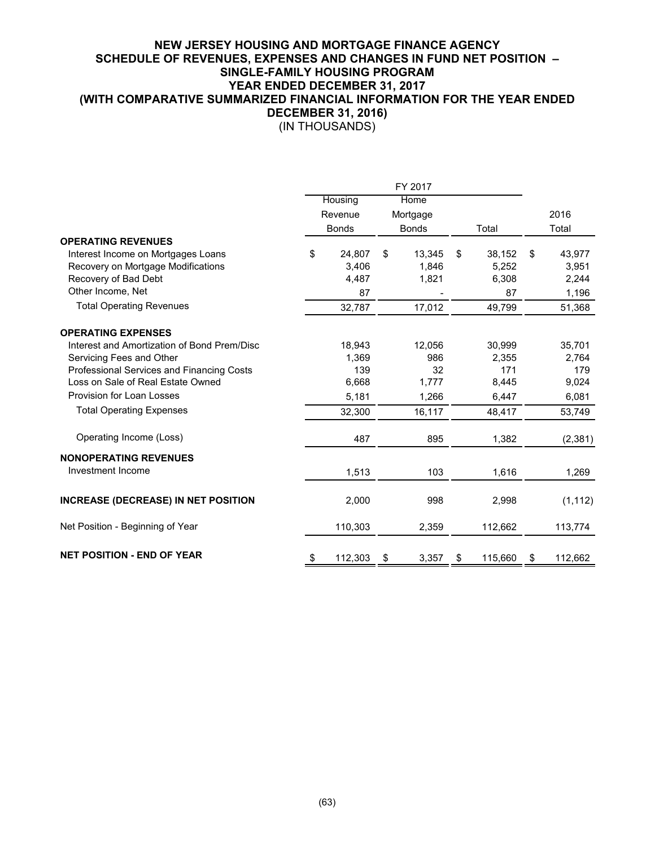#### **NEW JERSEY HOUSING AND MORTGAGE FINANCE AGENCY SCHEDULE OF REVENUES, EXPENSES AND CHANGES IN FUND NET POSITION – SINGLE-FAMILY HOUSING PROGRAM YEAR ENDED DECEMBER 31, 2017 (WITH COMPARATIVE SUMMARIZED FINANCIAL INFORMATION FOR THE YEAR ENDED DECEMBER 31, 2016)**  (IN THOUSANDS)

|                                             | Housing       |              | Home     |    |         |               |
|---------------------------------------------|---------------|--------------|----------|----|---------|---------------|
|                                             | Revenue       |              | Mortgage |    |         | 2016          |
|                                             | <b>Bonds</b>  | <b>Bonds</b> |          |    | Total   | Total         |
| <b>OPERATING REVENUES</b>                   |               |              |          |    |         |               |
| Interest Income on Mortgages Loans          | \$<br>24,807  | \$           | 13,345   | \$ | 38,152  | \$<br>43,977  |
| Recovery on Mortgage Modifications          | 3,406         |              | 1,846    |    | 5,252   | 3,951         |
| Recovery of Bad Debt                        | 4,487         |              | 1,821    |    | 6,308   | 2,244         |
| Other Income, Net                           | 87            |              |          |    | 87      | 1,196         |
| <b>Total Operating Revenues</b>             | 32,787        |              | 17,012   |    | 49,799  | 51,368        |
| <b>OPERATING EXPENSES</b>                   |               |              |          |    |         |               |
| Interest and Amortization of Bond Prem/Disc | 18,943        |              | 12,056   |    | 30,999  | 35,701        |
| Servicing Fees and Other                    | 1,369         |              | 986      |    | 2,355   | 2,764         |
| Professional Services and Financing Costs   | 139           |              | 32       |    | 171     | 179           |
| Loss on Sale of Real Estate Owned           | 6,668         |              | 1,777    |    | 8,445   | 9,024         |
| Provision for Loan Losses                   | 5,181         |              | 1,266    |    | 6,447   | 6,081         |
| <b>Total Operating Expenses</b>             | 32,300        |              | 16,117   |    | 48,417  | 53,749        |
| Operating Income (Loss)                     | 487           |              | 895      |    | 1,382   | (2, 381)      |
| <b>NONOPERATING REVENUES</b>                |               |              |          |    |         |               |
| Investment Income                           | 1,513         |              | 103      |    | 1,616   | 1,269         |
| <b>INCREASE (DECREASE) IN NET POSITION</b>  | 2,000         |              | 998      |    | 2,998   | (1, 112)      |
| Net Position - Beginning of Year            | 110,303       |              | 2,359    |    | 112,662 | 113,774       |
| <b>NET POSITION - END OF YEAR</b>           | \$<br>112,303 | \$           | 3,357    | \$ | 115,660 | \$<br>112,662 |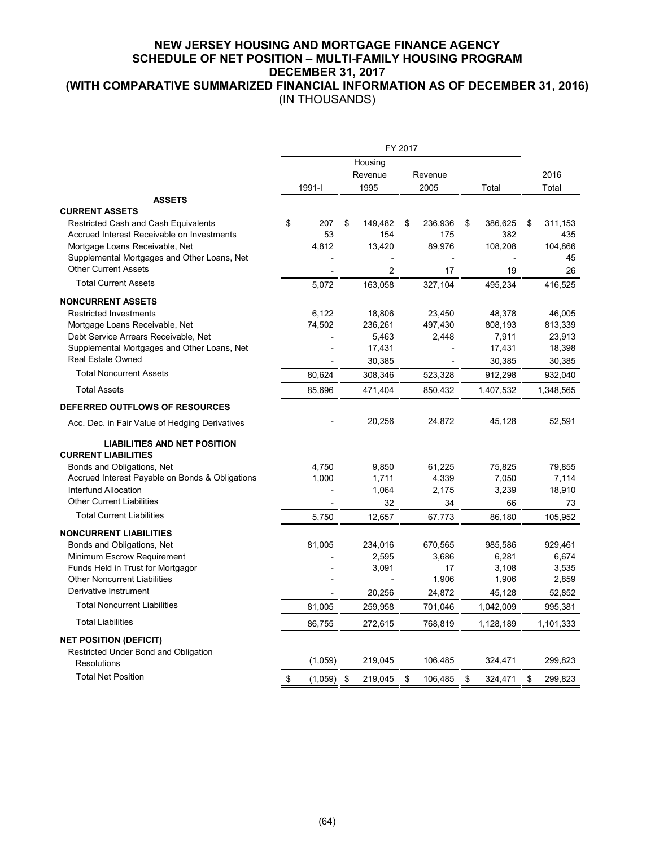# **NEW JERSEY HOUSING AND MORTGAGE FINANCE AGENCY SCHEDULE OF NET POSITION – MULTI-FAMILY HOUSING PROGRAM DECEMBER 31, 2017**

**(WITH COMPARATIVE SUMMARIZED FINANCIAL INFORMATION AS OF DECEMBER 31, 2016)**  (IN THOUSANDS)

Housing Revenue Revenue 2016 1991-I 1995 2005 Total Total **ASSETS CURRENT ASSETS** Restricted Cash and Cash Equivalents 207 \$ 207 \$ 149,482 \$ 236,936 \$ 386,625 \$ 311,153 Accrued Interest Receivable on Investments **53** 154 175 382 435 Mortgage Loans Receivable, Net 13 104,866 104,866 104,866 104,866 104,866 Supplemental Mortgages and Other Loans, Net 45 Other Current Assets 26 - 2 17 19 26 Total Current Assets 163,072 163,058 327,104 495,234 416,525 **NONCURRENT ASSETS** Restricted Investments 6,122 18,806 23,450 48,378 46,005 Mortgage Loans Receivable, Net 13,339 1990 12,4502 236,261 1497,430 808,193 813,339 Debt Service Arrears Receivable, Net - 5,463 2,448 7,911 23,913 Supplemental Mortgages and Other Loans, Net  $\overline{17,431}$  - 17,431 18,398 Real Estate Owned 30,385 30,385 30,385 30,385 30,385 30,385 30,385 30,385 30,385 30,385 30,385 30,385 30,385 30,385 30,385 30,385 30,385 30,385 30,385 30,385 30,385 30,385 30,385 30,385 30,385 30,385 30,385 30,385 30,385 3 Total Noncurrent Assets 308,624 308,346 523,328 912,298 932,040 Total Assets 471,404 85,696 850,432 1,407,532 1,348,565 **DEFERRED OUTFLOWS OF RESOURCES** Acc. Dec. in Fair Value of Hedging Derivatives **2000 Facc. Dec. 31.591** 20,256 24,872 45,128 52,591 **LIABILITIES AND NET POSITION CURRENT LIABILITIES** Bonds and Obligations, Net 19,855 19,855 61,225 75,825 79,855 Accrued Interest Payable on Bonds & Obligations 1,000 1,711 4,339 7,050 7,114 Interfund Allocation **1,064** 2,175 3,239 18,910 Other Current Liabilities **32** 34 66 73 Total Current Liabilities 12,657 5,750 12,657 67,773 86,180 105,952 **NONCURRENT LIABILITIES** Bonds and Obligations, Net 81,005 234,016 670,565 985,586 929,461 Minimum Escrow Requirement  $6.674$   $-$  2,595  $3.686$  6.281  $6.674$ Funds Held in Trust for Mortgagor  $3,535$ Other Noncurrent Liabilities **2,859** Compared 2,859 Derivative Instrument 20,256 - 24,872 45,128 52,852 Total Noncurrent Liabilities 259,958 259,958 701,046 1,042,009 995,381 Total Liabilities 272,615 86,755 768,819 1,128,189 1,101,333 **NET POSITION (DEFICIT)** Restricted Under Bond and Obligation Resolutions 219,045 (1,059) 106,485 324,471 299,823 Total Net Position \$ (1,059) \$ 106,485 219,045 \$ \$ 299,823 324,471 \$ FY 2017